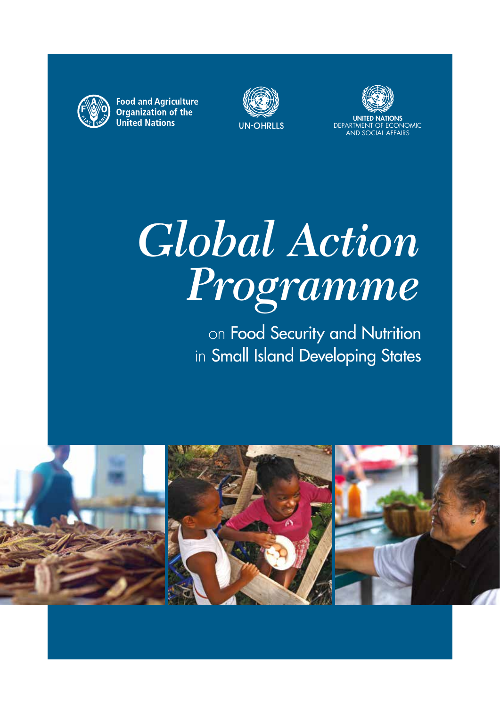

**Food and Agriculture** Organization of the **United Nations** 





UNITED NATIONS DEPARTMENT OF ECONOMIC AND SOCIAL AFFAIRS

# *Global Action Programme*

on Food Security and Nutrition in Small Island Developing States

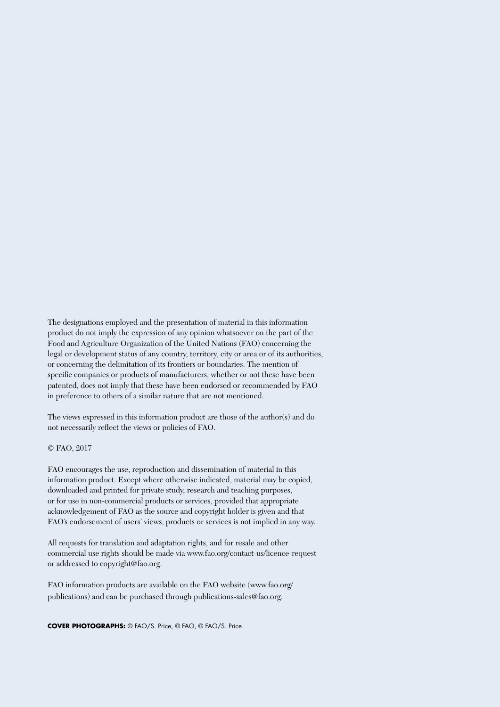The designations employed and the presentation of material in this information product do not imply the expression of any opinion whatsoever on the part of the Food and Agriculture Organization of the United Nations (FAO) concerning the legal or development status of any country, territory, city or area or of its authorities, or concerning the delimitation of its frontiers or boundaries. The mention of specific companies or products of manufacturers, whether or not these have been patented, does not imply that these have been endorsed or recommended by FAO in preference to others of a similar nature that are not mentioned.

The views expressed in this information product are those of the author(s) and do not necessarily reflect the views or policies of FAO.

© FAO, 2017

FAO encourages the use, reproduction and dissemination of material in this information product. Except where otherwise indicated, material may be copied, downloaded and printed for private study, research and teaching purposes, or for use in non-commercial products or services, provided that appropriate acknowledgement of FAO as the source and copyright holder is given and that FAO's endorsement of users' views, products or services is not implied in any way.

All requests for translation and adaptation rights, and for resale and other commercial use rights should be made via www.fao.org/contact-us/licence-request or addressed to copyright@fao.org.

FAO information products are available on the FAO website (www.fao.org/ publications) and can be purchased through publications-sales@fao.org.

**COVER PHOTOGRAPHS:** © FAO/S. Price, © FAO, © FAO/S. Price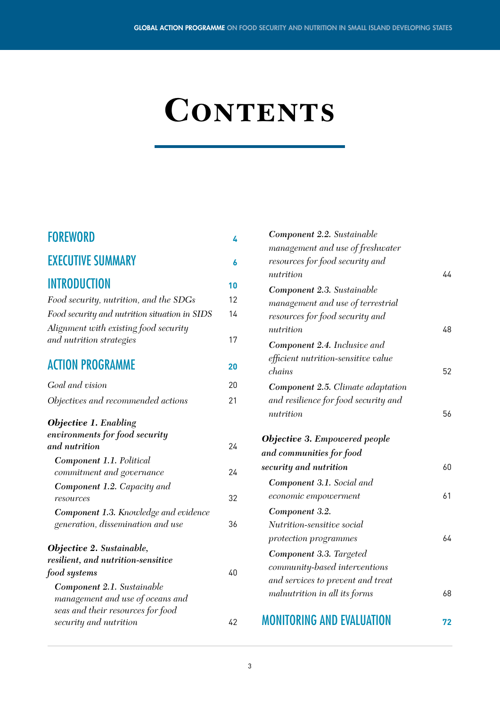# **CONTENTS**

| <b>FOREWORD</b>                                                | 4  |
|----------------------------------------------------------------|----|
| <b>EXECUTIVE SUMMARY</b>                                       | 6  |
| <b>INTRODUCTION</b>                                            | 10 |
| Food security, nutrition, and the SDGs                         | 12 |
| Food security and nutrition situation in SIDS                  | 14 |
| Alignment with existing food security                          |    |
| and nutrition strategies                                       | 17 |
| <b>ACTION PROGRAMME</b>                                        | 20 |
| Goal and vision                                                | 20 |
| Objectives and recommended actions                             | 21 |
| <b>Objective 1. Enabling</b><br>environments for food security |    |
| and nutrition                                                  | 24 |
| <b>Component 1.1. Political</b><br>commitment and governance   | 24 |
| Component 1.2. Capacity and                                    |    |
| resources                                                      | 32 |
| Component 1.3. Knowledge and evidence                          |    |
| generation, dissemination and use                              | 36 |
| <b>Objective 2. Sustainable,</b>                               |    |
| resilient, and nutrition-sensitive                             |    |
| food systems                                                   | 40 |
| Component 2.1. Sustainable                                     |    |
| management and use of oceans and                               |    |
| seas and their resources for food                              | 42 |
| security and nutrition                                         |    |

| Component 2.2. Sustainable               |    |
|------------------------------------------|----|
| management and use of freshwater         |    |
| resources for food security and          |    |
| nutrition                                | 44 |
| Component 2.3. Sustainable               |    |
| management and use of terrestrial        |    |
| resources for food security and          |    |
| nutrition                                | 48 |
| Component 2.4. Inclusive and             |    |
| efficient nutrition-sensitive value      |    |
| chains                                   | 52 |
| <b>Component 2.5.</b> Climate adaptation |    |
| and resilience for food security and     |    |
| nutrition                                | 56 |
| <b>Objective 3. Empowered people</b>     |    |
| and communities for food                 |    |
| security and nutrition                   | 60 |
| <b>Component 3.1.</b> Social and         |    |
| economic empowerment                     | 61 |
| Component 3.2.                           |    |
| Nutrition-sensitive social               |    |
| protection programmes                    | 64 |
| Component 3.3. Targeted                  |    |
| community-based interventions            |    |
| and services to prevent and treat        |    |
| malnutrition in all its forms            | 68 |
| MONITORING AND EVALUATION                |    |
|                                          | 72 |

#### 3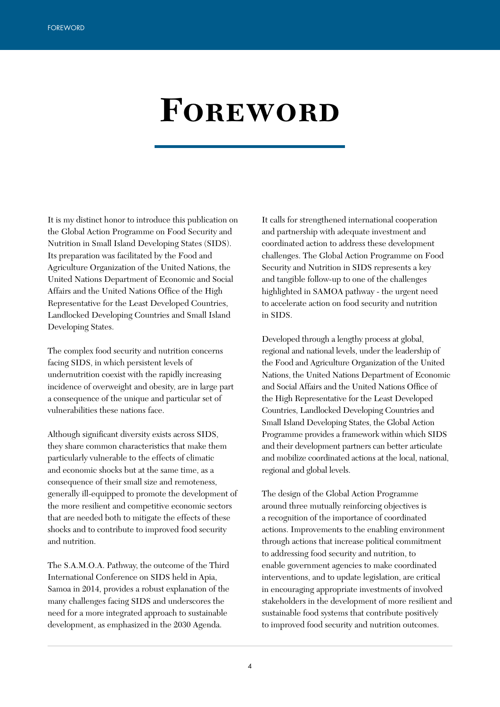# **Foreword**

It is my distinct honor to introduce this publication on the Global Action Programme on Food Security and Nutrition in Small Island Developing States (SIDS). Its preparation was facilitated by the Food and Agriculture Organization of the United Nations, the United Nations Department of Economic and Social Affairs and the United Nations Office of the High Representative for the Least Developed Countries, Landlocked Developing Countries and Small Island Developing States.

The complex food security and nutrition concerns facing SIDS, in which persistent levels of undernutrition coexist with the rapidly increasing incidence of overweight and obesity, are in large part a consequence of the unique and particular set of vulnerabilities these nations face.

Although significant diversity exists across SIDS, they share common characteristics that make them particularly vulnerable to the effects of climatic and economic shocks but at the same time, as a consequence of their small size and remoteness, generally ill-equipped to promote the development of the more resilient and competitive economic sectors that are needed both to mitigate the effects of these shocks and to contribute to improved food security and nutrition.

The S.A.M.O.A. Pathway, the outcome of the Third International Conference on SIDS held in Apia, Samoa in 2014, provides a robust explanation of the many challenges facing SIDS and underscores the need for a more integrated approach to sustainable development, as emphasized in the 2030 Agenda.

It calls for strengthened international cooperation and partnership with adequate investment and coordinated action to address these development challenges. The Global Action Programme on Food Security and Nutrition in SIDS represents a key and tangible follow-up to one of the challenges highlighted in SAMOA pathway - the urgent need to accelerate action on food security and nutrition in SIDS.

Developed through a lengthy process at global, regional and national levels, under the leadership of the Food and Agriculture Organization of the United Nations, the United Nations Department of Economic and Social Affairs and the United Nations Office of the High Representative for the Least Developed Countries, Landlocked Developing Countries and Small Island Developing States, the Global Action Programme provides a framework within which SIDS and their development partners can better articulate and mobilize coordinated actions at the local, national, regional and global levels.

The design of the Global Action Programme around three mutually reinforcing objectives is a recognition of the importance of coordinated actions. Improvements to the enabling environment through actions that increase political commitment to addressing food security and nutrition, to enable government agencies to make coordinated interventions, and to update legislation, are critical in encouraging appropriate investments of involved stakeholders in the development of more resilient and sustainable food systems that contribute positively to improved food security and nutrition outcomes.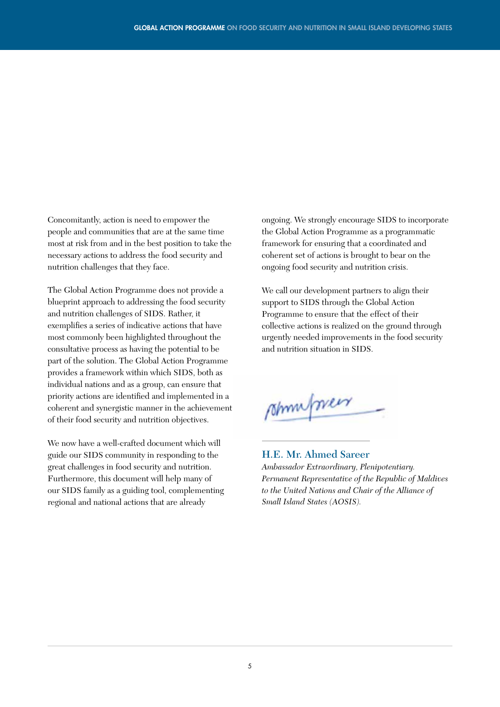Concomitantly, action is need to empower the people and communities that are at the same time most at risk from and in the best position to take the necessary actions to address the food security and nutrition challenges that they face.

The Global Action Programme does not provide a blueprint approach to addressing the food security and nutrition challenges of SIDS. Rather, it exemplifies a series of indicative actions that have most commonly been highlighted throughout the consultative process as having the potential to be part of the solution. The Global Action Programme provides a framework within which SIDS, both as individual nations and as a group, can ensure that priority actions are identified and implemented in a coherent and synergistic manner in the achievement of their food security and nutrition objectives.

We now have a well-crafted document which will guide our SIDS community in responding to the great challenges in food security and nutrition. Furthermore, this document will help many of our SIDS family as a guiding tool, complementing regional and national actions that are already

ongoing. We strongly encourage SIDS to incorporate the Global Action Programme as a programmatic framework for ensuring that a coordinated and coherent set of actions is brought to bear on the ongoing food security and nutrition crisis.

We call our development partners to align their support to SIDS through the Global Action Programme to ensure that the effect of their collective actions is realized on the ground through urgently needed improvements in the food security and nutrition situation in SIDS.

shimpsier

#### **H.E. Mr. Ahmed Sareer**

*Ambassador Extraordinary, Plenipotentiary. Permanent Representative of the Republic of Maldives to the United Nations and Chair of the Alliance of Small Island States (AOSIS).*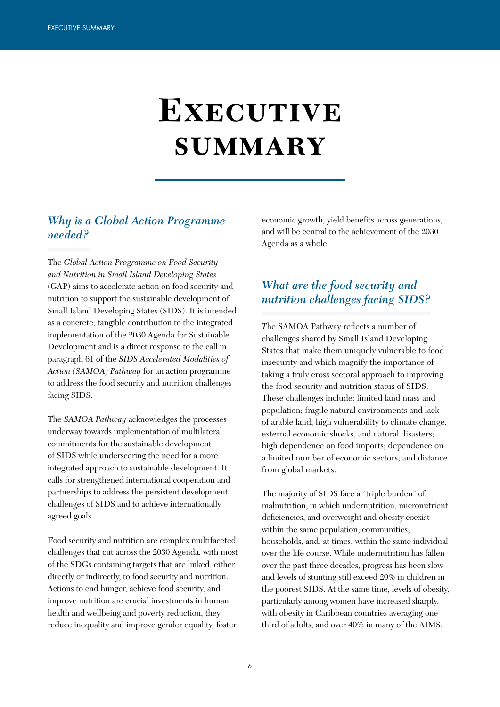# **Executive summary**

## *Why is a Global Action Programme needed?*

The *Global Action Programme on Food Security and Nutrition in Small Island Developing States*  (GAP) aims to accelerate action on food security and nutrition to support the sustainable development of Small Island Developing States (SIDS). It is intended as a concrete, tangible contribution to the integrated implementation of the 2030 Agenda for Sustainable Development and is a direct response to the call in paragraph 61 of the *SIDS Accelerated Modalities of Action (SAMOA) Pathway* for an action programme to address the food security and nutrition challenges facing SIDS.

The *SAMOA Pathway* acknowledges the processes underway towards implementation of multilateral commitments for the sustainable development of SIDS while underscoring the need for a more integrated approach to sustainable development. It calls for strengthened international cooperation and partnerships to address the persistent development challenges of SIDS and to achieve internationally agreed goals.

Food security and nutrition are complex multifaceted challenges that cut across the 2030 Agenda, with most of the SDGs containing targets that are linked, either directly or indirectly, to food security and nutrition. Actions to end hunger, achieve food security, and improve nutrition are crucial investments in human health and wellbeing and poverty reduction, they reduce inequality and improve gender equality, foster

economic growth, yield benefits across generations, and will be central to the achievement of the 2030 Agenda as a whole.

# *What are the food security and nutrition challenges facing SIDS?*

*T*he SAMOA Pathway reflects a number of challenges shared by Small Island Developing States that make them uniquely vulnerable to food insecurity and which magnify the importance of taking a truly cross sectoral approach to improving the food security and nutrition status of SIDS. These challenges include: limited land mass and population; fragile natural environments and lack of arable land; high vulnerability to climate change, external economic shocks, and natural disasters; high dependence on food imports; dependence on a limited number of economic sectors; and distance from global markets.

The majority of SIDS face a "triple burden" of malnutrition, in which undernutrition, micronutrient deficiencies, and overweight and obesity coexist within the same population, communities, households, and, at times, within the same individual over the life course. While undernutrition has fallen over the past three decades, progress has been slow and levels of stunting still exceed 20% in children in the poorest SIDS. At the same time, levels of obesity, particularly among women have increased sharply, with obesity in Caribbean countries averaging one third of adults, and over 40% in many of the AIMS.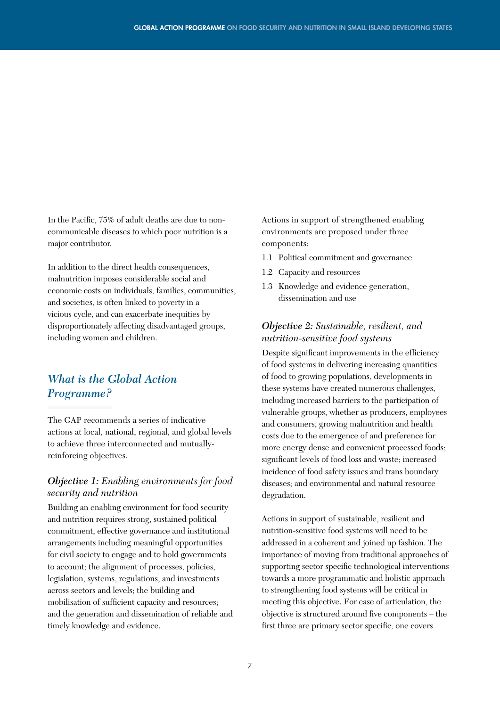In the Pacific, 75% of adult deaths are due to noncommunicable diseases to which poor nutrition is a major contributor.

In addition to the direct health consequences, malnutrition imposes considerable social and economic costs on individuals, families, communities, and societies, is often linked to poverty in a vicious cycle, and can exacerbate inequities by disproportionately affecting disadvantaged groups, including women and children.

# *What is the Global Action Programme?*

The GAP recommends a series of indicative actions at local, national, regional, and global levels to achieve three interconnected and mutuallyreinforcing objectives.

#### *Objective 1: Enabling environments for food security and nutrition*

Building an enabling environment for food security and nutrition requires strong, sustained political commitment; effective governance and institutional arrangements including meaningful opportunities for civil society to engage and to hold governments to account; the alignment of processes, policies, legislation, systems, regulations, and investments across sectors and levels; the building and mobilisation of sufficient capacity and resources; and the generation and dissemination of reliable and timely knowledge and evidence.

Actions in support of strengthened enabling environments are proposed under three components:

- 1.1 Political commitment and governance
- 1.2 Capacity and resources
- 1.3 Knowledge and evidence generation, dissemination and use

#### *Objective 2: Sustainable, resilient, and nutrition-sensitive food systems*

Despite significant improvements in the efficiency of food systems in delivering increasing quantities of food to growing populations, developments in these systems have created numerous challenges, including increased barriers to the participation of vulnerable groups, whether as producers, employees and consumers; growing malnutrition and health costs due to the emergence of and preference for more energy dense and convenient processed foods; significant levels of food loss and waste; increased incidence of food safety issues and trans boundary diseases; and environmental and natural resource degradation.

Actions in support of sustainable, resilient and nutrition-sensitive food systems will need to be addressed in a coherent and joined up fashion. The importance of moving from traditional approaches of supporting sector specific technological interventions towards a more programmatic and holistic approach to strengthening food systems will be critical in meeting this objective. For ease of articulation, the objective is structured around five components – the first three are primary sector specific, one covers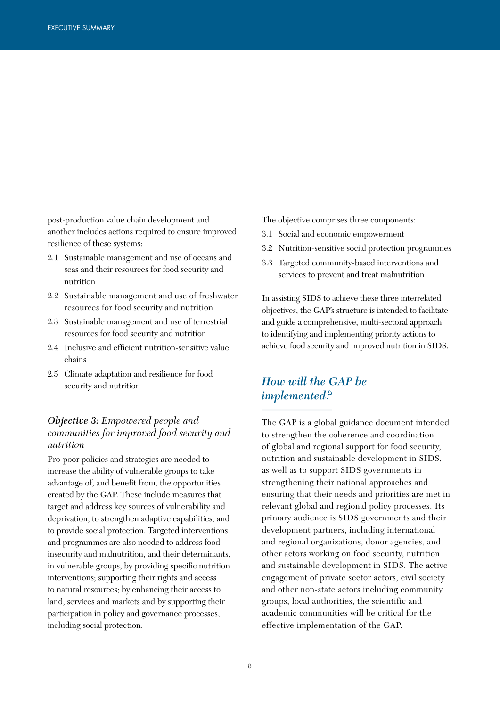post-production value chain development and another includes actions required to ensure improved resilience of these systems:

- 2.1 Sustainable management and use of oceans and seas and their resources for food security and nutrition
- 2.2 Sustainable management and use of freshwater resources for food security and nutrition
- 2.3 Sustainable management and use of terrestrial resources for food security and nutrition
- 2.4 Inclusive and efficient nutrition-sensitive value chains
- 2.5 Climate adaptation and resilience for food security and nutrition

#### *Objective 3: Empowered people and communities for improved food security and nutrition*

Pro-poor policies and strategies are needed to increase the ability of vulnerable groups to take advantage of, and benefit from, the opportunities created by the GAP. These include measures that target and address key sources of vulnerability and deprivation, to strengthen adaptive capabilities, and to provide social protection. Targeted interventions and programmes are also needed to address food insecurity and malnutrition, and their determinants, in vulnerable groups, by providing specific nutrition interventions; supporting their rights and access to natural resources; by enhancing their access to land, services and markets and by supporting their participation in policy and governance processes, including social protection.

- The objective comprises three components:
- 3.1 Social and economic empowerment
- 3.2 Nutrition-sensitive social protection programmes
- 3.3 Targeted community-based interventions and services to prevent and treat malnutrition

In assisting SIDS to achieve these three interrelated objectives, the GAP's structure is intended to facilitate and guide a comprehensive, multi-sectoral approach to identifying and implementing priority actions to achieve food security and improved nutrition in SIDS.

# *How will the GAP be implemented?*

The GAP is a global guidance document intended to strengthen the coherence and coordination of global and regional support for food security, nutrition and sustainable development in SIDS, as well as to support SIDS governments in strengthening their national approaches and ensuring that their needs and priorities are met in relevant global and regional policy processes. Its primary audience is SIDS governments and their development partners, including international and regional organizations, donor agencies, and other actors working on food security, nutrition and sustainable development in SIDS. The active engagement of private sector actors, civil society and other non-state actors including community groups, local authorities, the scientific and academic communities will be critical for the effective implementation of the GAP.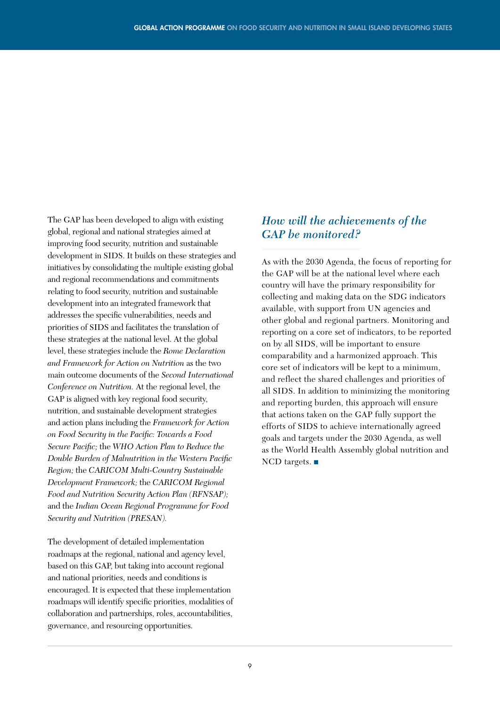The GAP has been developed to align with existing global, regional and national strategies aimed at improving food security, nutrition and sustainable development in SIDS. It builds on these strategies and initiatives by consolidating the multiple existing global and regional recommendations and commitments relating to food security, nutrition and sustainable development into an integrated framework that addresses the specific vulnerabilities, needs and priorities of SIDS and facilitates the translation of these strategies at the national level. At the global level, these strategies include the *Rome Declaration and Framework for Action on Nutrition* as the two main outcome documents of the *Second International Conference on Nutrition.* At the regional level, the GAP is aligned with key regional food security, nutrition, and sustainable development strategies and action plans including the *Framework for Action on Food Security in the Pacific: Towards a Food Secure Pacific;* the *WHO Action Plan to Reduce the Double Burden of Malnutrition in the Western Pacific Region;* the *CARICOM Multi-Country Sustainable Development Framework;* the *CARICOM Regional Food and Nutrition Security Action Plan (RFNSAP);*  and the *Indian Ocean Regional Programme for Food Security and Nutrition (PRESAN).*

The development of detailed implementation roadmaps at the regional, national and agency level, based on this GAP, but taking into account regional and national priorities, needs and conditions is encouraged. It is expected that these implementation roadmaps will identify specific priorities, modalities of collaboration and partnerships, roles, accountabilities, governance, and resourcing opportunities.

# *How will the achievements of the GAP be monitored?*

As with the 2030 Agenda, the focus of reporting for the GAP will be at the national level where each country will have the primary responsibility for collecting and making data on the SDG indicators available, with support from UN agencies and other global and regional partners. Monitoring and reporting on a core set of indicators, to be reported on by all SIDS, will be important to ensure comparability and a harmonized approach. This core set of indicators will be kept to a minimum, and reflect the shared challenges and priorities of all SIDS. In addition to minimizing the monitoring and reporting burden, this approach will ensure that actions taken on the GAP fully support the efforts of SIDS to achieve internationally agreed goals and targets under the 2030 Agenda, as well as the World Health Assembly global nutrition and NCD targets. ■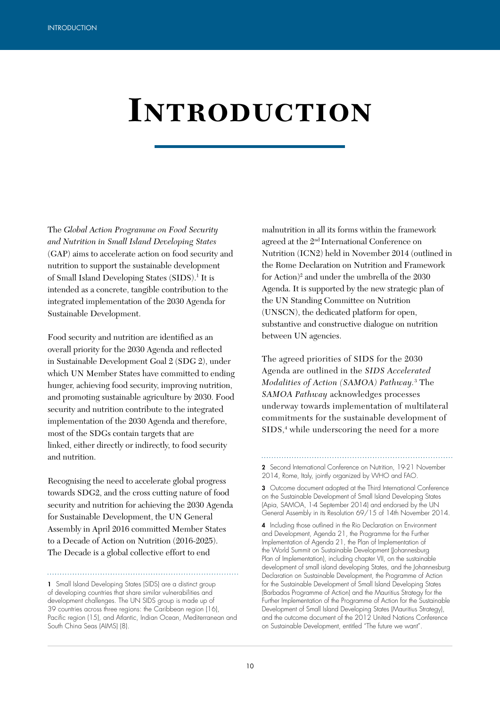# **Introduction**

The *Global Action Programme on Food Security and Nutrition in Small Island Developing States*  (GAP) aims to accelerate action on food security and nutrition to support the sustainable development of Small Island Developing States (SIDS).<sup>1</sup> It is intended as a concrete, tangible contribution to the integrated implementation of the 2030 Agenda for Sustainable Development.

Food security and nutrition are identified as an overall priority for the 2030 Agenda and reflected in Sustainable Development Goal 2 (SDG 2), under which UN Member States have committed to ending hunger, achieving food security, improving nutrition, and promoting sustainable agriculture by 2030. Food security and nutrition contribute to the integrated implementation of the 2030 Agenda and therefore, most of the SDGs contain targets that are linked, either directly or indirectly, to food security and nutrition.

Recognising the need to accelerate global progress towards SDG2, and the cross cutting nature of food security and nutrition for achieving the 2030 Agenda for Sustainable Development, the UN General Assembly in April 2016 committed Member States to a Decade of Action on Nutrition (2016-2025). The Decade is a global collective effort to end

malnutrition in all its forms within the framework agreed at the 2nd International Conference on Nutrition (ICN2) held in November 2014 (outlined in the Rome Declaration on Nutrition and Framework for Action)<sup>2</sup> and under the umbrella of the 2030 Agenda. It is supported by the new strategic plan of the UN Standing Committee on Nutrition (UNSCN), the dedicated platform for open, substantive and constructive dialogue on nutrition between UN agencies.

The agreed priorities of SIDS for the 2030 Agenda are outlined in the *SIDS Accelerated Modalities of Action (SAMOA) Pathway.*<sup>3</sup> The *SAMOA Pathway* acknowledges processes underway towards implementation of multilateral commitments for the sustainable development of SIDS,<sup>4</sup> while underscoring the need for a more

2 Second International Conference on Nutrition, 19-21 November 2014, Rome, Italy, jointly organized by WHO and FAO.

3 Outcome document adopted at the Third International Conference on the Sustainable Development of Small Island Developing States (Apia, SAMOA, 1-4 September 2014) and endorsed by the UN General Assembly in its Resolution 69/15 of 14th November 2014.

4 Including those outlined in the Rio Declaration on Environment and Development, Agenda 21, the Programme for the Further Implementation of Agenda 21, the Plan of Implementation of the World Summit on Sustainable Development (Johannesburg Plan of Implementation), including chapter VII, on the sustainable development of small island developing States, and the Johannesburg Declaration on Sustainable Development, the Programme of Action for the Sustainable Development of Small Island Developing States (Barbados Programme of Action) and the Mauritius Strategy for the Further Implementation of the Programme of Action for the Sustainable Development of Small Island Developing States (Mauritius Strategy), and the outcome document of the 2012 United Nations Conference on Sustainable Development, entitled "The future we want".

<sup>1</sup> Small Island Developing States (SIDS) are a distinct group of developing countries that share similar vulnerabilities and development challenges. The UN SIDS group is made up of 39 countries across three regions: the Caribbean region (16), Pacific region (15), and Atlantic, Indian Ocean, Mediterranean and South China Seas (AIMS) (8).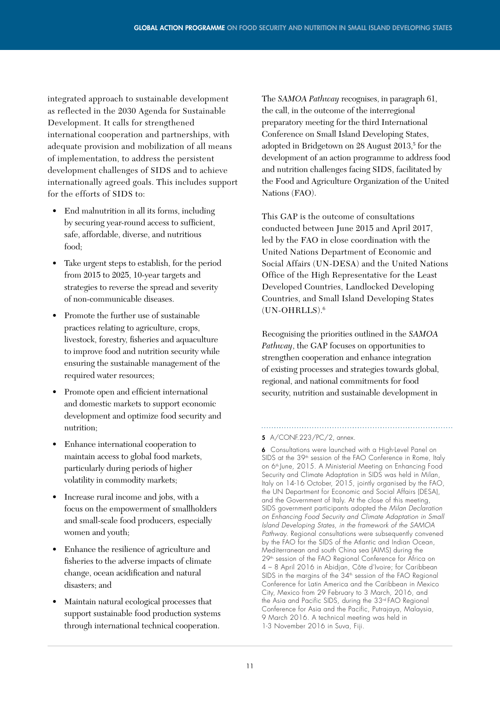integrated approach to sustainable development as reflected in the 2030 Agenda for Sustainable Development. It calls for strengthened international cooperation and partnerships, with adequate provision and mobilization of all means of implementation, to address the persistent development challenges of SIDS and to achieve internationally agreed goals. This includes support for the efforts of SIDS to:

- End malnutrition in all its forms, including by securing year-round access to sufficient, safe, affordable, diverse, and nutritious food;
- Take urgent steps to establish, for the period from 2015 to 2025, 10-year targets and strategies to reverse the spread and severity of non-communicable diseases.
- Promote the further use of sustainable practices relating to agriculture, crops, livestock, forestry, fisheries and aquaculture to improve food and nutrition security while ensuring the sustainable management of the required water resources;
- Promote open and efficient international and domestic markets to support economic development and optimize food security and nutrition;
- Enhance international cooperation to maintain access to global food markets, particularly during periods of higher volatility in commodity markets;
- Increase rural income and jobs, with a focus on the empowerment of smallholders and small-scale food producers, especially women and youth;
- Enhance the resilience of agriculture and fisheries to the adverse impacts of climate change, ocean acidification and natural disasters; and
- Maintain natural ecological processes that support sustainable food production systems through international technical cooperation.

The *SAMOA Pathway* recognises, in paragraph 61, the call, in the outcome of the interregional preparatory meeting for the third International Conference on Small Island Developing States, adopted in Bridgetown on 28 August 2013,<sup>5</sup> for the development of an action programme to address food and nutrition challenges facing SIDS, facilitated by the Food and Agriculture Organization of the United Nations (FAO).

This GAP is the outcome of consultations conducted between June 2015 and April 2017, led by the FAO in close coordination with the United Nations Department of Economic and Social Affairs (UN-DESA) and the United Nations Office of the High Representative for the Least Developed Countries, Landlocked Developing Countries, and Small Island Developing States (UN-OHRLLS).6

Recognising the priorities outlined in the *SAMOA Pathway*, the GAP focuses on opportunities to strengthen cooperation and enhance integration of existing processes and strategies towards global, regional, and national commitments for food security, nutrition and sustainable development in

#### 5 A/CONF.223/PC/2, annex.

6 Consultations were launched with a High-Level Panel on SIDS at the 39<sup>th</sup> session of the FAO Conference in Rome, Italy on 6<sup>th</sup> June, 2015. A Ministerial Meeting on Enhancing Food Security and Climate Adaptation in SIDS was held in Milan, Italy on 14-16 October, 2015, jointly organised by the FAO, the UN Department for Economic and Social Affairs (DESA), and the Government of Italy. At the close of this meeting, SIDS government participants adopted the *Milan Declaration on Enhancing Food Security and Climate Adaptation in Small Island Developing States, in the framework of the SAMOA Pathway.* Regional consultations were subsequently convened by the FAO for the SIDS of the Atlantic and Indian Ocean, Mediterranean and south China sea (AIMS) during the 29<sup>th</sup> session of the FAO Regional Conference for Africa on 4 – 8 April 2016 in Abidjan, Côte d'Ivoire; for Caribbean SIDS in the margins of the  $34<sup>th</sup>$  session of the FAO Regional Conference for Latin America and the Caribbean in Mexico City, Mexico from 29 February to 3 March, 2016, and the Asia and Pacific SIDS, during the 33rd FAO Regional Conference for Asia and the Pacific, Putrajaya, Malaysia, 9 March 2016. A technical meeting was held in 1-3 November 2016 in Suva, Fiji.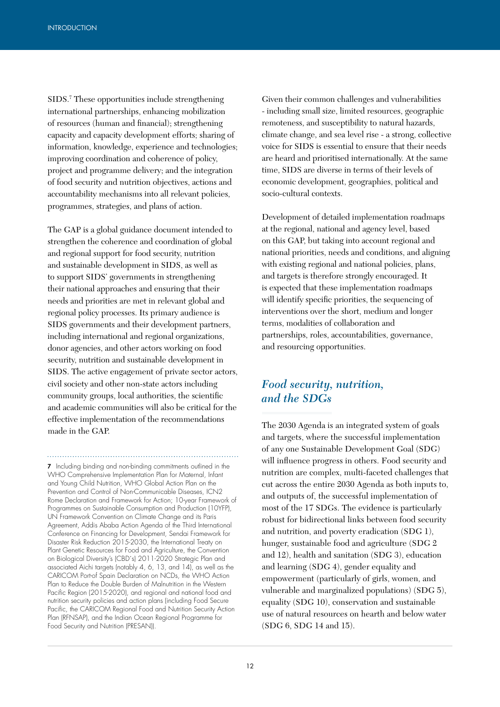SIDS.7 These opportunities include strengthening international partnerships, enhancing mobilization of resources (human and financial); strengthening capacity and capacity development efforts; sharing of information, knowledge, experience and technologies; improving coordination and coherence of policy, project and programme delivery; and the integration of food security and nutrition objectives, actions and accountability mechanisms into all relevant policies, programmes, strategies, and plans of action.

The GAP is a global guidance document intended to strengthen the coherence and coordination of global and regional support for food security, nutrition and sustainable development in SIDS, as well as to support SIDS' governments in strengthening their national approaches and ensuring that their needs and priorities are met in relevant global and regional policy processes. Its primary audience is SIDS governments and their development partners, including international and regional organizations, donor agencies, and other actors working on food security, nutrition and sustainable development in SIDS. The active engagement of private sector actors, civil society and other non-state actors including community groups, local authorities, the scientific and academic communities will also be critical for the effective implementation of the recommendations made in the GAP.

7 Including binding and non-binding commitments outlined in the WHO Comprehensive Implementation Plan for Maternal, Infant and Young Child Nutrition, WHO Global Action Plan on the Prevention and Control of Non-Communicable Diseases, ICN2 Rome Declaration and Framework for Action; 10-year Framework of Programmes on Sustainable Consumption and Production (10YFP), UN Framework Convention on Climate Change and its Paris Agreement, Addis Ababa Action Agenda of the Third International Conference on Financing for Development, Sendai Framework for Disaster Risk Reduction 2015-2030, the International Treaty on Plant Genetic Resources for Food and Agriculture, the Convention on Biological Diversity's (CBD´s) 2011-2020 Strategic Plan and associated Aichi targets (notably 4, 6, 13, and 14), as well as the CARICOM Port-of Spain Declaration on NCDs, the WHO Action Plan to Reduce the Double Burden of Malnutrition in the Western Pacific Region (2015-2020), and regional and national food and nutrition security policies and action plans (including Food Secure Pacific, the CARICOM Regional Food and Nutrition Security Action Plan (RFNSAP), and the Indian Ocean Regional Programme for Food Security and Nutrition (PRESAN)).

Given their common challenges and vulnerabilities - including small size, limited resources, geographic remoteness, and susceptibility to natural hazards, climate change, and sea level rise - a strong, collective voice for SIDS is essential to ensure that their needs are heard and prioritised internationally. At the same time, SIDS are diverse in terms of their levels of economic development, geographies, political and socio-cultural contexts.

Development of detailed implementation roadmaps at the regional, national and agency level, based on this GAP, but taking into account regional and national priorities, needs and conditions, and aligning with existing regional and national policies, plans, and targets is therefore strongly encouraged. It is expected that these implementation roadmaps will identify specific priorities, the sequencing of interventions over the short, medium and longer terms, modalities of collaboration and partnerships, roles, accountabilities, governance, and resourcing opportunities.

# *Food security, nutrition, and the SDGs*

The 2030 Agenda is an integrated system of goals and targets, where the successful implementation of any one Sustainable Development Goal (SDG) will influence progress in others. Food security and nutrition are complex, multi-faceted challenges that cut across the entire 2030 Agenda as both inputs to, and outputs of, the successful implementation of most of the 17 SDGs. The evidence is particularly robust for bidirectional links between food security and nutrition, and poverty eradication (SDG 1), hunger, sustainable food and agriculture (SDG 2 and 12), health and sanitation (SDG 3), education and learning (SDG 4), gender equality and empowerment (particularly of girls, women, and vulnerable and marginalized populations) (SDG 5), equality (SDG 10), conservation and sustainable use of natural resources on hearth and below water (SDG 6, SDG 14 and 15).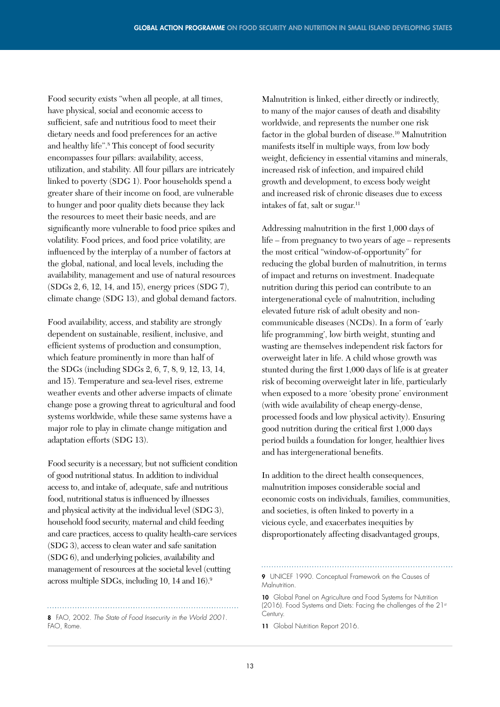Food security exists "when all people, at all times, have physical, social and economic access to sufficient, safe and nutritious food to meet their dietary needs and food preferences for an active and healthy life".8 This concept of food security encompasses four pillars: availability, access, utilization, and stability. All four pillars are intricately linked to poverty (SDG 1). Poor households spend a greater share of their income on food, are vulnerable to hunger and poor quality diets because they lack the resources to meet their basic needs, and are significantly more vulnerable to food price spikes and volatility. Food prices, and food price volatility, are influenced by the interplay of a number of factors at the global, national, and local levels, including the availability, management and use of natural resources (SDGs 2, 6, 12, 14, and 15), energy prices (SDG 7), climate change (SDG 13), and global demand factors.

Food availability, access, and stability are strongly dependent on sustainable, resilient, inclusive, and efficient systems of production and consumption, which feature prominently in more than half of the SDGs (including SDGs 2, 6, 7, 8, 9, 12, 13, 14, and 15). Temperature and sea-level rises, extreme weather events and other adverse impacts of climate change pose a growing threat to agricultural and food systems worldwide, while these same systems have a major role to play in climate change mitigation and adaptation efforts (SDG 13).

Food security is a necessary, but not sufficient condition of good nutritional status. In addition to individual access to, and intake of, adequate, safe and nutritious food, nutritional status is influenced by illnesses and physical activity at the individual level (SDG 3), household food security, maternal and child feeding and care practices, access to quality health-care services (SDG 3), access to clean water and safe sanitation (SDG 6), and underlying policies, availability and management of resources at the societal level (cutting across multiple SDGs, including 10, 14 and 16).9

8 FAO, 2002. *The State of Food Insecurity in the World 2001.*

FAO, Rome.

Malnutrition is linked, either directly or indirectly, to many of the major causes of death and disability worldwide, and represents the number one risk factor in the global burden of disease.<sup>10</sup> Malnutrition manifests itself in multiple ways, from low body weight, deficiency in essential vitamins and minerals, increased risk of infection, and impaired child growth and development, to excess body weight and increased risk of chronic diseases due to excess intakes of fat, salt or sugar.<sup>11</sup>

Addressing malnutrition in the first 1,000 days of life – from pregnancy to two years of age – represents the most critical "window-of-opportunity" for reducing the global burden of malnutrition, in terms of impact and returns on investment. Inadequate nutrition during this period can contribute to an intergenerational cycle of malnutrition, including elevated future risk of adult obesity and noncommunicable diseases (NCDs). In a form of ´early life programming', low birth weight, stunting and wasting are themselves independent risk factors for overweight later in life. A child whose growth was stunted during the first 1,000 days of life is at greater risk of becoming overweight later in life, particularly when exposed to a more 'obesity prone' environment (with wide availability of cheap energy-dense, processed foods and low physical activity). Ensuring good nutrition during the critical first 1,000 days period builds a foundation for longer, healthier lives and has intergenerational benefits.

In addition to the direct health consequences, malnutrition imposes considerable social and economic costs on individuals, families, communities, and societies, is often linked to poverty in a vicious cycle, and exacerbates inequities by disproportionately affecting disadvantaged groups,

11 Global Nutrition Report 2016.

<sup>9</sup> UNICEF 1990. Conceptual Framework on the Causes of Malnutrition.

<sup>10</sup> Global Panel on Agriculture and Food Systems for Nutrition (2016). Food Systems and Diets: Facing the challenges of the 21st Century.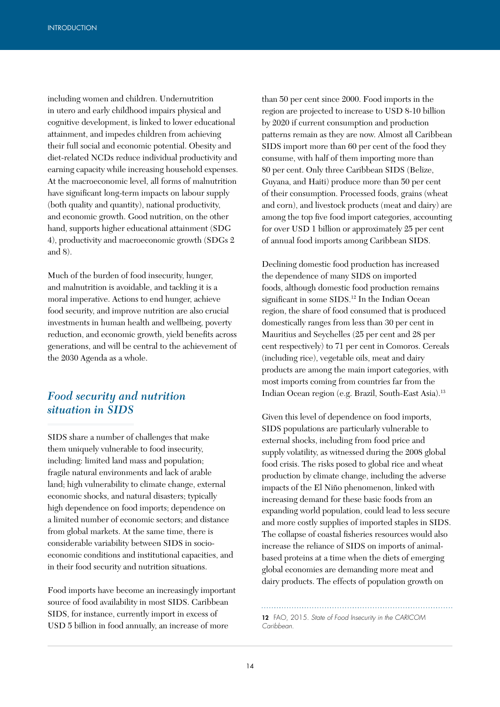including women and children. Undernutrition in utero and early childhood impairs physical and cognitive development, is linked to lower educational attainment, and impedes children from achieving their full social and economic potential. Obesity and diet-related NCDs reduce individual productivity and earning capacity while increasing household expenses. At the macroeconomic level, all forms of malnutrition have significant long-term impacts on labour supply (both quality and quantity), national productivity, and economic growth. Good nutrition, on the other hand, supports higher educational attainment (SDG 4), productivity and macroeconomic growth (SDGs 2 and 8).

Much of the burden of food insecurity, hunger, and malnutrition is avoidable, and tackling it is a moral imperative. Actions to end hunger, achieve food security, and improve nutrition are also crucial investments in human health and wellbeing, poverty reduction, and economic growth, yield benefits across generations, and will be central to the achievement of the 2030 Agenda as a whole.

### *Food security and nutrition situation in SIDS*

SIDS share a number of challenges that make them uniquely vulnerable to food insecurity, including: limited land mass and population; fragile natural environments and lack of arable land; high vulnerability to climate change, external economic shocks, and natural disasters; typically high dependence on food imports; dependence on a limited number of economic sectors; and distance from global markets. At the same time, there is considerable variability between SIDS in socioeconomic conditions and institutional capacities, and in their food security and nutrition situations.

Food imports have become an increasingly important source of food availability in most SIDS. Caribbean SIDS, for instance, currently import in excess of USD 5 billion in food annually, an increase of more

than 50 per cent since 2000. Food imports in the region are projected to increase to USD 8-10 billion by 2020 if current consumption and production patterns remain as they are now. Almost all Caribbean SIDS import more than 60 per cent of the food they consume, with half of them importing more than 80 per cent. Only three Caribbean SIDS (Belize, Guyana, and Haiti) produce more than 50 per cent of their consumption. Processed foods, grains (wheat and corn), and livestock products (meat and dairy) are among the top five food import categories, accounting for over USD 1 billion or approximately 25 per cent of annual food imports among Caribbean SIDS.

Declining domestic food production has increased the dependence of many SIDS on imported foods, although domestic food production remains significant in some SIDS.<sup>12</sup> In the Indian Ocean region, the share of food consumed that is produced domestically ranges from less than 30 per cent in Mauritius and Seychelles (25 per cent and 28 per cent respectively) to 71 per cent in Comoros. Cereals (including rice), vegetable oils, meat and dairy products are among the main import categories, with most imports coming from countries far from the Indian Ocean region (e.g. Brazil, South-East Asia).13

Given this level of dependence on food imports, SIDS populations are particularly vulnerable to external shocks, including from food price and supply volatility, as witnessed during the 2008 global food crisis. The risks posed to global rice and wheat production by climate change, including the adverse impacts of the El Niño phenomenon, linked with increasing demand for these basic foods from an expanding world population, could lead to less secure and more costly supplies of imported staples in SIDS. The collapse of coastal fisheries resources would also increase the reliance of SIDS on imports of animalbased proteins at a time when the diets of emerging global economies are demanding more meat and dairy products. The effects of population growth on

12 FAO, 2015. *State of Food Insecurity in the CARICOM Caribbean.*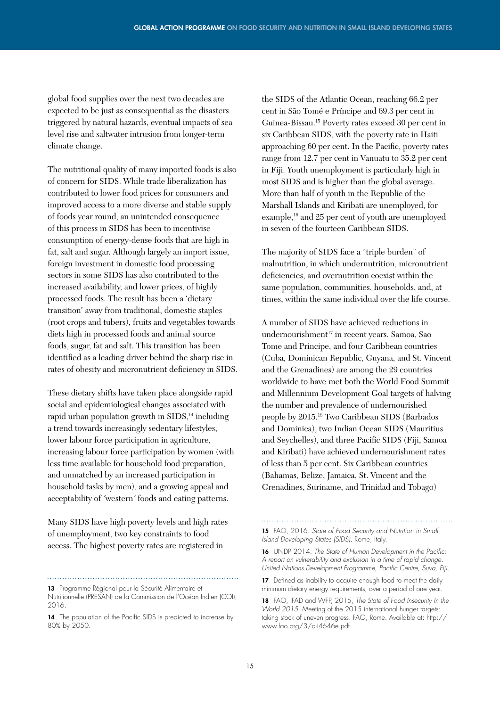global food supplies over the next two decades are expected to be just as consequential as the disasters triggered by natural hazards, eventual impacts of sea level rise and saltwater intrusion from longer-term climate change.

The nutritional quality of many imported foods is also of concern for SIDS. While trade liberalization has contributed to lower food prices for consumers and improved access to a more diverse and stable supply of foods year round, an unintended consequence of this process in SIDS has been to incentivise consumption of energy-dense foods that are high in fat, salt and sugar. Although largely an import issue, foreign investment in domestic food processing sectors in some SIDS has also contributed to the increased availability, and lower prices, of highly processed foods. The result has been a 'dietary transition' away from traditional, domestic staples (root crops and tubers), fruits and vegetables towards diets high in processed foods and animal source foods, sugar, fat and salt. This transition has been identified as a leading driver behind the sharp rise in rates of obesity and micronutrient deficiency in SIDS.

These dietary shifts have taken place alongside rapid social and epidemiological changes associated with rapid urban population growth in  $SIDS<sub>14</sub>$  including a trend towards increasingly sedentary lifestyles, lower labour force participation in agriculture, increasing labour force participation by women (with less time available for household food preparation, and unmatched by an increased participation in household tasks by men), and a growing appeal and acceptability of ´western´ foods and eating patterns.

Many SIDS have high poverty levels and high rates of unemployment, two key constraints to food access. The highest poverty rates are registered in

13 Programme Régional pour la Sécurité Alimentaire et

the SIDS of the Atlantic Ocean, reaching 66.2 per cent in São Tomé e Príncipe and 69.3 per cent in Guinea-Bissau.15 Poverty rates exceed 30 per cent in six Caribbean SIDS, with the poverty rate in Haiti approaching 60 per cent. In the Pacific, poverty rates range from 12.7 per cent in Vanuatu to 35.2 per cent in Fiji. Youth unemployment is particularly high in most SIDS and is higher than the global average. More than half of youth in the Republic of the Marshall Islands and Kiribati are unemployed, for example,<sup>16</sup> and 25 per cent of youth are unemployed in seven of the fourteen Caribbean SIDS.

The majority of SIDS face a "triple burden" of malnutrition, in which undernutrition, micronutrient deficiencies, and overnutrition coexist within the same population, communities, households, and, at times, within the same individual over the life course.

A number of SIDS have achieved reductions in undernourishment<sup>17</sup> in recent years. Samoa, Sao Tome and Principe, and four Caribbean countries (Cuba, Dominican Republic, Guyana, and St. Vincent and the Grenadines) are among the 29 countries worldwide to have met both the World Food Summit and Millennium Development Goal targets of halving the number and prevalence of undernourished people by 2015.18 Two Caribbean SIDS (Barbados and Dominica), two Indian Ocean SIDS (Mauritius and Seychelles), and three Pacific SIDS (Fiji, Samoa and Kiribati) have achieved undernourishment rates of less than 5 per cent. Six Caribbean countries (Bahamas, Belize, Jamaica, St. Vincent and the Grenadines, Suriname, and Trinidad and Tobago)

15 FAO, 2016. *State of Food Security and Nutrition in Small Island Developing States (SIDS).* Rome, Italy.

17 Defined as inability to acquire enough food to meet the daily minimum dietary energy requirements, over a period of one year.

Nutritionnelle (PRESAN) de la Commission de l'Océan Indien (COI), 2016.

<sup>14</sup> The population of the Pacific SIDS is predicted to increase by 80% by 2050.

<sup>16</sup> UNDP 2014. *The State of Human Development in the Pacific: A report on vulnerability and exclusion in a time of rapid change. United Nations Development Programme, Pacific Centre, Suva, Fiji.*

<sup>18</sup> FAO, IFAD and WFP, 2015, *The State of Food Insecurity In the World 2015.* Meeting of the 2015 international hunger targets: taking stock of uneven progress. FAO, Rome. Available at: http:// www.fao.org/3/a-i4646e.pdf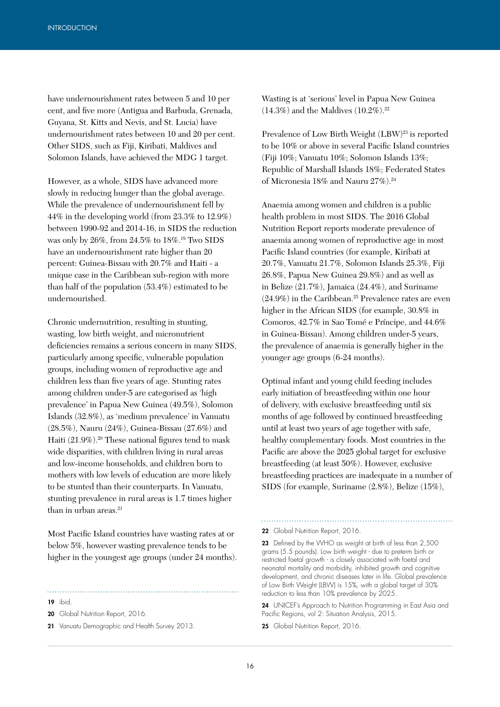have undernourishment rates between 5 and 10 per cent, and five more (Antigua and Barbuda, Grenada, Guyana, St. Kitts and Nevis, and St. Lucia) have undernourishment rates between 10 and 20 per cent. Other SIDS, such as Fiji, Kiribati, Maldives and Solomon Islands, have achieved the MDG 1 target.

However, as a whole, SIDS have advanced more slowly in reducing hunger than the global average. While the prevalence of undernourishment fell by 44% in the developing world (from 23.3% to 12.9%) between 1990-92 and 2014-16, in SIDS the reduction was only by 26%, from 24.5% to 18%.19 Two SIDS have an undernourishment rate higher than 20 percent: Guinea-Bissau with 20.7% and Haiti - a unique case in the Caribbean sub-region with more than half of the population (53.4%) estimated to be undernourished.

Chronic undernutrition, resulting in stunting, wasting, low birth weight, and micronutrient deficiencies remains a serious concern in many SIDS, particularly among specific, vulnerable population groups, including women of reproductive age and children less than five years of age. Stunting rates among children under-5 are categorised as 'high prevalence' in Papua New Guinea (49.5%), Solomon Islands (32.8%), as 'medium prevalence' in Vanuatu (28.5%), Nauru (24%), Guinea-Bissau (27.6%) and Haiti (21.9%).<sup>20</sup> These national figures tend to mask wide disparities, with children living in rural areas and low-income households, and children born to mothers with low levels of education are more likely to be stunted than their counterparts. In Vanuatu, stunting prevalence in rural areas is 1.7 times higher than in urban areas.<sup>21</sup>

Most Pacific Island countries have wasting rates at or below 5%, however wasting prevalence tends to be higher in the youngest age groups (under 24 months).

19 ibid.

20 Global Nutrition Report, 2016.

21 Vanuatu Demographic and Health Survey 2013.

Wasting is at 'serious' level in Papua New Guinea  $(14.3\%)$  and the Maldives  $(10.2\%)$ .<sup>22</sup>

Prevalence of Low Birth Weight (LBW)<sup>23</sup> is reported to be 10% or above in several Pacific Island countries (Fiji 10%; Vanuatu 10%; Solomon Islands 13%; Republic of Marshall Islands 18%; Federated States of Micronesia 18% and Nauru 27%).24

Anaemia among women and children is a public health problem in most SIDS. The 2016 Global Nutrition Report reports moderate prevalence of anaemia among women of reproductive age in most Pacific Island countries (for example, Kiribati at 20.7%, Vanuatu 21.7%, Solomon Islands 25.3%, Fiji 26.8%, Papua New Guinea 29.8%) and as well as in Belize (21.7%), Jamaica (24.4%), and Suriname  $(24.9\%)$  in the Caribbean.<sup>25</sup> Prevalence rates are even higher in the African SIDS (for example, 30.8% in Comoros, 42.7% in Sao Tomé e Príncipe, and 44.6% in Guinea-Bissau). Among children under-5 years, the prevalence of anaemia is generally higher in the younger age groups (6-24 months).

Optimal infant and young child feeding includes early initiation of breastfeeding within one hour of delivery, with exclusive breastfeeding until six months of age followed by continued breastfeeding until at least two years of age together with safe, healthy complementary foods. Most countries in the Pacific are above the 2025 global target for exclusive breastfeeding (at least 50%). However, exclusive breastfeeding practices are inadequate in a number of SIDS (for example, Suriname (2.8%), Belize (15%),

22 Global Nutrition Report, 2016.

23 Defined by the WHO as weight at birth of less than 2,500 grams (5.5 pounds). Low birth weight - due to preterm birth or restricted foetal growth - is closely associated with foetal and neonatal mortality and morbidity, inhibited growth and cognitive development, and chronic diseases later in life. Global prevalence of Low Birth Weight (LBW) is 15%, with a global target of 30% reduction to less than 10% prevalence by 2025.

24 UNICEF's Approach to Nutrition Programming in East Asia and Pacific Regions, vol 2: Situation Analysis, 2015.

25 Global Nutrition Report, 2016.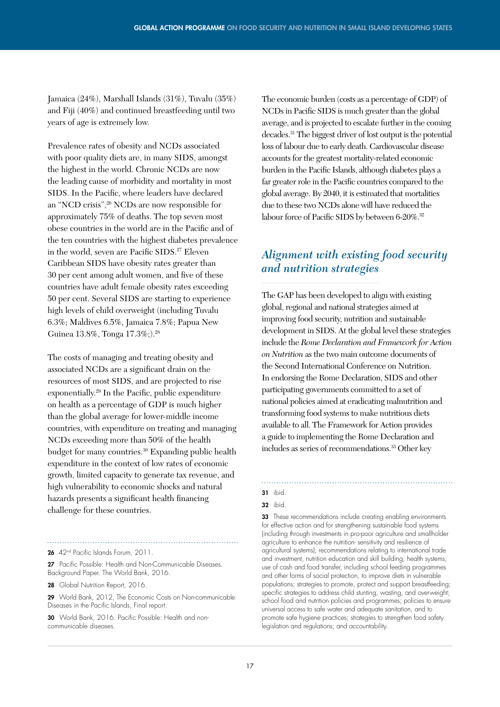Jamaica (24%), Marshall Islands (31%), Tuvalu (35%) and Fiji (40%) and continued breastfeeding until two years of age is extremely low.

Prevalence rates of obesity and NCDs associated with poor quality diets are, in many SIDS, amongst the highest in the world. Chronic NCDs are now the leading cause of morbidity and mortality in most SIDS. In the Pacific, where leaders have declared an "NCD crisis",26 NCDs are now responsible for approximately 75% of deaths. The top seven most obese countries in the world are in the Pacific and of the ten countries with the highest diabetes prevalence in the world, seven are Pacific SIDS.<sup>27</sup> Eleven Caribbean SIDS have obesity rates greater than 30 per cent among adult women, and five of these countries have adult female obesity rates exceeding 50 per cent. Several SIDS are starting to experience high levels of child overweight (including Tuvalu 6.3%; Maldives 6.5%, Jamaica 7.8%; Papua New Guinea 13.8%, Tonga 17.3%;).<sup>28</sup>

The costs of managing and treating obesity and associated NCDs are a significant drain on the resources of most SIDS, and are projected to rise exponentially.29 In the Pacific, public expenditure on health as a percentage of GDP is much higher than the global average for lower-middle income countries, with expenditure on treating and managing NCDs exceeding more than 50% of the health budget for many countries.<sup>30</sup> Expanding public health expenditure in the context of low rates of economic growth, limited capacity to generate tax revenue, and high vulnerability to economic shocks and natural hazards presents a significant health financing challenge for these countries.

26 42<sup>nd</sup> Pacific Islands Forum, 2011.

27 Pacific Possible: Health and Non-Communicable Diseases. Background Paper. The World Bank, 2016.

28 Global Nutrition Report, 2016.

29 World Bank, 2012, The Economic Costs on Non-communicable Diseases in the Pacific Islands, Final report.

30 World Bank, 2016. Pacific Possible: Health and noncommunicable diseases.

The economic burden (costs as a percentage of GDP) of NCDs in Pacific SIDS is much greater than the global average, and is projected to escalate further in the coming decades.31 The biggest driver of lost output is the potential loss of labour due to early death. Cardiovascular disease accounts for the greatest mortality-related economic burden in the Pacific Islands, although diabetes plays a far greater role in the Pacific countries compared to the global average. By 2040, it is estimated that mortalities due to these two NCDs alone will have reduced the labour force of Pacific SIDS by between 6-20%.<sup>32</sup>

### *Alignment with existing food security and nutrition strategies*

The GAP has been developed to align with existing global, regional and national strategies aimed at improving food security, nutrition and sustainable development in SIDS. At the global level these strategies include the *Rome Declaration and Framework for Action on Nutrition* as the two main outcome documents of the Second International Conference on Nutrition. In endorsing the Rome Declaration, SIDS and other participating governments committed to a set of national policies aimed at eradicating malnutrition and transforming food systems to make nutritious diets available to all. The Framework for Action provides a guide to implementing the Rome Declaration and includes as series of recommendations.33 Other key

33 These recommendations include creating enabling environments for effective action and for strengthening sustainable food systems (including through investments in pro-poor agriculture and smallholder agriculture to enhance the nutrition- sensitivity and resilience of agricultural systems); recommendations relating to international trade and investment, nutrition education and skill building; health systems; use of cash and food transfer, including school feeding programmes and other forms of social protection, to improve diets in vulnerable populations; strategies to promote, protect and support breastfeeding; specific strategies to address child stunting, wasting, and overweight; school food and nutrition policies and programmes; policies to ensure universal access to safe water and adequate sanitation, and to promote safe hygiene practices; strategies to strengthen food safety legislation and regulations; and accountability.

<sup>31</sup> ibid.

**<sup>32</sup>** ibid.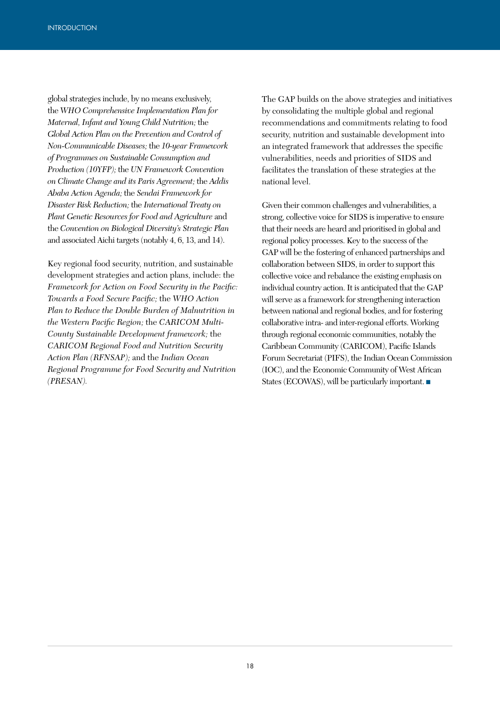global strategies include, by no means exclusively, the *WHO Comprehensive Implementation Plan for Maternal, Infant and Young Child Nutrition;* the *Global Action Plan on the Prevention and Control of Non-Communicable Diseases;* the *10-year Framework of Programmes on Sustainable Consumption and Production (10YFP);* the *UN Framework Convention on Climate Change and its Paris Agreement;* the *Addis Ababa Action Agenda;* the *Sendai Framework for Disaster Risk Reduction;* the *International Treaty on Plant Genetic Resources for Food and Agriculture* and the *Convention on Biological Diversity's Strategic Plan* and associated Aichi targets (notably 4, 6, 13, and 14).

Key regional food security, nutrition, and sustainable development strategies and action plans, include: the *Framework for Action on Food Security in the Pacific: Towards a Food Secure Pacific;* the *WHO Action Plan to Reduce the Double Burden of Malnutrition in the Western Pacific Region;* the *CARICOM Multi-County Sustainable Development framework;* the *CARICOM Regional Food and Nutrition Security Action Plan (RFNSAP);* and the *Indian Ocean Regional Programme for Food Security and Nutrition (PRESAN).*

The GAP builds on the above strategies and initiatives by consolidating the multiple global and regional recommendations and commitments relating to food security, nutrition and sustainable development into an integrated framework that addresses the specific vulnerabilities, needs and priorities of SIDS and facilitates the translation of these strategies at the national level.

Given their common challenges and vulnerabilities, a strong, collective voice for SIDS is imperative to ensure that their needs are heard and prioritised in global and regional policy processes. Key to the success of the GAP will be the fostering of enhanced partnerships and collaboration between SIDS, in order to support this collective voice and rebalance the existing emphasis on individual country action. It is anticipated that the GAP will serve as a framework for strengthening interaction between national and regional bodies, and for fostering collaborative intra- and inter-regional efforts. Working through regional economic communities, notably the Caribbean Community (CARICOM), Pacific Islands Forum Secretariat (PIFS), the Indian Ocean Commission (IOC), and the Economic Community of West African States (ECOWAS), will be particularly important. ■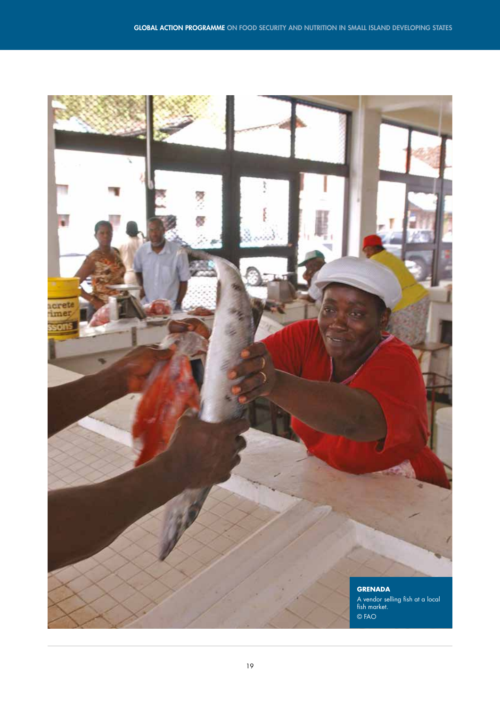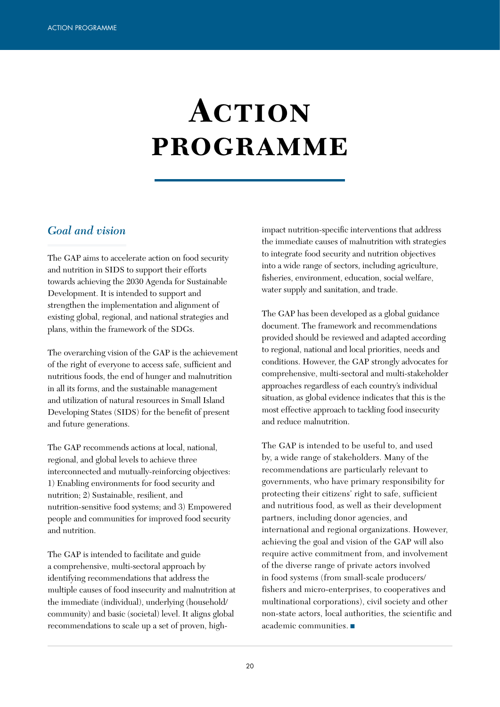# **Action programme**

### *Goal and vision*

The GAP aims to accelerate action on food security and nutrition in SIDS to support their efforts towards achieving the 2030 Agenda for Sustainable Development. It is intended to support and strengthen the implementation and alignment of existing global, regional, and national strategies and plans, within the framework of the SDGs.

The overarching vision of the GAP is the achievement of the right of everyone to access safe, sufficient and nutritious foods, the end of hunger and malnutrition in all its forms, and the sustainable management and utilization of natural resources in Small Island Developing States (SIDS) for the benefit of present and future generations.

The GAP recommends actions at local, national, regional, and global levels to achieve three interconnected and mutually-reinforcing objectives: 1) Enabling environments for food security and nutrition; 2) Sustainable, resilient, and nutrition-sensitive food systems; and 3) Empowered people and communities for improved food security and nutrition.

The GAP is intended to facilitate and guide a comprehensive, multi-sectoral approach by identifying recommendations that address the multiple causes of food insecurity and malnutrition at the immediate (individual), underlying (household/ community) and basic (societal) level. It aligns global recommendations to scale up a set of proven, highimpact nutrition-specific interventions that address the immediate causes of malnutrition with strategies to integrate food security and nutrition objectives into a wide range of sectors, including agriculture, fisheries, environment, education, social welfare, water supply and sanitation, and trade.

The GAP has been developed as a global guidance document. The framework and recommendations provided should be reviewed and adapted according to regional, national and local priorities, needs and conditions. However, the GAP strongly advocates for comprehensive, multi-sectoral and multi-stakeholder approaches regardless of each country's individual situation, as global evidence indicates that this is the most effective approach to tackling food insecurity and reduce malnutrition.

The GAP is intended to be useful to, and used by, a wide range of stakeholders. Many of the recommendations are particularly relevant to governments, who have primary responsibility for protecting their citizens' right to safe, sufficient and nutritious food, as well as their development partners, including donor agencies, and international and regional organizations. However, achieving the goal and vision of the GAP will also require active commitment from, and involvement of the diverse range of private actors involved in food systems (from small-scale producers/ fishers and micro-enterprises, to cooperatives and multinational corporations), civil society and other non-state actors, local authorities, the scientific and academic communities. ■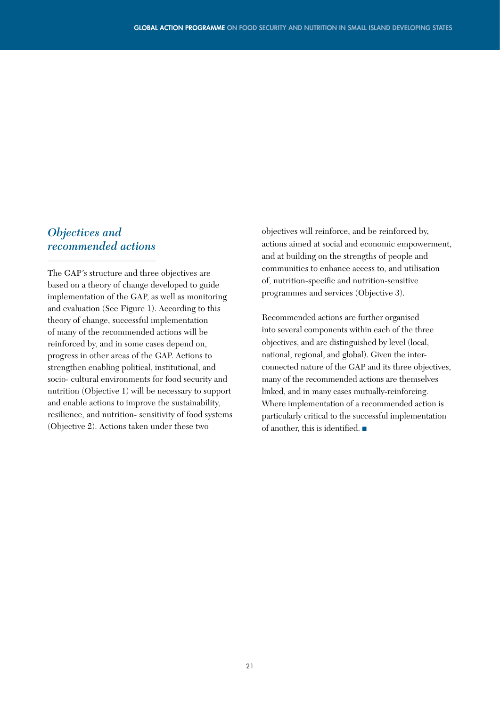### *Objectives and recommended actions*

The GAP´s structure and three objectives are based on a theory of change developed to guide implementation of the GAP, as well as monitoring and evaluation (See Figure 1). According to this theory of change, successful implementation of many of the recommended actions will be reinforced by, and in some cases depend on, progress in other areas of the GAP. Actions to strengthen enabling political, institutional, and socio- cultural environments for food security and nutrition (Objective 1) will be necessary to support and enable actions to improve the sustainability, resilience, and nutrition- sensitivity of food systems (Objective 2). Actions taken under these two

objectives will reinforce, and be reinforced by, actions aimed at social and economic empowerment, and at building on the strengths of people and communities to enhance access to, and utilisation of, nutrition-specific and nutrition-sensitive programmes and services (Objective 3).

Recommended actions are further organised into several components within each of the three objectives, and are distinguished by level (local, national, regional, and global). Given the interconnected nature of the GAP and its three objectives, many of the recommended actions are themselves linked, and in many cases mutually-reinforcing. Where implementation of a recommended action is particularly critical to the successful implementation of another, this is identified. ■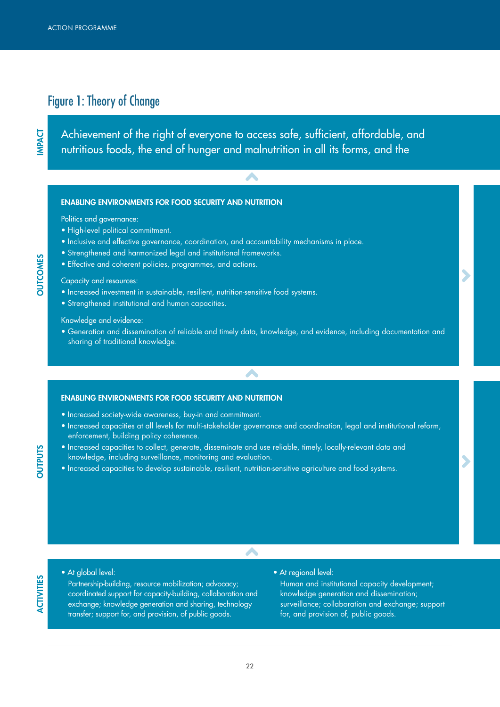# Figure 1: Theory of Change

Achievement of the right of everyone to access safe, sufficient, affordable, and nutritious foods, the end of hunger and malnutrition in all its forms, and the

A

#### ENABLING ENVIRONMENTS FOR FOOD SECURITY AND NUTRITION

Politics and governance:

- High-level political commitment.
- Inclusive and effective governance, coordination, and accountability mechanisms in place.
- Strengthened and harmonized legal and institutional frameworks.
- Effective and coherent policies, programmes, and actions.

#### Capacity and resources:

- Increased investment in sustainable, resilient, nutrition-sensitive food systems.
- Strengthened institutional and human capacities.

#### Knowledge and evidence:

• Generation and dissemination of reliable and timely data, knowledge, and evidence, including documentation and sharing of traditional knowledge.

 $\mathcal{A}$ 

#### ENABLING ENVIRONMENTS FOR FOOD SECURITY AND NUTRITION

- Increased society-wide awareness, buy-in and commitment.
- Increased capacities at all levels for multi-stakeholder governance and coordination, legal and institutional reform, enforcement, building policy coherence.

A

- Increased capacities to collect, generate, disseminate and use reliable, timely, locally-relevant data and knowledge, including surveillance, monitoring and evaluation.
- Increased capacities to develop sustainable, resilient, nutrition-sensitive agriculture and food systems.

**INPACT** 

# OUTPUTS

ACTIVITIES

**ACTIVITIES** 

• At global level:

Partnership-building, resource mobilization; advocacy; coordinated support for capacity-building, collaboration and exchange; knowledge generation and sharing, technology transfer; support for, and provision, of public goods.

• At regional level:

Human and institutional capacity development; knowledge generation and dissemination; surveillance; collaboration and exchange; support for, and provision of, public goods.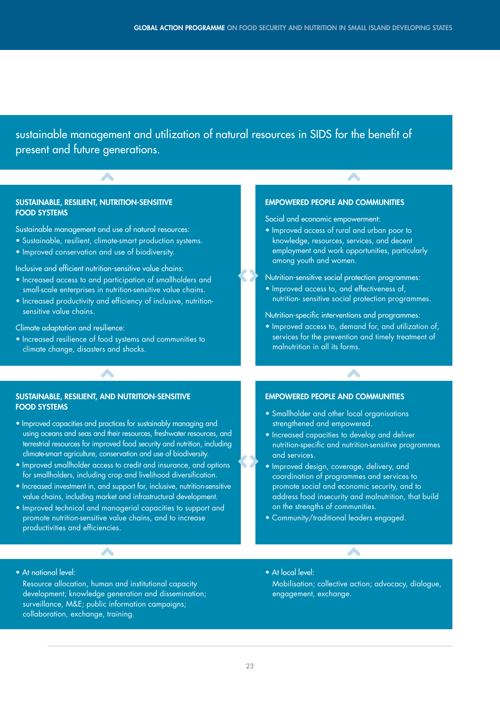sustainable management and utilization of natural resources in SIDS for the benefit of present and future generations.

#### SUSTAINABLE, RESILIENT, NUTRITION-SENSITIVE FOOD SYSTEMS

Sustainable management and use of natural resources:

**A** 

- Sustainable, resilient, climate-smart production systems.
- Improved conservation and use of biodiversity.

Inclusive and efficient nutrition-sensitive value chains:

- Increased access to and participation of smallholders and small-scale enterprises in nutrition-sensitive value chains.
- Increased productivity and efficiency of inclusive, nutritionsensitive value chains.

#### Climate adaptation and resilience:

• Increased resilience of food systems and communities to climate change, disasters and shocks.

#### EMPOWERED PEOPLE AND COMMUNITIES

Social and economic empowerment:

• Improved access of rural and urban poor to knowledge, resources, services, and decent employment and work opportunities, particularly among youth and women.

A

Nutrition-sensitive social protection programmes:

- Improved access to, and effectiveness of, nutrition- sensitive social protection programmes.
- Nutrition-specific interventions and programmes:
- Improved access to, demand for, and utilization of, services for the prevention and timely treatment of malnutrition in all its forms.

 $\mathcal{L}_{\mathbf{A}}$ 

#### SUSTAINABLE, RESILIENT, AND NUTRITION-SENSITIVE FOOD SYSTEMS

 $\mathcal{L}_{\mathbf{A}}$ 

- Improved capacities and practices for sustainably managing and using oceans and seas and their resources, freshwater resources, and terrestrial resources for improved food security and nutrition, including climate-smart agriculture, conservation and use of biodiversity.
- Improved smallholder access to credit and insurance, and options for smallholders, including crop and livelihood diversification.
- Increased investment in, and support for, inclusive, nutrition-sensitive value chains, including market and infrastructural development.
- Improved technical and managerial capacities to support and promote nutrition-sensitive value chains, and to increase productivities and efficiencies.

#### EMPOWERED PEOPLE AND COMMUNITIES

- Smallholder and other local organisations strengthened and empowered.
- Increased capacities to develop and deliver nutrition-specific and nutrition-sensitive programmes and services.
- Improved design, coverage, delivery, and coordination of programmes and services to promote social and economic security, and to address food insecurity and malnutrition, that build on the strengths of communities.
- Community/traditional leaders engaged.

• At national level:

Resource allocation, human and institutional capacity development; knowledge generation and dissemination; surveillance, M&E; public information campaigns; collaboration, exchange, training.

A

• At local level:

Mobilisation; collective action; advocacy, dialogue, engagement, exchange.

**A**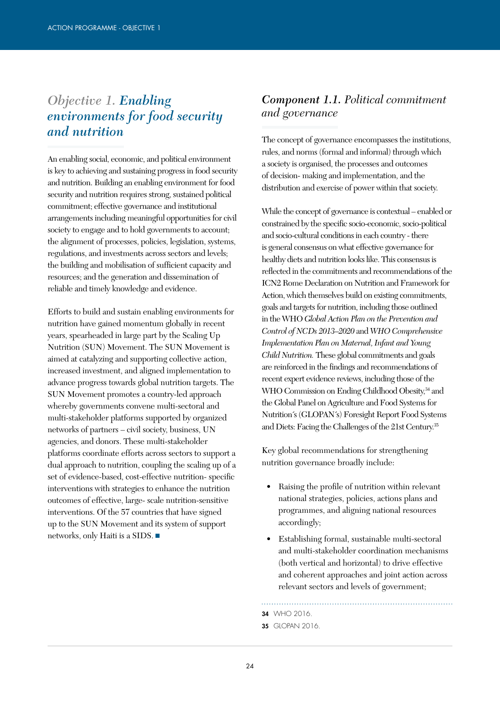# *Objective 1. Enabling environments for food security and nutrition*

An enabling social, economic, and political environment is key to achieving and sustaining progress in food security and nutrition. Building an enabling environment for food security and nutrition requires strong, sustained political commitment; effective governance and institutional arrangements including meaningful opportunities for civil society to engage and to hold governments to account; the alignment of processes, policies, legislation, systems, regulations, and investments across sectors and levels; the building and mobilisation of sufficient capacity and resources; and the generation and dissemination of reliable and timely knowledge and evidence.

Efforts to build and sustain enabling environments for nutrition have gained momentum globally in recent years, spearheaded in large part by the Scaling Up Nutrition (SUN) Movement. The SUN Movement is aimed at catalyzing and supporting collective action, increased investment, and aligned implementation to advance progress towards global nutrition targets. The SUN Movement promotes a country-led approach whereby governments convene multi-sectoral and multi-stakeholder platforms supported by organized networks of partners – civil society, business, UN agencies, and donors. These multi-stakeholder platforms coordinate efforts across sectors to support a dual approach to nutrition, coupling the scaling up of a set of evidence-based, cost-effective nutrition- specific interventions with strategies to enhance the nutrition outcomes of effective, large- scale nutrition-sensitive interventions. Of the 57 countries that have signed up to the SUN Movement and its system of support networks, only Haiti is a SIDS. ■

### *Component 1.1. Political commitment and governance*

The concept of governance encompasses the institutions, rules, and norms (formal and informal) through which a society is organised, the processes and outcomes of decision- making and implementation, and the distribution and exercise of power within that society.

While the concept of governance is contextual – enabled or constrained by the specific socio-economic, socio-political and socio-cultural conditions in each country - there is general consensus on what effective governance for healthy diets and nutrition looks like. This consensus is reflected in the commitments and recommendations of the ICN2 Rome Declaration on Nutrition and Framework for Action, which themselves build on existing commitments, goals and targets for nutrition, including those outlined in the WHO *Global Action Plan on the Prevention and Control of NCDs 2013–2020* and *WHO Comprehensive Implementation Plan on Maternal, Infant and Young Child Nutrition.* These global commitments and goals are reinforced in the findings and recommendations of recent expert evidence reviews, including those of the WHO Commission on Ending Childhood Obesity,<sup>34</sup> and the Global Panel on Agriculture and Food Systems for Nutrition´s (GLOPAN´s) Foresight Report Food Systems and Diets: Facing the Challenges of the 21st Century.35

Key global recommendations for strengthening nutrition governance broadly include:

- Raising the profile of nutrition within relevant national strategies, policies, actions plans and programmes, and aligning national resources accordingly;
- Establishing formal, sustainable multi-sectoral and multi-stakeholder coordination mechanisms (both vertical and horizontal) to drive effective and coherent approaches and joint action across relevant sectors and levels of government;

34 WHO 2016.

 $24$ 

**<sup>35</sup> GLOPAN 2016.**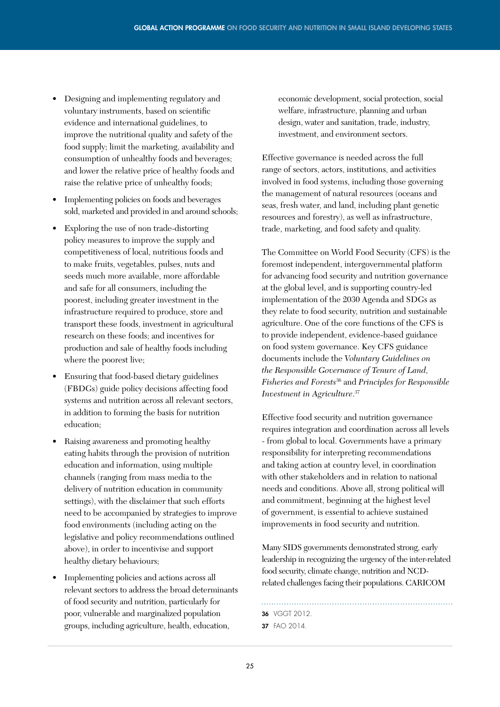- Designing and implementing regulatory and voluntary instruments, based on scientific evidence and international guidelines, to improve the nutritional quality and safety of the food supply; limit the marketing, availability and consumption of unhealthy foods and beverages; and lower the relative price of healthy foods and raise the relative price of unhealthy foods;
- Implementing policies on foods and beverages sold, marketed and provided in and around schools;
- Exploring the use of non trade-distorting policy measures to improve the supply and competitiveness of local, nutritious foods and to make fruits, vegetables, pulses, nuts and seeds much more available, more affordable and safe for all consumers, including the poorest, including greater investment in the infrastructure required to produce, store and transport these foods, investment in agricultural research on these foods; and incentives for production and sale of healthy foods including where the poorest live;
- Ensuring that food-based dietary guidelines (FBDGs) guide policy decisions affecting food systems and nutrition across all relevant sectors, in addition to forming the basis for nutrition education;
- Raising awareness and promoting healthy eating habits through the provision of nutrition education and information, using multiple channels (ranging from mass media to the delivery of nutrition education in community settings), with the disclaimer that such efforts need to be accompanied by strategies to improve food environments (including acting on the legislative and policy recommendations outlined above), in order to incentivise and support healthy dietary behaviours;
- Implementing policies and actions across all relevant sectors to address the broad determinants of food security and nutrition, particularly for poor, vulnerable and marginalized population groups, including agriculture, health, education,

economic development, social protection, social welfare, infrastructure, planning and urban design, water and sanitation, trade, industry, investment, and environment sectors.

Effective governance is needed across the full range of sectors, actors, institutions, and activities involved in food systems, including those governing the management of natural resources (oceans and seas, fresh water, and land, including plant genetic resources and forestry), as well as infrastructure, trade, marketing, and food safety and quality.

The Committee on World Food Security (CFS) is the foremost independent, intergovernmental platform for advancing food security and nutrition governance at the global level, and is supporting country-led implementation of the 2030 Agenda and SDGs as they relate to food security, nutrition and sustainable agriculture. One of the core functions of the CFS is to provide independent, evidence-based guidance on food system governance. Key CFS guidance documents include the *Voluntary Guidelines on the Responsible Governance of Tenure of Land, Fisheries and Forests*36 and *Principles for Responsible Investment in Agriculture*. 37

Effective food security and nutrition governance requires integration and coordination across all levels - from global to local. Governments have a primary responsibility for interpreting recommendations and taking action at country level, in coordination with other stakeholders and in relation to national needs and conditions. Above all, strong political will and commitment, beginning at the highest level of government, is essential to achieve sustained improvements in food security and nutrition.

Many SIDS governments demonstrated strong, early leadership in recognizing the urgency of the inter-related food security, climate change, nutrition and NCDrelated challenges facing their populations. CARICOM

36 VGGT 2012.

<sup>37</sup> FAO 2014.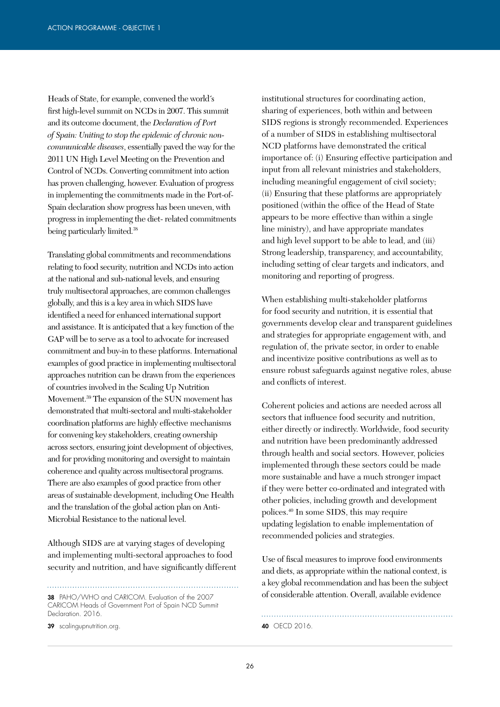Heads of State, for example, convened the world´s first high-level summit on NCDs in 2007. This summit and its outcome document, the *Declaration of Port of Spain: Uniting to stop the epidemic of chronic noncommunicable diseases*, essentially paved the way for the 2011 UN High Level Meeting on the Prevention and Control of NCDs. Converting commitment into action has proven challenging, however. Evaluation of progress in implementing the commitments made in the Port-of-Spain declaration show progress has been uneven, with progress in implementing the diet- related commitments being particularly limited.38

Translating global commitments and recommendations relating to food security, nutrition and NCDs into action at the national and sub-national levels, and ensuring truly multisectoral approaches, are common challenges globally, and this is a key area in which SIDS have identified a need for enhanced international support and assistance. It is anticipated that a key function of the GAP will be to serve as a tool to advocate for increased commitment and buy-in to these platforms. International examples of good practice in implementing multisectoral approaches nutrition can be drawn from the experiences of countries involved in the Scaling Up Nutrition Movement.39 The expansion of the SUN movement has demonstrated that multi-sectoral and multi-stakeholder coordination platforms are highly effective mechanisms for convening key stakeholders, creating ownership across sectors, ensuring joint development of objectives, and for providing monitoring and oversight to maintain coherence and quality across multisectoral programs. There are also examples of good practice from other areas of sustainable development, including One Health and the translation of the global action plan on Anti-Microbial Resistance to the national level.

Although SIDS are at varying stages of developing and implementing multi-sectoral approaches to food security and nutrition, and have significantly different

38 PAHO/WHO and CARICOM. Evaluation of the 2007

CARICOM Heads of Government Port of Spain NCD Summit Declaration. 2016.

39 scalingupnutrition.org. 40 OECD 2016.

institutional structures for coordinating action, sharing of experiences, both within and between SIDS regions is strongly recommended. Experiences of a number of SIDS in establishing multisectoral NCD platforms have demonstrated the critical importance of: (i) Ensuring effective participation and input from all relevant ministries and stakeholders, including meaningful engagement of civil society; (ii) Ensuring that these platforms are appropriately positioned (within the office of the Head of State appears to be more effective than within a single line ministry), and have appropriate mandates and high level support to be able to lead, and (iii) Strong leadership, transparency, and accountability, including setting of clear targets and indicators, and monitoring and reporting of progress.

When establishing multi-stakeholder platforms for food security and nutrition, it is essential that governments develop clear and transparent guidelines and strategies for appropriate engagement with, and regulation of, the private sector, in order to enable and incentivize positive contributions as well as to ensure robust safeguards against negative roles, abuse and conflicts of interest.

Coherent policies and actions are needed across all sectors that influence food security and nutrition, either directly or indirectly. Worldwide, food security and nutrition have been predominantly addressed through health and social sectors. However, policies implemented through these sectors could be made more sustainable and have a much stronger impact if they were better co-ordinated and integrated with other policies, including growth and development polices.40 In some SIDS, this may require updating legislation to enable implementation of recommended policies and strategies.

Use of fiscal measures to improve food environments and diets, as appropriate within the national context, is a key global recommendation and has been the subject of considerable attention. Overall, available evidence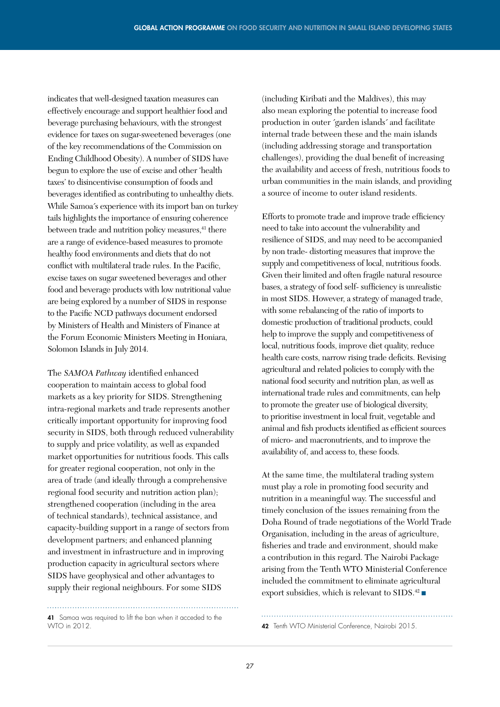indicates that well-designed taxation measures can effectively encourage and support healthier food and beverage purchasing behaviours, with the strongest evidence for taxes on sugar-sweetened beverages (one of the key recommendations of the Commission on Ending Childhood Obesity). A number of SIDS have begun to explore the use of excise and other 'health taxes' to disincentivise consumption of foods and beverages identified as contributing to unhealthy diets. While Samoa´s experience with its import ban on turkey tails highlights the importance of ensuring coherence between trade and nutrition policy measures,<sup>41</sup> there are a range of evidence-based measures to promote healthy food environments and diets that do not conflict with multilateral trade rules. In the Pacific, excise taxes on sugar sweetened beverages and other food and beverage products with low nutritional value are being explored by a number of SIDS in response to the Pacific NCD pathways document endorsed by Ministers of Health and Ministers of Finance at the Forum Economic Ministers Meeting in Honiara, Solomon Islands in July 2014.

The *SAMOA Pathway* identified enhanced cooperation to maintain access to global food markets as a key priority for SIDS. Strengthening intra-regional markets and trade represents another critically important opportunity for improving food security in SIDS, both through reduced vulnerability to supply and price volatility, as well as expanded market opportunities for nutritious foods. This calls for greater regional cooperation, not only in the area of trade (and ideally through a comprehensive regional food security and nutrition action plan); strengthened cooperation (including in the area of technical standards), technical assistance, and capacity-building support in a range of sectors from development partners; and enhanced planning and investment in infrastructure and in improving production capacity in agricultural sectors where SIDS have geophysical and other advantages to supply their regional neighbours. For some SIDS

41 Samoa was required to lift the ban when it acceded to the WTO in 2012.

(including Kiribati and the Maldives), this may also mean exploring the potential to increase food production in outer ´garden islands´ and facilitate internal trade between these and the main islands (including addressing storage and transportation challenges), providing the dual benefit of increasing the availability and access of fresh, nutritious foods to urban communities in the main islands, and providing a source of income to outer island residents.

Efforts to promote trade and improve trade efficiency need to take into account the vulnerability and resilience of SIDS, and may need to be accompanied by non trade- distorting measures that improve the supply and competitiveness of local, nutritious foods. Given their limited and often fragile natural resource bases, a strategy of food self- sufficiency is unrealistic in most SIDS. However, a strategy of managed trade, with some rebalancing of the ratio of imports to domestic production of traditional products, could help to improve the supply and competitiveness of local, nutritious foods, improve diet quality, reduce health care costs, narrow rising trade deficits. Revising agricultural and related policies to comply with the national food security and nutrition plan, as well as international trade rules and commitments, can help to promote the greater use of biological diversity, to prioritise investment in local fruit, vegetable and animal and fish products identified as efficient sources of micro- and macronutrients, and to improve the availability of, and access to, these foods.

At the same time, the multilateral trading system must play a role in promoting food security and nutrition in a meaningful way. The successful and timely conclusion of the issues remaining from the Doha Round of trade negotiations of the World Trade Organisation, including in the areas of agriculture, fisheries and trade and environment, should make a contribution in this regard. The Nairobi Package arising from the Tenth WTO Ministerial Conference included the commitment to eliminate agricultural export subsidies, which is relevant to SIDS.<sup>42</sup>

42 Tenth WTO Ministerial Conference, Nairobi 2015.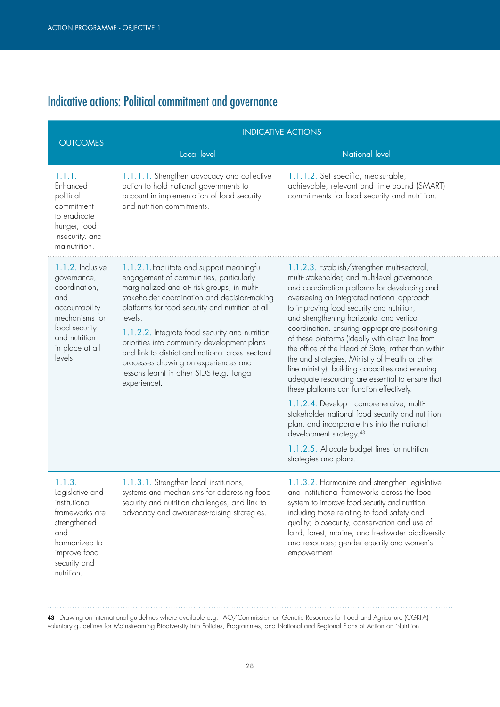# Indicative actions: Political commitment and governance

|                                                                                                                                                             | <b>INDICATIVE ACTIONS</b>                                                                                                                                                                                                                                                                                                                                                                                                                                                                                   |                                                                                                                                                                                                                                                                                                                                                                                                                                                                                                                                                                                                                                                                                                                                                                                                                                                                                                                             |  |
|-------------------------------------------------------------------------------------------------------------------------------------------------------------|-------------------------------------------------------------------------------------------------------------------------------------------------------------------------------------------------------------------------------------------------------------------------------------------------------------------------------------------------------------------------------------------------------------------------------------------------------------------------------------------------------------|-----------------------------------------------------------------------------------------------------------------------------------------------------------------------------------------------------------------------------------------------------------------------------------------------------------------------------------------------------------------------------------------------------------------------------------------------------------------------------------------------------------------------------------------------------------------------------------------------------------------------------------------------------------------------------------------------------------------------------------------------------------------------------------------------------------------------------------------------------------------------------------------------------------------------------|--|
| <b>OUTCOMES</b>                                                                                                                                             | Local level                                                                                                                                                                                                                                                                                                                                                                                                                                                                                                 | <b>National level</b>                                                                                                                                                                                                                                                                                                                                                                                                                                                                                                                                                                                                                                                                                                                                                                                                                                                                                                       |  |
| 1.1.1.<br>Enhanced<br>political<br>commitment<br>to eradicate<br>hunger, food<br>insecurity, and<br>malnutrition.                                           | 1.1.1.1. Strengthen advocacy and collective<br>action to hold national governments to<br>account in implementation of food security<br>and nutrition commitments.                                                                                                                                                                                                                                                                                                                                           | 1.1.1.2. Set specific, measurable,<br>achievable, relevant and time-bound (SMART)<br>commitments for food security and nutrition.                                                                                                                                                                                                                                                                                                                                                                                                                                                                                                                                                                                                                                                                                                                                                                                           |  |
| 1.1.2. Inclusive<br>governance,<br>coordination,<br>and<br>accountability<br>mechanisms for<br>food security<br>and nutrition<br>in place at all<br>levels. | 1.1.2.1. Facilitate and support meaningful<br>engagement of communities, particularly<br>marginalized and at risk groups, in multi-<br>stakeholder coordination and decision-making<br>platforms for food security and nutrition at all<br>levels.<br>1.1.2.2. Integrate food security and nutrition<br>priorities into community development plans<br>and link to district and national cross-sectoral<br>processes drawing on experiences and<br>lessons learnt in other SIDS (e.g. Tonga<br>experience). | 1.1.2.3. Establish/strengthen multi-sectoral,<br>multi-stakeholder, and multi-level governance<br>and coordination platforms for developing and<br>overseeing an integrated national approach<br>to improving food security and nutrition,<br>and strengthening horizontal and vertical<br>coordination. Ensuring appropriate positioning<br>of these platforms (ideally with direct line from<br>the office of the Head of State, rather than within<br>the and strategies, Ministry of Health or other<br>line ministry), building capacities and ensuring<br>adequate resourcing are essential to ensure that<br>these platforms can function effectively.<br>1.1.2.4. Develop comprehensive, multi-<br>stakeholder national food security and nutrition<br>plan, and incorporate this into the national<br>development strategy. <sup>43</sup><br>1.1.2.5. Allocate budget lines for nutrition<br>strategies and plans. |  |
| 1.1.3.<br>Legislative and<br>institutional<br>frameworks are<br>strengthened<br>and<br>harmonized to<br>improve food<br>security and<br>nutrition.          | 1.1.3.1. Strengthen local institutions,<br>systems and mechanisms for addressing food<br>security and nutrition challenges, and link to<br>advocacy and awareness-raising strategies.                                                                                                                                                                                                                                                                                                                       | 1.1.3.2. Harmonize and strengthen legislative<br>and institutional frameworks across the food<br>system to improve food security and nutrition,<br>including those relating to food safety and<br>quality; biosecurity, conservation and use of<br>land, forest, marine, and freshwater biodiversity<br>and resources; gender equality and women's<br>empowerment.                                                                                                                                                                                                                                                                                                                                                                                                                                                                                                                                                          |  |

43 Drawing on international guidelines where available e.g. FAO/Commission on Genetic Resources for Food and Agriculture (CGRFA) voluntary guidelines for Mainstreaming Biodiversity into Policies, Programmes, and National and Regional Plans of Action on Nutrition.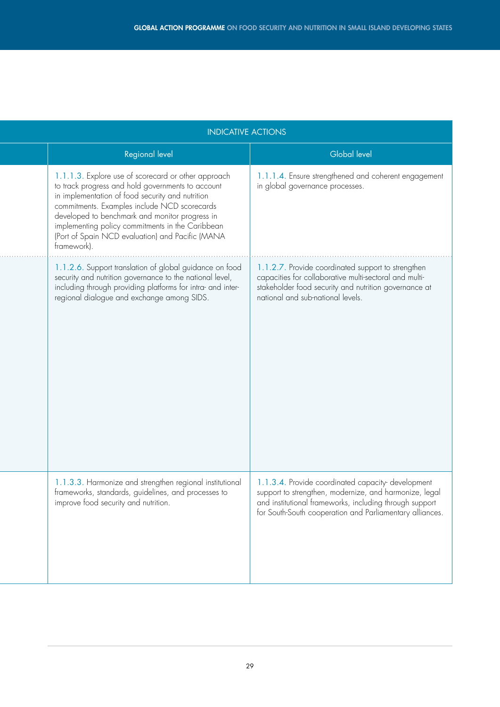| <b>INDICATIVE ACTIONS</b>                                                                                                                                                                                                                                                                                                                                                             |                                                                                                                                                                                                                                    |  |
|---------------------------------------------------------------------------------------------------------------------------------------------------------------------------------------------------------------------------------------------------------------------------------------------------------------------------------------------------------------------------------------|------------------------------------------------------------------------------------------------------------------------------------------------------------------------------------------------------------------------------------|--|
| Regional level                                                                                                                                                                                                                                                                                                                                                                        | <b>Global level</b>                                                                                                                                                                                                                |  |
| 1.1.1.3. Explore use of scorecard or other approach<br>to track progress and hold governments to account<br>in implementation of food security and nutrition<br>commitments. Examples include NCD scorecards<br>developed to benchmark and monitor progress in<br>implementing policy commitments in the Caribbean<br>(Port of Spain NCD evaluation) and Pacific (MANA<br>framework). | 1.1.1.4. Ensure strengthened and coherent engagement<br>in global governance processes.                                                                                                                                            |  |
| 1.1.2.6. Support translation of global guidance on food<br>security and nutrition governance to the national level,<br>including through providing platforms for intra- and inter-<br>regional dialogue and exchange among SIDS.                                                                                                                                                      | 1.1.2.7. Provide coordinated support to strengthen<br>capacities for collaborative multi-sectoral and multi-<br>stakeholder food security and nutrition governance at<br>national and sub-national levels.                         |  |
| 1.1.3.3. Harmonize and strengthen regional institutional<br>frameworks, standards, guidelines, and processes to<br>improve food security and nutrition.                                                                                                                                                                                                                               | 1.1.3.4. Provide coordinated capacity-development<br>support to strengthen, modernize, and harmonize, legal<br>and institutional frameworks, including through support<br>for South-South cooperation and Parliamentary alliances. |  |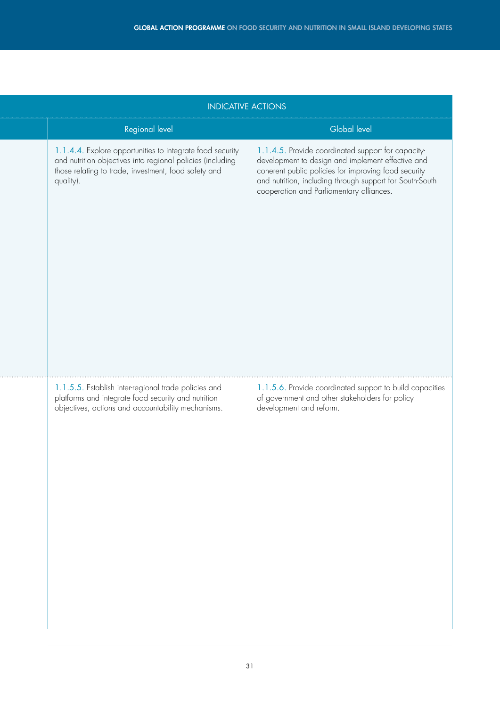| <b>INDICATIVE ACTIONS</b>                                                                                                                                                                    |                                                                                                                                                                                                                                                                         |  |
|----------------------------------------------------------------------------------------------------------------------------------------------------------------------------------------------|-------------------------------------------------------------------------------------------------------------------------------------------------------------------------------------------------------------------------------------------------------------------------|--|
| Regional level                                                                                                                                                                               | Global level                                                                                                                                                                                                                                                            |  |
| 1.1.4.4. Explore opportunities to integrate food security<br>and nutrition objectives into regional policies (including<br>those relating to trade, investment, food safety and<br>quality). | 1.1.4.5. Provide coordinated support for capacity-<br>development to design and implement effective and<br>coherent public policies for improving food security<br>and nutrition, including through support for South-South<br>cooperation and Parliamentary alliances. |  |
| 1.1.5.5. Establish inter-regional trade policies and<br>platforms and integrate food security and nutrition<br>objectives, actions and accountability mechanisms.                            | 1.1.5.6. Provide coordinated support to build capacities<br>of government and other stakeholders for policy<br>development and reform.                                                                                                                                  |  |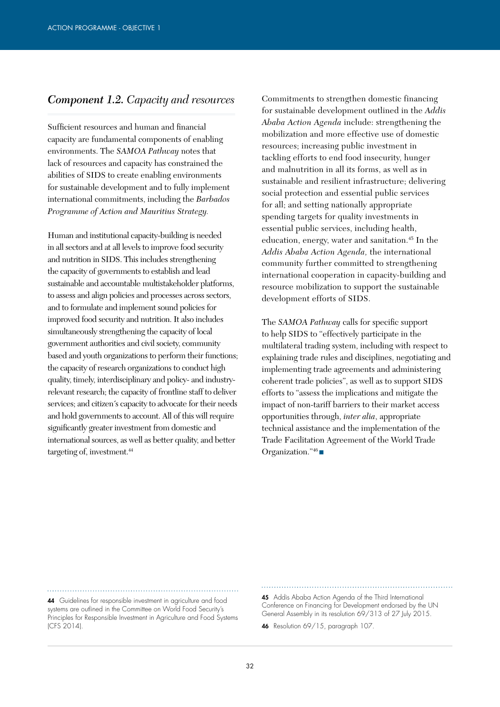#### *Component 1.2. Capacity and resources*

Sufficient resources and human and financial capacity are fundamental components of enabling environments. The *SAMOA Pathway* notes that lack of resources and capacity has constrained the abilities of SIDS to create enabling environments for sustainable development and to fully implement international commitments, including the *Barbados Programme of Action and Mauritius Strategy.*

Human and institutional capacity-building is needed in all sectors and at all levels to improve food security and nutrition in SIDS. This includes strengthening the capacity of governments to establish and lead sustainable and accountable multistakeholder platforms, to assess and align policies and processes across sectors, and to formulate and implement sound policies for improved food security and nutrition. It also includes simultaneously strengthening the capacity of local government authorities and civil society, community based and youth organizations to perform their functions; the capacity of research organizations to conduct high quality, timely, interdisciplinary and policy- and industryrelevant research; the capacity of frontline staff to deliver services; and citizen´s capacity to advocate for their needs and hold governments to account. All of this will require significantly greater investment from domestic and international sources, as well as better quality, and better targeting of, investment.<sup>44</sup>

Commitments to strengthen domestic financing for sustainable development outlined in the *Addis Ababa Action Agenda* include: strengthening the mobilization and more effective use of domestic resources; increasing public investment in tackling efforts to end food insecurity, hunger and malnutrition in all its forms, as well as in sustainable and resilient infrastructure; delivering social protection and essential public services for all; and setting nationally appropriate spending targets for quality investments in essential public services, including health, education, energy, water and sanitation.45 In the *Addis Ababa Action Agenda,* the international community further committed to strengthening international cooperation in capacity-building and resource mobilization to support the sustainable development efforts of SIDS.

The *SAMOA Pathway* calls for specific support to help SIDS to "effectively participate in the multilateral trading system, including with respect to explaining trade rules and disciplines, negotiating and implementing trade agreements and administering coherent trade policies", as well as to support SIDS efforts to "assess the implications and mitigate the impact of non-tariff barriers to their market access opportunities through, *inter alia*, appropriate technical assistance and the implementation of the Trade Facilitation Agreement of the World Trade Organization."46 ■

44 Guidelines for responsible investment in agriculture and food systems are outlined in the Committee on World Food Security's Principles for Responsible Investment in Agriculture and Food Systems (CFS 2014).

45 Addis Ababa Action Agenda of the Third International Conference on Financing for Development endorsed by the UN General Assembly in its resolution 69/313 of 27 July 2015.

46 Resolution 69/15, paragraph 107.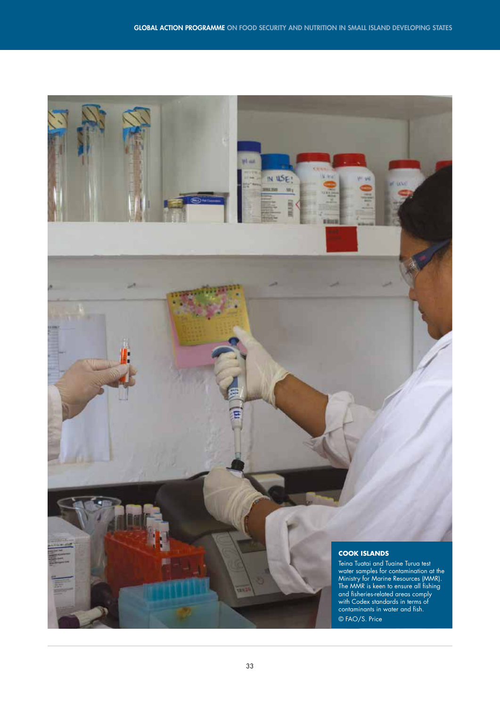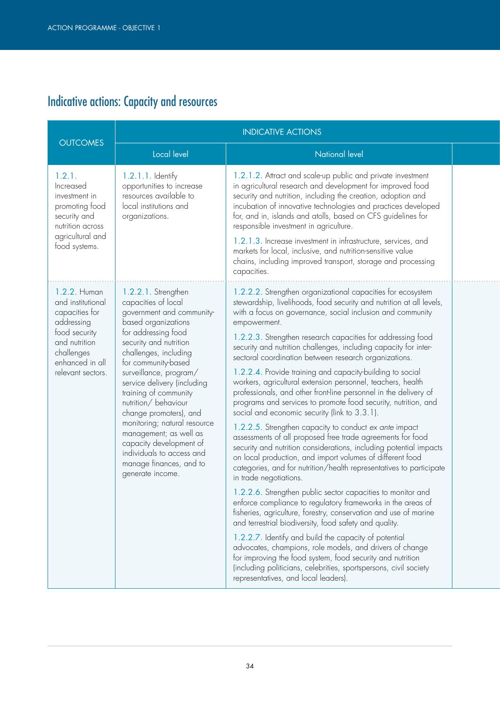# Indicative actions: Capacity and resources

| <b>OUTCOMES</b>                                                                                                                                           | <b>INDICATIVE ACTIONS</b>                                                                                                                                                                                                                                                                                                                                                                                                                                                                           |                                                                                                                                                                                                                                                                                                                                                                                                                                                                                                                                                                                                                                                                                                                                                                                                                                                                                                                                                                                                                                                                                                                                                                                                                                                                                                                                                                                                                                                                                                                                                                                                                                                          |  |
|-----------------------------------------------------------------------------------------------------------------------------------------------------------|-----------------------------------------------------------------------------------------------------------------------------------------------------------------------------------------------------------------------------------------------------------------------------------------------------------------------------------------------------------------------------------------------------------------------------------------------------------------------------------------------------|----------------------------------------------------------------------------------------------------------------------------------------------------------------------------------------------------------------------------------------------------------------------------------------------------------------------------------------------------------------------------------------------------------------------------------------------------------------------------------------------------------------------------------------------------------------------------------------------------------------------------------------------------------------------------------------------------------------------------------------------------------------------------------------------------------------------------------------------------------------------------------------------------------------------------------------------------------------------------------------------------------------------------------------------------------------------------------------------------------------------------------------------------------------------------------------------------------------------------------------------------------------------------------------------------------------------------------------------------------------------------------------------------------------------------------------------------------------------------------------------------------------------------------------------------------------------------------------------------------------------------------------------------------|--|
|                                                                                                                                                           | Local level                                                                                                                                                                                                                                                                                                                                                                                                                                                                                         | <b>National level</b>                                                                                                                                                                                                                                                                                                                                                                                                                                                                                                                                                                                                                                                                                                                                                                                                                                                                                                                                                                                                                                                                                                                                                                                                                                                                                                                                                                                                                                                                                                                                                                                                                                    |  |
| 1.2.1.<br>Increased<br>investment in<br>promoting food<br>security and<br>nutrition across<br>agricultural and<br>food systems.                           | $1.2.1.1.$ Identify<br>opportunities to increase<br>resources available to<br>local institutions and<br>organizations.                                                                                                                                                                                                                                                                                                                                                                              | 1.2.1.2. Attract and scale-up public and private investment<br>in agricultural research and development for improved food<br>security and nutrition, including the creation, adoption and<br>incubation of innovative technologies and practices developed<br>for, and in, islands and atolls, based on CFS guidelines for<br>responsible investment in agriculture.<br>1.2.1.3. Increase investment in infrastructure, services, and<br>markets for local, inclusive, and nutrition-sensitive value<br>chains, including improved transport, storage and processing<br>capacities.                                                                                                                                                                                                                                                                                                                                                                                                                                                                                                                                                                                                                                                                                                                                                                                                                                                                                                                                                                                                                                                                      |  |
| 1.2.2. Human<br>and institutional<br>capacities for<br>addressing<br>food security<br>and nutrition<br>challenges<br>enhanced in all<br>relevant sectors. | 1.2.2.1. Strengthen<br>capacities of local<br>government and community-<br>based organizations<br>for addressing food<br>security and nutrition<br>challenges, including<br>for community-based<br>surveillance, program/<br>service delivery (including<br>training of community<br>nutrition/behaviour<br>change promoters), and<br>monitoring; natural resource<br>management; as well as<br>capacity development of<br>individuals to access and<br>manage finances, and to<br>generate income. | 1.2.2.2. Strengthen organizational capacities for ecosystem<br>stewardship, livelihoods, food security and nutrition at all levels,<br>with a focus on governance, social inclusion and community<br>empowerment.<br>1.2.2.3. Strengthen research capacities for addressing food<br>security and nutrition challenges, including capacity for inter-<br>sectoral coordination between research organizations.<br>1.2.2.4. Provide training and capacity-building to social<br>workers, agricultural extension personnel, teachers, health<br>professionals, and other front-line personnel in the delivery of<br>programs and services to promote food security, nutrition, and<br>social and economic security (link to 3.3.1).<br>1.2.2.5. Strengthen capacity to conduct ex ante impact<br>assessments of all proposed free trade agreements for food<br>security and nutrition considerations, including potential impacts<br>on local production, and import volumes of different food<br>categories, and for nutrition/health representatives to participate<br>in trade negotiations.<br>1.2.2.6. Strengthen public sector capacities to monitor and<br>enforce compliance to regulatory frameworks in the areas of<br>fisheries, agriculture, forestry, conservation and use of marine<br>and terrestrial biodiversity, food safety and quality.<br>1.2.2.7. Identify and build the capacity of potential<br>advocates, champions, role models, and drivers of change<br>for improving the food system, food security and nutrition<br>(including politicians, celebrities, sportspersons, civil society<br>representatives, and local leaders). |  |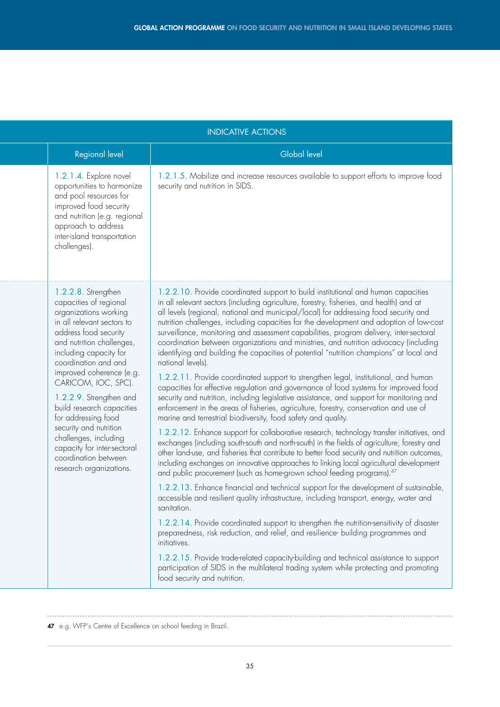| <b>INDICATIVE ACTIONS</b>                                                                                                                                                                                                                                                                                                                                                                                                                                                           |                                                                                                                                                                                                                                                                                                                                                                                                                                                                                                                                                                                                                                                                                                                                                                                                                                                                                                                                                                                                                                                                                                                                                                                                                                                                                                                                                                                                                                                                                                                                                                                                                                                                                                                                                                                                                                                                                                                                                                                                                                                                                                                                                                                                                |  |
|-------------------------------------------------------------------------------------------------------------------------------------------------------------------------------------------------------------------------------------------------------------------------------------------------------------------------------------------------------------------------------------------------------------------------------------------------------------------------------------|----------------------------------------------------------------------------------------------------------------------------------------------------------------------------------------------------------------------------------------------------------------------------------------------------------------------------------------------------------------------------------------------------------------------------------------------------------------------------------------------------------------------------------------------------------------------------------------------------------------------------------------------------------------------------------------------------------------------------------------------------------------------------------------------------------------------------------------------------------------------------------------------------------------------------------------------------------------------------------------------------------------------------------------------------------------------------------------------------------------------------------------------------------------------------------------------------------------------------------------------------------------------------------------------------------------------------------------------------------------------------------------------------------------------------------------------------------------------------------------------------------------------------------------------------------------------------------------------------------------------------------------------------------------------------------------------------------------------------------------------------------------------------------------------------------------------------------------------------------------------------------------------------------------------------------------------------------------------------------------------------------------------------------------------------------------------------------------------------------------------------------------------------------------------------------------------------------------|--|
| Regional level                                                                                                                                                                                                                                                                                                                                                                                                                                                                      | <b>Global level</b>                                                                                                                                                                                                                                                                                                                                                                                                                                                                                                                                                                                                                                                                                                                                                                                                                                                                                                                                                                                                                                                                                                                                                                                                                                                                                                                                                                                                                                                                                                                                                                                                                                                                                                                                                                                                                                                                                                                                                                                                                                                                                                                                                                                            |  |
| 1.2.1.4. Explore novel<br>opportunities to harmonize<br>and pool resources for<br>improved food security<br>and nutrition (e.g. regional<br>approach to address<br>inter-island transportation<br>challenges).                                                                                                                                                                                                                                                                      | 1.2.1.5. Mobilize and increase resources available to support efforts to improve food<br>security and nutrition in SIDS.                                                                                                                                                                                                                                                                                                                                                                                                                                                                                                                                                                                                                                                                                                                                                                                                                                                                                                                                                                                                                                                                                                                                                                                                                                                                                                                                                                                                                                                                                                                                                                                                                                                                                                                                                                                                                                                                                                                                                                                                                                                                                       |  |
| 1.2.2.8. Strengthen<br>capacities of regional<br>organizations working<br>in all relevant sectors to<br>address food security<br>and nutrition challenges,<br>including capacity for<br>coordination and and<br>improved coherence (e.g.<br>CARICOM, IOC, SPC).<br>1.2.2.9. Strengthen and<br>build research capacities<br>for addressing food<br>security and nutrition<br>challenges, including<br>capacity for inter-sectoral<br>coordination between<br>research organizations. | 1.2.2.10. Provide coordinated support to build institutional and human capacities<br>in all relevant sectors (including agriculture, forestry, fisheries, and health) and at<br>all levels (regional, national and municipal/local) for addressing food security and<br>nutrition challenges, including capacities for the development and adoption of low-cost<br>surveillance, monitoring and assessment capabilities, program delivery, inter-sectoral<br>coordination between organizations and ministries, and nutrition advocacy (including<br>identifying and building the capacities of potential "nutrition champions" at local and<br>national levels).<br>1.2.2.11. Provide coordinated support to strengthen legal, institutional, and human<br>capacities for effective regulation and governance of food systems for improved food<br>security and nutrition, including legislative assistance, and support for monitoring and<br>enforcement in the areas of fisheries, agriculture, forestry, conservation and use of<br>marine and terrestrial biodiversity, food safety and quality.<br>1.2.2.12. Enhance support for collaborative research, technology transfer initiatives, and<br>exchanges (including south-south and north-south) in the fields of agriculture, forestry and<br>other land-use, and fisheries that contribute to better food security and nutrition outcomes,<br>including exchanges on innovative approaches to linking local agricultural development<br>and public procurement (such as home-grown school feeding programs). <sup>47</sup><br>1.2.2.13. Enhance financial and technical support for the development of sustainable,<br>accessible and resilient quality infrastructure, including transport, energy, water and<br>sanitation.<br>1.2.2.14. Provide coordinated support to strengthen the nutrition-sensitivity of disaster<br>preparedness, risk reduction, and relief, and resilience- building programmes and<br>initiatives.<br>1.2.2.15. Provide trade-related capacity-building and technical assistance to support<br>participation of SIDS in the multilateral trading system while protecting and promoting<br>food security and nutrition. |  |

<sup>47</sup> e.g. WFP´s Centre of Excellence on school feeding in Brazil.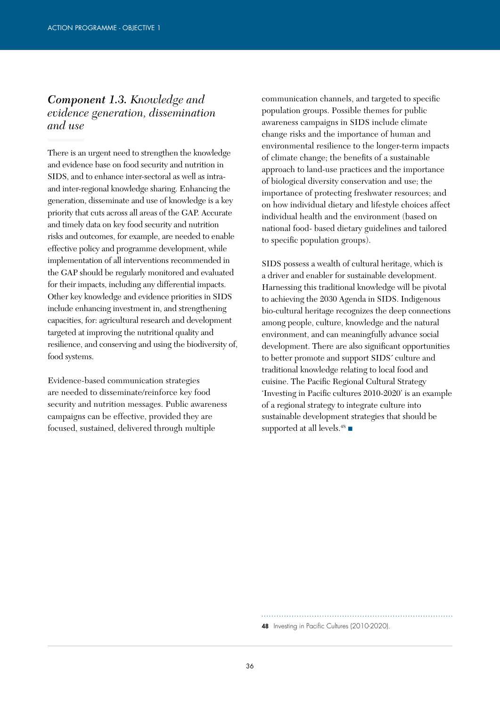### *Component 1.3. Knowledge and evidence generation, dissemination and use*

There is an urgent need to strengthen the knowledge and evidence base on food security and nutrition in SIDS, and to enhance inter-sectoral as well as intraand inter-regional knowledge sharing. Enhancing the generation, disseminate and use of knowledge is a key priority that cuts across all areas of the GAP. Accurate and timely data on key food security and nutrition risks and outcomes, for example, are needed to enable effective policy and programme development, while implementation of all interventions recommended in the GAP should be regularly monitored and evaluated for their impacts, including any differential impacts. Other key knowledge and evidence priorities in SIDS include enhancing investment in, and strengthening capacities, for: agricultural research and development targeted at improving the nutritional quality and resilience, and conserving and using the biodiversity of, food systems.

Evidence-based communication strategies are needed to disseminate/reinforce key food security and nutrition messages. Public awareness campaigns can be effective, provided they are focused, sustained, delivered through multiple

communication channels, and targeted to specific population groups. Possible themes for public awareness campaigns in SIDS include climate change risks and the importance of human and environmental resilience to the longer-term impacts of climate change; the benefits of a sustainable approach to land-use practices and the importance of biological diversity conservation and use; the importance of protecting freshwater resources; and on how individual dietary and lifestyle choices affect individual health and the environment (based on national food- based dietary guidelines and tailored to specific population groups).

SIDS possess a wealth of cultural heritage, which is a driver and enabler for sustainable development. Harnessing this traditional knowledge will be pivotal to achieving the 2030 Agenda in SIDS. Indigenous bio-cultural heritage recognizes the deep connections among people, culture, knowledge and the natural environment, and can meaningfully advance social development. There are also significant opportunities to better promote and support SIDS´ culture and traditional knowledge relating to local food and cuisine. The Pacific Regional Cultural Strategy 'Investing in Pacific cultures 2010-2020' is an example of a regional strategy to integrate culture into sustainable development strategies that should be supported at all levels.<sup>48</sup>

48 Investing in Pacific Cultures (2010-2020).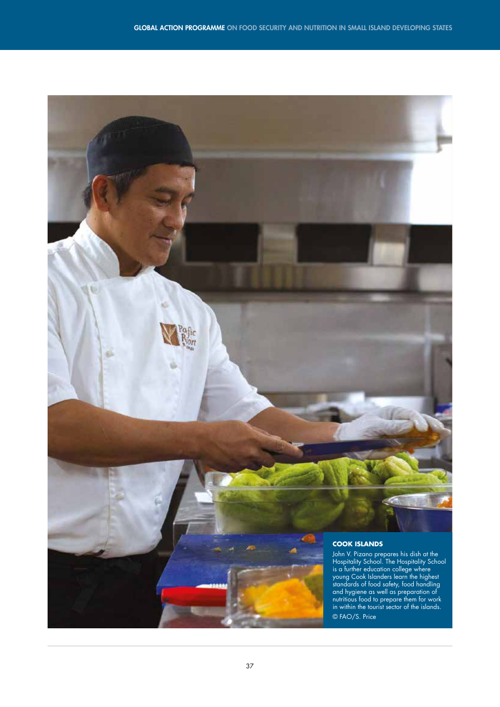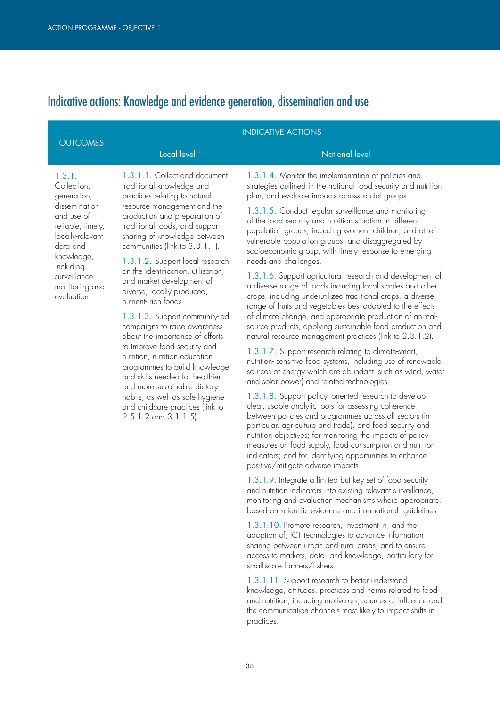# Indicative actions: Knowledge and evidence generation, dissemination and use

|                                                                                                                                                                                                       |                                                                                                                                                                                                                                                                                                                                                                                                                                                                                                                                                                                                                                                                                                                                                                                                         | <b>INDICATIVE ACTIONS</b>                                                                                                                                                                                                                                                                                                                                                                                                                                                                                                                                                                                                                                                                                                                                                                                                                                                                                                                                                                                                                                                                                                                                                                                                                                                                                                                                                                                                                                                                                                                                                                                                                                                                                                                                                                                                                                                                                                                                                                                                                                                                                                                                                                                                                                                                                                                                                                                                                   |  |
|-------------------------------------------------------------------------------------------------------------------------------------------------------------------------------------------------------|---------------------------------------------------------------------------------------------------------------------------------------------------------------------------------------------------------------------------------------------------------------------------------------------------------------------------------------------------------------------------------------------------------------------------------------------------------------------------------------------------------------------------------------------------------------------------------------------------------------------------------------------------------------------------------------------------------------------------------------------------------------------------------------------------------|---------------------------------------------------------------------------------------------------------------------------------------------------------------------------------------------------------------------------------------------------------------------------------------------------------------------------------------------------------------------------------------------------------------------------------------------------------------------------------------------------------------------------------------------------------------------------------------------------------------------------------------------------------------------------------------------------------------------------------------------------------------------------------------------------------------------------------------------------------------------------------------------------------------------------------------------------------------------------------------------------------------------------------------------------------------------------------------------------------------------------------------------------------------------------------------------------------------------------------------------------------------------------------------------------------------------------------------------------------------------------------------------------------------------------------------------------------------------------------------------------------------------------------------------------------------------------------------------------------------------------------------------------------------------------------------------------------------------------------------------------------------------------------------------------------------------------------------------------------------------------------------------------------------------------------------------------------------------------------------------------------------------------------------------------------------------------------------------------------------------------------------------------------------------------------------------------------------------------------------------------------------------------------------------------------------------------------------------------------------------------------------------------------------------------------------------|--|
| <b>OUTCOMES</b>                                                                                                                                                                                       | Local level                                                                                                                                                                                                                                                                                                                                                                                                                                                                                                                                                                                                                                                                                                                                                                                             | <b>National level</b>                                                                                                                                                                                                                                                                                                                                                                                                                                                                                                                                                                                                                                                                                                                                                                                                                                                                                                                                                                                                                                                                                                                                                                                                                                                                                                                                                                                                                                                                                                                                                                                                                                                                                                                                                                                                                                                                                                                                                                                                                                                                                                                                                                                                                                                                                                                                                                                                                       |  |
| 1.3.1.<br>Collection,<br>generation,<br>dissemination<br>and use of<br>reliable, timely,<br>locally-relevant<br>data and<br>knowledge,<br>including<br>surveillance,<br>monitoring and<br>evaluation. | 1.3.1.1. Collect and document<br>traditional knowledge and<br>practices relating to natural<br>resource management and the<br>production and preparation of<br>traditional foods, and support<br>sharing of knowledge between<br>communities (link to 3.3.1.1).<br>1.3.1.2. Support local research<br>on the identification, utilisation,<br>and market development of<br>diverse, locally produced,<br>nutrient-rich foods.<br>1.3.1.3. Support community-led<br>campaigns to raise awareness<br>about the importance of efforts<br>to improve food security and<br>nutrition, nutrition education<br>programmes to build knowledge<br>and skills needed for healthier<br>and more sustainable dietary<br>habits, as well as safe hygiene<br>and childcare practices (link to<br>2.5.1.2 and 3.1.1.5). | 1.3.1.4. Monitor the implementation of policies and<br>strategies outlined in the national food security and nutrition<br>plan, and evaluate impacts across social groups.<br>1.3.1.5. Conduct regular surveillance and monitoring<br>of the food security and nutrition situation in different<br>population groups, including women, children, and other<br>vulnerable population groups, and disaggregated by<br>socioeconomic group, with timely response to emerging<br>needs and challenges.<br>1.3.1.6. Support agricultural research and development of<br>a diverse range of foods including local staples and other<br>crops, including underutilized traditional crops, a diverse<br>range of fruits and vegetables best adapted to the effects<br>of climate change, and appropriate production of animal-<br>source products, applying sustainable food production and<br>natural resource management practices (link to 2.3.1.2).<br>1.3.1.7. Support research relating to climate-smart,<br>nutrition-sensitive food systems, including use of renewable<br>sources of energy which are abundant (such as wind, water<br>and solar power) and related technologies.<br>1.3.1.8. Support policy-oriented research to develop<br>clear, usable analytic tools for assessing coherence<br>between policies and programmes across all sectors (in<br>particular, agriculture and trade), and food security and<br>nutrition objectives; for monitoring the impacts of policy<br>measures on food supply, food consumption and nutrition<br>indicators; and for identifying opportunities to enhance<br>positive/mitigate adverse impacts.<br>1.3.1.9. Integrate a limited but key set of food security<br>and nutrition indicators into existing relevant surveillance,<br>monitoring and evaluation mechanisms where appropriate,<br>based on scientific evidence and international guidelines.<br>1.3.1.10. Promote research, investment in, and the<br>adoption of, ICT technologies to advance information-<br>sharing between urban and rural areas, and to ensure<br>access to markets, data, and knowledge, particularly for<br>small-scale farmers/fishers.<br>1.3.1.11. Support research to better understand<br>knowledge, attitudes, practices and norms related to food<br>and nutrition, including motivators, sources of influence and<br>the communication channels most likely to impact shifts in<br>practices. |  |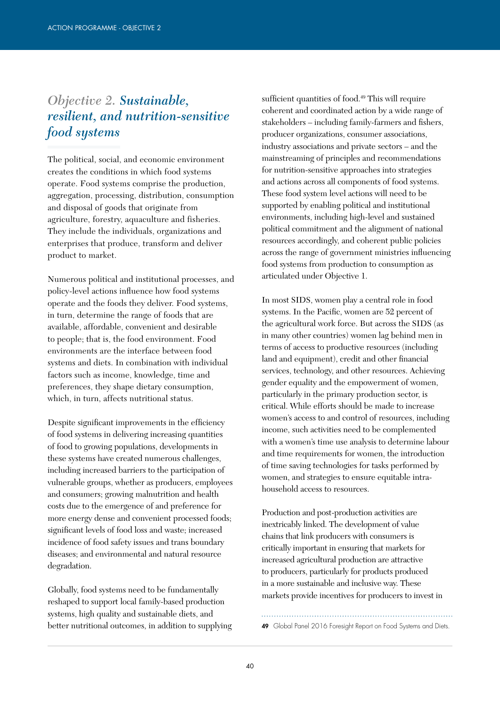### *Objective 2. Sustainable, resilient, and nutrition-sensitive food systems*

The political, social, and economic environment creates the conditions in which food systems operate. Food systems comprise the production, aggregation, processing, distribution, consumption and disposal of goods that originate from agriculture, forestry, aquaculture and fisheries. They include the individuals, organizations and enterprises that produce, transform and deliver product to market.

Numerous political and institutional processes, and policy-level actions influence how food systems operate and the foods they deliver. Food systems, in turn, determine the range of foods that are available, affordable, convenient and desirable to people; that is, the food environment. Food environments are the interface between food systems and diets. In combination with individual factors such as income, knowledge, time and preferences, they shape dietary consumption, which, in turn, affects nutritional status.

Despite significant improvements in the efficiency of food systems in delivering increasing quantities of food to growing populations, developments in these systems have created numerous challenges, including increased barriers to the participation of vulnerable groups, whether as producers, employees and consumers; growing malnutrition and health costs due to the emergence of and preference for more energy dense and convenient processed foods; significant levels of food loss and waste; increased incidence of food safety issues and trans boundary diseases; and environmental and natural resource degradation.

Globally, food systems need to be fundamentally reshaped to support local family-based production systems, high quality and sustainable diets, and better nutritional outcomes, in addition to supplying sufficient quantities of food.<sup>49</sup> This will require coherent and coordinated action by a wide range of stakeholders – including family-farmers and fishers, producer organizations, consumer associations, industry associations and private sectors – and the mainstreaming of principles and recommendations for nutrition-sensitive approaches into strategies and actions across all components of food systems. These food system level actions will need to be supported by enabling political and institutional environments, including high-level and sustained political commitment and the alignment of national resources accordingly, and coherent public policies across the range of government ministries influencing food systems from production to consumption as articulated under Objective 1.

In most SIDS, women play a central role in food systems. In the Pacific, women are 52 percent of the agricultural work force. But across the SIDS (as in many other countries) women lag behind men in terms of access to productive resources (including land and equipment), credit and other financial services, technology, and other resources. Achieving gender equality and the empowerment of women, particularly in the primary production sector, is critical. While efforts should be made to increase women's access to and control of resources, including income, such activities need to be complemented with a women's time use analysis to determine labour and time requirements for women, the introduction of time saving technologies for tasks performed by women, and strategies to ensure equitable intrahousehold access to resources.

Production and post-production activities are inextricably linked. The development of value chains that link producers with consumers is critically important in ensuring that markets for increased agricultural production are attractive to producers, particularly for products produced in a more sustainable and inclusive way. These markets provide incentives for producers to invest in

49 Global Panel 2016 Foresight Report on Food Systems and Diets.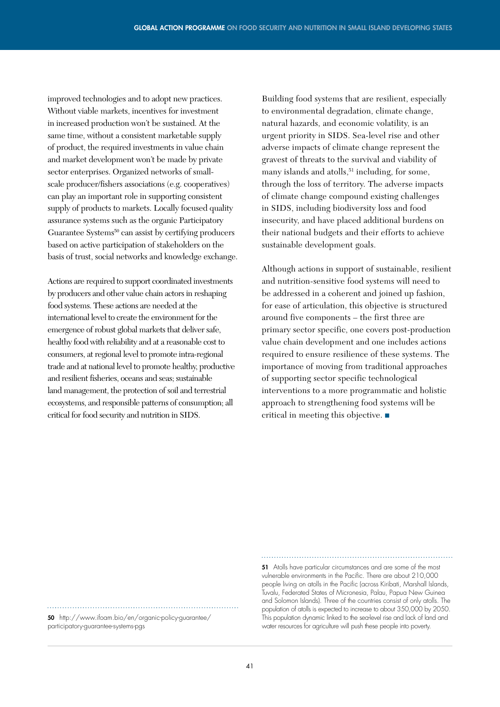improved technologies and to adopt new practices. Without viable markets, incentives for investment in increased production won't be sustained. At the same time, without a consistent marketable supply of product, the required investments in value chain and market development won't be made by private sector enterprises. Organized networks of smallscale producer/fishers associations (e.g. cooperatives) can play an important role in supporting consistent supply of products to markets. Locally focused quality assurance systems such as the organic Participatory Guarantee Systems<sup>50</sup> can assist by certifying producers based on active participation of stakeholders on the basis of trust, social networks and knowledge exchange.

Actions are required to support coordinated investments by producers and other value chain actors in reshaping food systems. These actions are needed at the international level to create the environment for the emergence of robust global markets that deliver safe, healthy food with reliability and at a reasonable cost to consumers, at regional level to promote intra-regional trade and at national level to promote healthy, productive and resilient fisheries, oceans and seas; sustainable land management, the protection of soil and terrestrial ecosystems, and responsible patterns of consumption; all critical for food security and nutrition in SIDS.

Building food systems that are resilient, especially to environmental degradation, climate change, natural hazards, and economic volatility, is an urgent priority in SIDS. Sea-level rise and other adverse impacts of climate change represent the gravest of threats to the survival and viability of many islands and atolls,  $51$  including, for some, through the loss of territory. The adverse impacts of climate change compound existing challenges in SIDS, including biodiversity loss and food insecurity, and have placed additional burdens on their national budgets and their efforts to achieve sustainable development goals.

Although actions in support of sustainable, resilient and nutrition-sensitive food systems will need to be addressed in a coherent and joined up fashion, for ease of articulation, this objective is structured around five components – the first three are primary sector specific, one covers post-production value chain development and one includes actions required to ensure resilience of these systems. The importance of moving from traditional approaches of supporting sector specific technological interventions to a more programmatic and holistic approach to strengthening food systems will be critical in meeting this objective. ■

50 http://www.ifoam.bio/en/organic-policy-guarantee/ participatory-guarantee-systems-pgs

51 Atolls have particular circumstances and are some of the most vulnerable environments in the Pacific. There are about 210,000 people living on atolls in the Pacific (across Kiribati, Marshall Islands, Tuvalu, Federated States of Micronesia, Palau, Papua New Guinea and Solomon Islands). Three of the countries consist of only atolls. The population of atolls is expected to increase to about 350,000 by 2050. This population dynamic linked to the sea-level rise and lack of land and water resources for agriculture will push these people into poverty.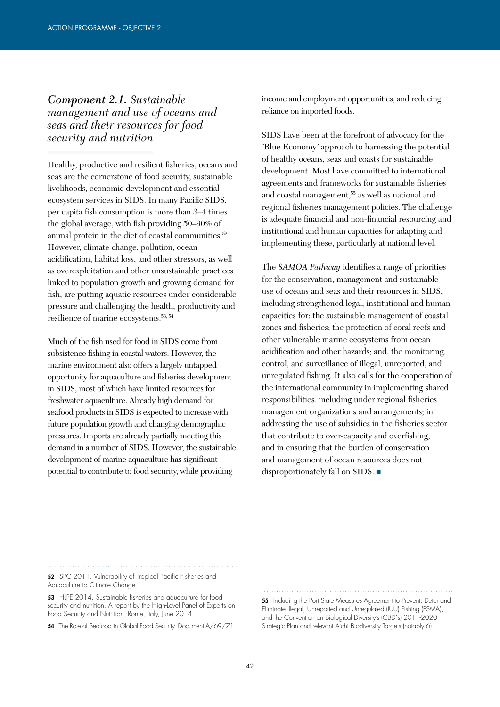#### *Component 2.1. Sustainable management and use of oceans and seas and their resources for food security and nutrition*

Healthy, productive and resilient fisheries, oceans and seas are the cornerstone of food security, sustainable livelihoods, economic development and essential ecosystem services in SIDS. In many Pacific SIDS, per capita fish consumption is more than 3–4 times the global average, with fish providing 50–90% of animal protein in the diet of coastal communities.<sup>52</sup> However, climate change, pollution, ocean acidification, habitat loss, and other stressors, as well as overexploitation and other unsustainable practices linked to population growth and growing demand for fish, are putting aquatic resources under considerable pressure and challenging the health, productivity and resilience of marine ecosystems.53, 54

Much of the fish used for food in SIDS come from subsistence fishing in coastal waters. However, the marine environment also offers a largely untapped opportunity for aquaculture and fisheries development in SIDS, most of which have limited resources for freshwater aquaculture. Already high demand for seafood products in SIDS is expected to increase with future population growth and changing demographic pressures. Imports are already partially meeting this demand in a number of SIDS. However, the sustainable development of marine aquaculture has significant potential to contribute to food security, while providing

income and employment opportunities, and reducing reliance on imported foods.

SIDS have been at the forefront of advocacy for the ´Blue Economy´ approach to harnessing the potential of healthy oceans, seas and coasts for sustainable development. Most have committed to international agreements and frameworks for sustainable fisheries and coastal management,55 as well as national and regional fisheries management policies. The challenge is adequate financial and non-financial resourcing and institutional and human capacities for adapting and implementing these, particularly at national level.

The *SAMOA Pathway* identifies a range of priorities for the conservation, management and sustainable use of oceans and seas and their resources in SIDS, including strengthened legal, institutional and human capacities for: the sustainable management of coastal zones and fisheries; the protection of coral reefs and other vulnerable marine ecosystems from ocean acidification and other hazards; and, the monitoring, control, and surveillance of illegal, unreported, and unregulated fishing. It also calls for the cooperation of the international community in implementing shared responsibilities, including under regional fisheries management organizations and arrangements; in addressing the use of subsidies in the fisheries sector that contribute to over-capacity and overfishing; and in ensuring that the burden of conservation and management of ocean resources does not disproportionately fall on SIDS. ■

52 SPC 2011. Vulnerability of Tropical Pacific Fisheries and Aquaculture to Climate Change.

53 HLPE 2014. Sustainable fisheries and aquaculture for food security and nutrition. A report by the High-Level Panel of Experts on Food Security and Nutrition. Rome, Italy, June 2014.

54 The Role of Seafood in Global Food Security. Document A/69/71.

55 Including the Port State Measures Agreement to Prevent, Deter and Eliminate Illegal, Unreported and Unregulated (IUU) Fishing (PSMA), and the Convention on Biological Diversity's (CBD´s) 2011-2020 Strategic Plan and relevant Aichi Biodiversity Targets (notably 6).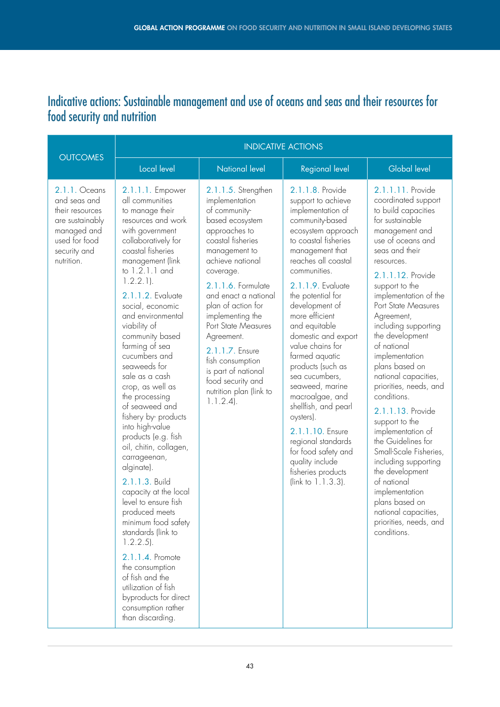### Indicative actions: Sustainable management and use of oceans and seas and their resources for food security and nutrition

| <b>OUTCOMES</b>                                                                                                                   | <b>INDICATIVE ACTIONS</b>                                                                                                                                                                                                                                                                                                                                                                                                                                                                                                                                                                                                                                                                                                                                                                                                                                      |                                                                                                                                                                                                                                                                                                                                                                                                                             |                                                                                                                                                                                                                                                                                                                                                                                                                                                                                                                                                                                                         |                                                                                                                                                                                                                                                                                                                                                                                                                                                                                                                                                                                                                                                                                                          |  |  |
|-----------------------------------------------------------------------------------------------------------------------------------|----------------------------------------------------------------------------------------------------------------------------------------------------------------------------------------------------------------------------------------------------------------------------------------------------------------------------------------------------------------------------------------------------------------------------------------------------------------------------------------------------------------------------------------------------------------------------------------------------------------------------------------------------------------------------------------------------------------------------------------------------------------------------------------------------------------------------------------------------------------|-----------------------------------------------------------------------------------------------------------------------------------------------------------------------------------------------------------------------------------------------------------------------------------------------------------------------------------------------------------------------------------------------------------------------------|---------------------------------------------------------------------------------------------------------------------------------------------------------------------------------------------------------------------------------------------------------------------------------------------------------------------------------------------------------------------------------------------------------------------------------------------------------------------------------------------------------------------------------------------------------------------------------------------------------|----------------------------------------------------------------------------------------------------------------------------------------------------------------------------------------------------------------------------------------------------------------------------------------------------------------------------------------------------------------------------------------------------------------------------------------------------------------------------------------------------------------------------------------------------------------------------------------------------------------------------------------------------------------------------------------------------------|--|--|
|                                                                                                                                   | Local level                                                                                                                                                                                                                                                                                                                                                                                                                                                                                                                                                                                                                                                                                                                                                                                                                                                    | <b>National level</b>                                                                                                                                                                                                                                                                                                                                                                                                       | <b>Regional level</b>                                                                                                                                                                                                                                                                                                                                                                                                                                                                                                                                                                                   | <b>Global level</b>                                                                                                                                                                                                                                                                                                                                                                                                                                                                                                                                                                                                                                                                                      |  |  |
| 2.1.1. Oceans<br>and seas and<br>their resources<br>are sustainably<br>managed and<br>used for food<br>security and<br>nutrition. | 2.1.1.1. Empower<br>all communities<br>to manage their<br>resources and work<br>with government<br>collaboratively for<br>coastal fisheries<br>management (link<br>to 1.2.1.1 and<br>$1.2.2.1$ ).<br>2.1.1.2. Evaluate<br>social, economic<br>and environmental<br>viability of<br>community based<br>farming of sea<br>cucumbers and<br>seaweeds for<br>sale as a cash<br>crop, as well as<br>the processing<br>of seaweed and<br>fishery by-products<br>into high-value<br>products (e.g. fish<br>oil, chitin, collagen,<br>carrageenan,<br>alginate).<br>2.1.1.3. Build<br>capacity at the local<br>level to ensure fish<br>produced meets<br>minimum food safety<br>standards (link to<br>$1.2.2.5$ ).<br>2.1.1.4. Promote<br>the consumption<br>of fish and the<br>utilization of fish<br>byproducts for direct<br>consumption rather<br>than discarding. | 2.1.1.5. Strengthen<br>implementation<br>of community-<br>based ecosystem<br>approaches to<br>coastal fisheries<br>management to<br>achieve national<br>coverage.<br>2.1.1.6. Formulate<br>and enact a national<br>plan of action for<br>implementing the<br>Port State Measures<br>Agreement.<br>2.1.1.7. Ensure<br>fish consumption<br>is part of national<br>food security and<br>nutrition plan (link to<br>$1.1.2.4$ . | 2.1.1.8. Provide<br>support to achieve<br>implementation of<br>community-based<br>ecosystem approach<br>to coastal fisheries<br>management that<br>reaches all coastal<br>communities.<br>2.1.1.9. Evaluate<br>the potential for<br>development of<br>more efficient<br>and equitable<br>domestic and export<br>value chains for<br>farmed aquatic<br>products (such as<br>sea cucumbers,<br>seaweed, marine<br>macroalgae, and<br>shellfish, and pearl<br>oysters).<br>2.1.1.10. Ensure<br>regional standards<br>for food safety and<br>quality include<br>fisheries products<br>(link to $1.1.3.3$ ). | 2.1.1.11. Provide<br>coordinated support<br>to build capacities<br>for sustainable<br>management and<br>use of oceans and<br>seas and their<br>resources.<br>2.1.1.12. Provide<br>support to the<br>implementation of the<br>Port State Measures<br>Agreement,<br>including supporting<br>the development<br>of national<br>implementation<br>plans based on<br>national capacities,<br>priorities, needs, and<br>conditions.<br>2.1.1.13. Provide<br>support to the<br>implementation of<br>the Guidelines for<br>Small-Scale Fisheries,<br>including supporting<br>the development<br>of national<br>implementation<br>plans based on<br>national capacities,<br>priorities, needs, and<br>conditions. |  |  |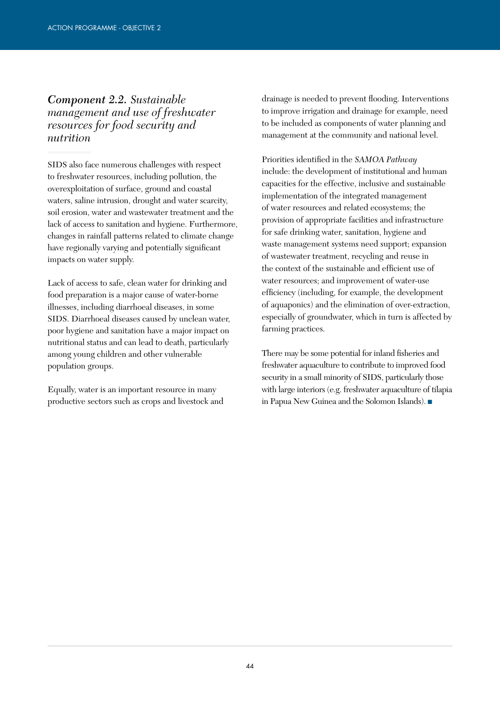*Component 2.2. Sustainable management and use of freshwater resources for food security and nutrition* 

SIDS also face numerous challenges with respect to freshwater resources, including pollution, the overexploitation of surface, ground and coastal waters, saline intrusion, drought and water scarcity, soil erosion, water and wastewater treatment and the lack of access to sanitation and hygiene. Furthermore, changes in rainfall patterns related to climate change have regionally varying and potentially significant impacts on water supply.

Lack of access to safe, clean water for drinking and food preparation is a major cause of water-borne illnesses, including diarrhoeal diseases, in some SIDS. Diarrhoeal diseases caused by unclean water, poor hygiene and sanitation have a major impact on nutritional status and can lead to death, particularly among young children and other vulnerable population groups.

Equally, water is an important resource in many productive sectors such as crops and livestock and drainage is needed to prevent flooding. Interventions to improve irrigation and drainage for example, need to be included as components of water planning and management at the community and national level.

Priorities identified in the *SAMOA Pathway* include: the development of institutional and human capacities for the effective, inclusive and sustainable implementation of the integrated management of water resources and related ecosystems; the provision of appropriate facilities and infrastructure for safe drinking water, sanitation, hygiene and waste management systems need support; expansion of wastewater treatment, recycling and reuse in the context of the sustainable and efficient use of water resources; and improvement of water-use efficiency (including, for example, the development of aquaponics) and the elimination of over-extraction, especially of groundwater, which in turn is affected by farming practices.

There may be some potential for inland fisheries and freshwater aquaculture to contribute to improved food security in a small minority of SIDS, particularly those with large interiors (e.g. freshwater aquaculture of tilapia in Papua New Guinea and the Solomon Islands). ■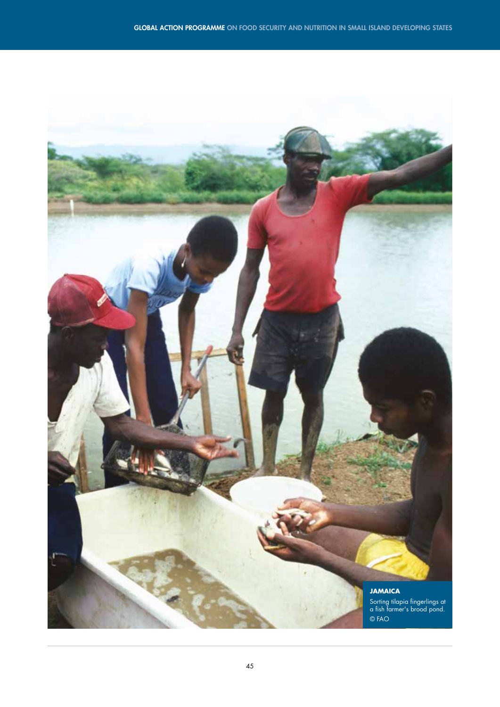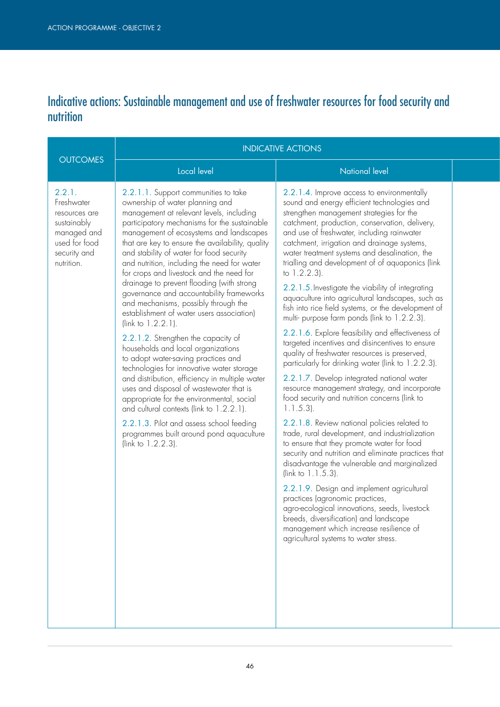## Indicative actions: Sustainable management and use of freshwater resources for food security and nutrition

|                                                                                                                    | <b>INDICATIVE ACTIONS</b>                                                                                                                                                                                                                                                                                                                                                                                                                                                                                                                                                                                                                                                                                                                                                                                                                                                                                                                                                                                                                                                                |                                                                                                                                                                                                                                                                                                                                                                                                                                                                                                                                                                                                                                                                                                                                                                                                                                                                                                                                                                                                                                                                                                                                                                                                                                                                                                                                                                                                                                                                                                                                                                |  |
|--------------------------------------------------------------------------------------------------------------------|------------------------------------------------------------------------------------------------------------------------------------------------------------------------------------------------------------------------------------------------------------------------------------------------------------------------------------------------------------------------------------------------------------------------------------------------------------------------------------------------------------------------------------------------------------------------------------------------------------------------------------------------------------------------------------------------------------------------------------------------------------------------------------------------------------------------------------------------------------------------------------------------------------------------------------------------------------------------------------------------------------------------------------------------------------------------------------------|----------------------------------------------------------------------------------------------------------------------------------------------------------------------------------------------------------------------------------------------------------------------------------------------------------------------------------------------------------------------------------------------------------------------------------------------------------------------------------------------------------------------------------------------------------------------------------------------------------------------------------------------------------------------------------------------------------------------------------------------------------------------------------------------------------------------------------------------------------------------------------------------------------------------------------------------------------------------------------------------------------------------------------------------------------------------------------------------------------------------------------------------------------------------------------------------------------------------------------------------------------------------------------------------------------------------------------------------------------------------------------------------------------------------------------------------------------------------------------------------------------------------------------------------------------------|--|
| <b>OUTCOMES</b>                                                                                                    | Local level                                                                                                                                                                                                                                                                                                                                                                                                                                                                                                                                                                                                                                                                                                                                                                                                                                                                                                                                                                                                                                                                              | <b>National level</b>                                                                                                                                                                                                                                                                                                                                                                                                                                                                                                                                                                                                                                                                                                                                                                                                                                                                                                                                                                                                                                                                                                                                                                                                                                                                                                                                                                                                                                                                                                                                          |  |
| 2.2.1.<br>Freshwater<br>resources are<br>sustainably<br>managed and<br>used for food<br>security and<br>nutrition. | 2.2.1.1. Support communities to take<br>ownership of water planning and<br>management at relevant levels, including<br>participatory mechanisms for the sustainable<br>management of ecosystems and landscapes<br>that are key to ensure the availability, quality<br>and stability of water for food security<br>and nutrition, including the need for water<br>for crops and livestock and the need for<br>drainage to prevent flooding (with strong<br>governance and accountability frameworks<br>and mechanisms, possibly through the<br>establishment of water users association)<br>(link to $1.2.2.1$ ).<br>2.2.1.2. Strengthen the capacity of<br>households and local organizations<br>to adopt water-saving practices and<br>technologies for innovative water storage<br>and distribution, efficiency in multiple water<br>uses and disposal of wastewater that is<br>appropriate for the environmental, social<br>and cultural contexts (link to 1.2.2.1).<br>2.2.1.3. Pilot and assess school feeding<br>programmes built around pond aquaculture<br>(link to $1.2.2.3$ ). | 2.2.1.4. Improve access to environmentally<br>sound and energy efficient technologies and<br>strengthen management strategies for the<br>catchment, production, conservation, delivery,<br>and use of freshwater, including rainwater<br>catchment, irrigation and drainage systems,<br>water treatment systems and desalination, the<br>trialling and development of of aquaponics (link<br>to $1.2.2.3$ ).<br>2.2.1.5. Investigate the viability of integrating<br>aquaculture into agricultural landscapes, such as<br>fish into rice field systems, or the development of<br>multi- purpose farm ponds (link to 1.2.2.3).<br>2.2.1.6. Explore feasibility and effectiveness of<br>targeted incentives and disincentives to ensure<br>quality of freshwater resources is preserved,<br>particularly for drinking water (link to 1.2.2.3).<br>2.2.1.7. Develop integrated national water<br>resource management strategy, and incorporate<br>food security and nutrition concerns (link to<br>$1.1.5.3$ ).<br>2.2.1.8. Review national policies related to<br>trade, rural development, and industrialization<br>to ensure that they promote water for food<br>security and nutrition and eliminate practices that<br>disadvantage the vulnerable and marginalized<br>( $link to 1.1.5.3$ ).<br>2.2.1.9. Design and implement agricultural<br>practices (agronomic practices,<br>agro-ecological innovations, seeds, livestock<br>breeds, diversification) and landscape<br>management which increase resilience of<br>agricultural systems to water stress. |  |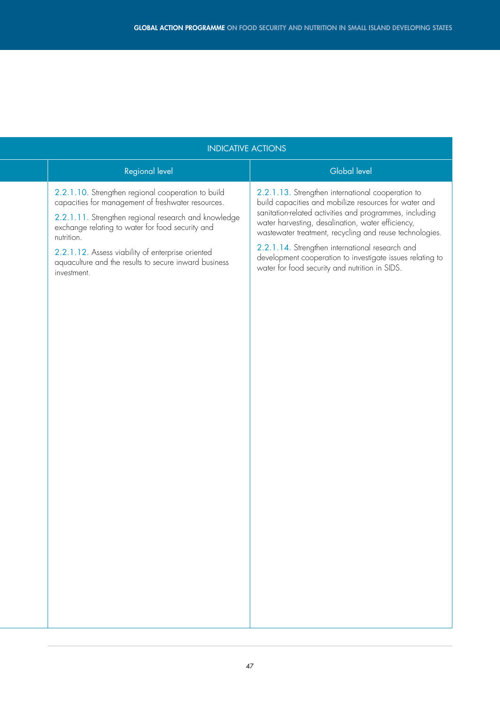| Global level<br>Regional level<br>2.2.1.10. Strengthen regional cooperation to build<br>2.2.1.13. Strengthen international cooperation to<br>capacities for management of freshwater resources.<br>build capacities and mobilize resources for water and<br>sanitation-related activities and programmes, including<br>2.2.1.11. Strengthen regional research and knowledge<br>water harvesting, desalination, water efficiency,<br>exchange relating to water for food security and<br>nutrition.<br>2.2.1.14. Strengthen international research and<br>2.2.1.12. Assess viability of enterprise oriented<br>aquaculture and the results to secure inward business<br>water for food security and nutrition in SIDS.<br>investment. | <b>INDICATIVE ACTIONS</b> |  |                                                                                                                      |
|--------------------------------------------------------------------------------------------------------------------------------------------------------------------------------------------------------------------------------------------------------------------------------------------------------------------------------------------------------------------------------------------------------------------------------------------------------------------------------------------------------------------------------------------------------------------------------------------------------------------------------------------------------------------------------------------------------------------------------------|---------------------------|--|----------------------------------------------------------------------------------------------------------------------|
|                                                                                                                                                                                                                                                                                                                                                                                                                                                                                                                                                                                                                                                                                                                                      |                           |  |                                                                                                                      |
|                                                                                                                                                                                                                                                                                                                                                                                                                                                                                                                                                                                                                                                                                                                                      |                           |  | wastewater treatment, recycling and reuse technologies.<br>development cooperation to investigate issues relating to |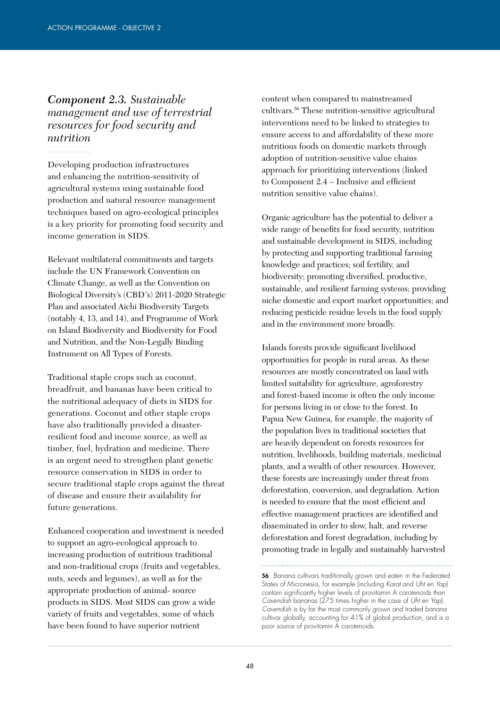### *Component 2.3. Sustainable management and use of terrestrial resources for food security and nutrition*

Developing production infrastructures and enhancing the nutrition-sensitivity of agricultural systems using sustainable food production and natural resource management techniques based on agro-ecological principles is a key priority for promoting food security and income generation in SIDS.

Relevant multilateral commitments and targets include the UN Framework Convention on Climate Change, as well as the Convention on Biological Diversity's (CBD´s) 2011-2020 Strategic Plan and associated Aichi Biodiversity Targets (notably 4, 13, and 14), and Programme of Work on Island Biodiversity and Biodiversity for Food and Nutrition, and the Non-Legally Binding Instrument on All Types of Forests.

Traditional staple crops such as coconut, breadfruit, and bananas have been critical to the nutritional adequacy of diets in SIDS for generations. Coconut and other staple crops have also traditionally provided a disasterresilient food and income source, as well as timber, fuel, hydration and medicine. There is an urgent need to strengthen plant genetic resource conservation in SIDS in order to secure traditional staple crops against the threat of disease and ensure their availability for future generations.

Enhanced cooperation and investment is needed to support an agro-ecological approach to increasing production of nutritious traditional and non-traditional crops (fruits and vegetables, nuts, seeds and legumes), as well as for the appropriate production of animal- source products in SIDS. Most SIDS can grow a wide variety of fruits and vegetables, some of which have been found to have superior nutrient

content when compared to mainstreamed cultivars.56 These nutrition-sensitive agricultural interventions need to be linked to strategies to ensure access to and affordability of these more nutritious foods on domestic markets through adoption of nutrition-sensitive value chains approach for prioritizing interventions (linked to Component 2.4 – Inclusive and efficient nutrition sensitive value chains).

Organic agriculture has the potential to deliver a wide range of benefits for food security, nutrition and sustainable development in SIDS, including by protecting and supporting traditional farming knowledge and practices; soil fertility, and biodiversity; promoting diversified, productive, sustainable, and resilient farming systems; providing niche domestic and export market opportunities; and reducing pesticide residue levels in the food supply and in the environment more broadly.

Islands forests provide significant livelihood opportunities for people in rural areas. As these resources are mostly concentrated on land with limited suitability for agriculture, agroforestry and forest-based income is often the only income for persons living in or close to the forest. In Papua New Guinea, for example, the majority of the population lives in traditional societies that are heavily dependent on forests resources for nutrition, livelihoods, building materials, medicinal plants, and a wealth of other resources. However, these forests are increasingly under threat from deforestation, conversion, and degradation. Action is needed to ensure that the most efficient and effective management practices are identified and disseminated in order to slow, halt, and reverse deforestation and forest degradation, including by promoting trade in legally and sustainably harvested

56 Banana cultivars traditionally grown and eaten in the Federated States of Micronesia, for example (including *Karat* and *Uht en Yap*) contain significantly higher levels of provitamin A carotenoids than *Cavendish* bananas (275 times higher in the case of *Uht en Yap*). *Cavendish* is by far the most commonly grown and traded banana cultivar globally, accounting for 41% of global production, and is a poor source of provitamin A carotenoids.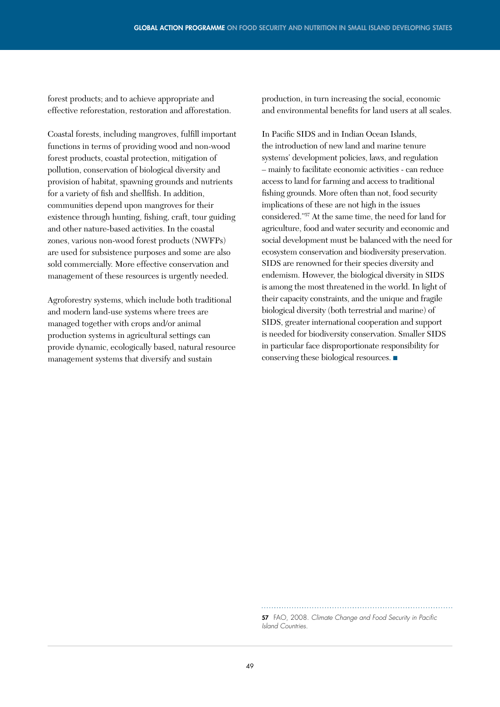forest products; and to achieve appropriate and effective reforestation, restoration and afforestation.

Coastal forests, including mangroves, fulfill important functions in terms of providing wood and non-wood forest products, coastal protection, mitigation of pollution, conservation of biological diversity and provision of habitat, spawning grounds and nutrients for a variety of fish and shellfish. In addition, communities depend upon mangroves for their existence through hunting, fishing, craft, tour guiding and other nature-based activities. In the coastal zones, various non-wood forest products (NWFPs) are used for subsistence purposes and some are also sold commercially. More effective conservation and management of these resources is urgently needed.

Agroforestry systems, which include both traditional and modern land-use systems where trees are managed together with crops and/or animal production systems in agricultural settings can provide dynamic, ecologically based, natural resource management systems that diversify and sustain

production, in turn increasing the social, economic and environmental benefits for land users at all scales.

In Pacific SIDS and in Indian Ocean Islands, the introduction of new land and marine tenure systems' development policies, laws, and regulation – mainly to facilitate economic activities - can reduce access to land for farming and access to traditional fishing grounds. More often than not, food security implications of these are not high in the issues considered."57 At the same time, the need for land for agriculture, food and water security and economic and social development must be balanced with the need for ecosystem conservation and biodiversity preservation. SIDS are renowned for their species diversity and endemism. However, the biological diversity in SIDS is among the most threatened in the world. In light of their capacity constraints, and the unique and fragile biological diversity (both terrestrial and marine) of SIDS, greater international cooperation and support is needed for biodiversity conservation. Smaller SIDS in particular face disproportionate responsibility for conserving these biological resources. ■

57 FAO, 2008. *Climate Change and Food Security in Pacific Island Countries.*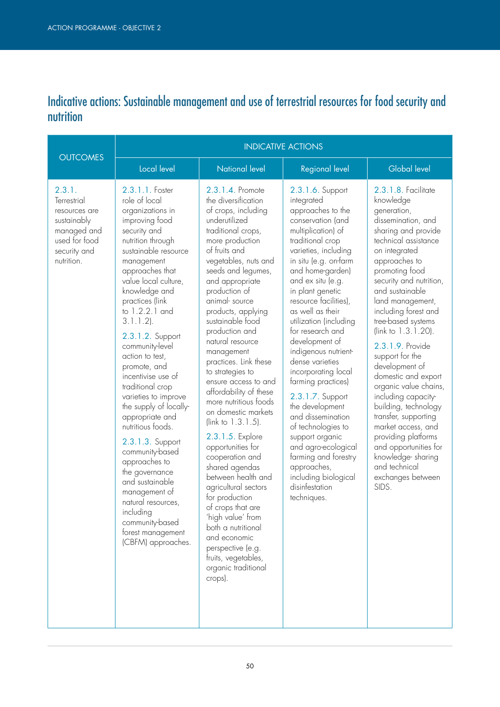# Indicative actions: Sustainable management and use of terrestrial resources for food security and nutrition

|                                                                                                                     | <b>INDICATIVE ACTIONS</b>                                                                                                                                                                                                                                                                                                                                                                                                                                                                                                                                                                                                                                                                       |                                                                                                                                                                                                                                                                                                                                                                                                                                                                                                                                                                                                                                                                                                                                                                                                                                |                                                                                                                                                                                                                                                                                                                                                                                                                                                                                                                                                                                                                                                                   |                                                                                                                                                                                                                                                                                                                                                                                                                                                                                                                                                                                                                                           |  |  |  |
|---------------------------------------------------------------------------------------------------------------------|-------------------------------------------------------------------------------------------------------------------------------------------------------------------------------------------------------------------------------------------------------------------------------------------------------------------------------------------------------------------------------------------------------------------------------------------------------------------------------------------------------------------------------------------------------------------------------------------------------------------------------------------------------------------------------------------------|--------------------------------------------------------------------------------------------------------------------------------------------------------------------------------------------------------------------------------------------------------------------------------------------------------------------------------------------------------------------------------------------------------------------------------------------------------------------------------------------------------------------------------------------------------------------------------------------------------------------------------------------------------------------------------------------------------------------------------------------------------------------------------------------------------------------------------|-------------------------------------------------------------------------------------------------------------------------------------------------------------------------------------------------------------------------------------------------------------------------------------------------------------------------------------------------------------------------------------------------------------------------------------------------------------------------------------------------------------------------------------------------------------------------------------------------------------------------------------------------------------------|-------------------------------------------------------------------------------------------------------------------------------------------------------------------------------------------------------------------------------------------------------------------------------------------------------------------------------------------------------------------------------------------------------------------------------------------------------------------------------------------------------------------------------------------------------------------------------------------------------------------------------------------|--|--|--|
| <b>OUTCOMES</b>                                                                                                     | Local level                                                                                                                                                                                                                                                                                                                                                                                                                                                                                                                                                                                                                                                                                     | <b>National level</b>                                                                                                                                                                                                                                                                                                                                                                                                                                                                                                                                                                                                                                                                                                                                                                                                          | <b>Regional level</b>                                                                                                                                                                                                                                                                                                                                                                                                                                                                                                                                                                                                                                             | Global level                                                                                                                                                                                                                                                                                                                                                                                                                                                                                                                                                                                                                              |  |  |  |
| 2.3.1.<br>Terrestrial<br>resources are<br>sustainably<br>managed and<br>used for food<br>security and<br>nutrition. | 2.3.1.1. Foster<br>role of local<br>organizations in<br>improving food<br>security and<br>nutrition through<br>sustainable resource<br>management<br>approaches that<br>value local culture,<br>knowledge and<br>practices (link<br>to 1.2.2.1 and<br>$3.1.1.2$ ).<br>2.3.1.2. Support<br>community-level<br>action to test,<br>promote, and<br>incentivise use of<br>traditional crop<br>varieties to improve<br>the supply of locally-<br>appropriate and<br>nutritious foods.<br>2.3.1.3. Support<br>community-based<br>approaches to<br>the governance<br>and sustainable<br>management of<br>natural resources,<br>including<br>community-based<br>forest management<br>(CBFM) approaches. | 2.3.1.4. Promote<br>the diversification<br>of crops, including<br>underutilized<br>traditional crops,<br>more production<br>of fruits and<br>vegetables, nuts and<br>seeds and legumes,<br>and appropriate<br>production of<br>animal-source<br>products, applying<br>sustainable food<br>production and<br>natural resource<br>management<br>practices. Link these<br>to strategies to<br>ensure access to and<br>affordability of these<br>more nutritious foods<br>on domestic markets<br>(link to $1.3.1.5$ ).<br>2.3.1.5. Explore<br>opportunities for<br>cooperation and<br>shared agendas<br>between health and<br>agricultural sectors<br>for production<br>of crops that are<br>'high value' from<br>both a nutritional<br>and economic<br>perspective (e.g.<br>fruits, vegetables,<br>organic traditional<br>crops). | 2.3.1.6. Support<br>integrated<br>approaches to the<br>conservation (and<br>multiplication) of<br>traditional crop<br>varieties, including<br>in situ (e.g. on-farm<br>and home-garden)<br>and ex situ (e.g.<br>in plant genetic<br>resource facilities),<br>as well as their<br>utilization (including<br>for research and<br>development of<br>indigenous nutrient-<br>dense varieties<br>incorporating local<br>farming practices)<br>2.3.1.7. Support<br>the development<br>and dissemination<br>of technologies to<br>support organic<br>and agro-ecological<br>farming and forestry<br>approaches,<br>including biological<br>disinfestation<br>techniques. | 2.3.1.8. Facilitate<br>knowledge<br>generation,<br>dissemination, and<br>sharing and provide<br>technical assistance<br>on integrated<br>approaches to<br>promoting food<br>security and nutrition,<br>and sustainable<br>land management,<br>including forest and<br>tree-based systems<br>(link to 1.3.1.20).<br>2.3.1.9. Provide<br>support for the<br>development of<br>domestic and export<br>organic value chains,<br>including capacity-<br>building, technology<br>transfer, supporting<br>market access, and<br>providing platforms<br>and opportunities for<br>knowledge-sharing<br>and technical<br>exchanges between<br>SIDS. |  |  |  |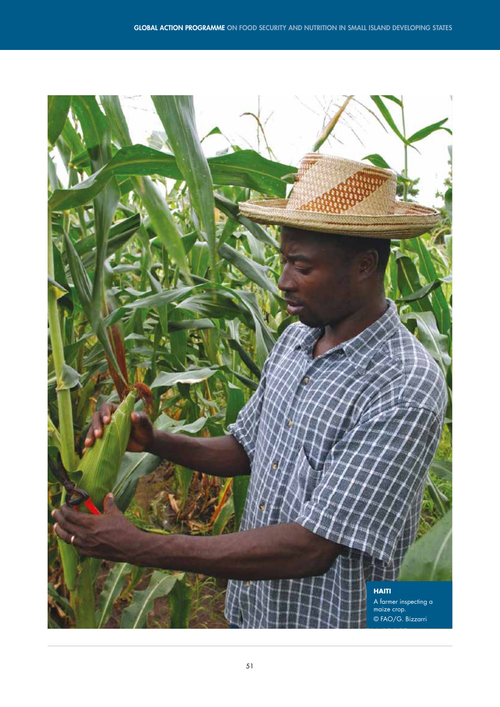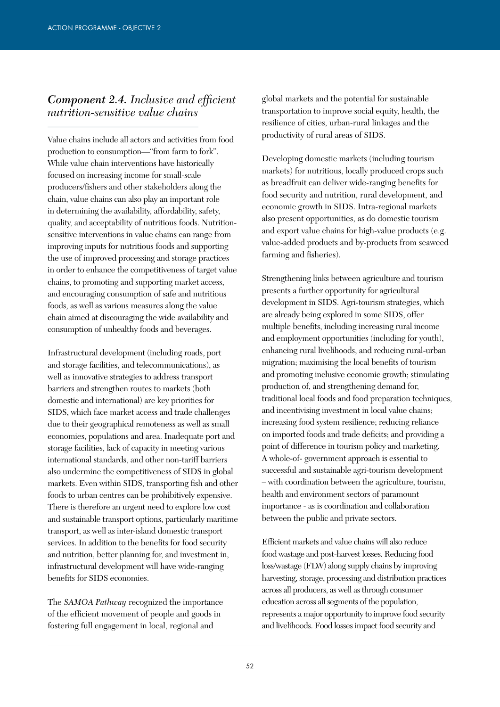### *Component 2.4. Inclusive and efficient nutrition-sensitive value chains*

Value chains include all actors and activities from food production to consumption—"from farm to fork". While value chain interventions have historically focused on increasing income for small-scale producers/fishers and other stakeholders along the chain, value chains can also play an important role in determining the availability, affordability, safety, quality, and acceptability of nutritious foods. Nutritionsensitive interventions in value chains can range from improving inputs for nutritious foods and supporting the use of improved processing and storage practices in order to enhance the competitiveness of target value chains, to promoting and supporting market access, and encouraging consumption of safe and nutritious foods, as well as various measures along the value chain aimed at discouraging the wide availability and consumption of unhealthy foods and beverages.

Infrastructural development (including roads, port and storage facilities, and telecommunications), as well as innovative strategies to address transport barriers and strengthen routes to markets (both domestic and international) are key priorities for SIDS, which face market access and trade challenges due to their geographical remoteness as well as small economies, populations and area. Inadequate port and storage facilities, lack of capacity in meeting various international standards, and other non-tariff barriers also undermine the competitiveness of SIDS in global markets. Even within SIDS, transporting fish and other foods to urban centres can be prohibitively expensive. There is therefore an urgent need to explore low cost and sustainable transport options, particularly maritime transport, as well as inter-island domestic transport services. In addition to the benefits for food security and nutrition, better planning for, and investment in, infrastructural development will have wide-ranging benefits for SIDS economies.

The *SAMOA Pathway* recognized the importance of the efficient movement of people and goods in fostering full engagement in local, regional and

global markets and the potential for sustainable transportation to improve social equity, health, the resilience of cities, urban-rural linkages and the productivity of rural areas of SIDS.

Developing domestic markets (including tourism markets) for nutritious, locally produced crops such as breadfruit can deliver wide-ranging benefits for food security and nutrition, rural development, and economic growth in SIDS. Intra-regional markets also present opportunities, as do domestic tourism and export value chains for high-value products (e.g. value-added products and by-products from seaweed farming and fisheries).

Strengthening links between agriculture and tourism presents a further opportunity for agricultural development in SIDS. Agri-tourism strategies, which are already being explored in some SIDS, offer multiple benefits, including increasing rural income and employment opportunities (including for youth), enhancing rural livelihoods, and reducing rural-urban migration; maximising the local benefits of tourism and promoting inclusive economic growth; stimulating production of, and strengthening demand for, traditional local foods and food preparation techniques, and incentivising investment in local value chains; increasing food system resilience; reducing reliance on imported foods and trade deficits; and providing a point of difference in tourism policy and marketing. A whole-of- government approach is essential to successful and sustainable agri-tourism development – with coordination between the agriculture, tourism, health and environment sectors of paramount importance - as is coordination and collaboration between the public and private sectors.

Efficient markets and value chains will also reduce food wastage and post-harvest losses. Reducing food loss/wastage (FLW) along supply chains by improving harvesting, storage, processing and distribution practices across all producers, as well as through consumer education across all segments of the population, represents a major opportunity to improve food security and livelihoods. Food losses impact food security and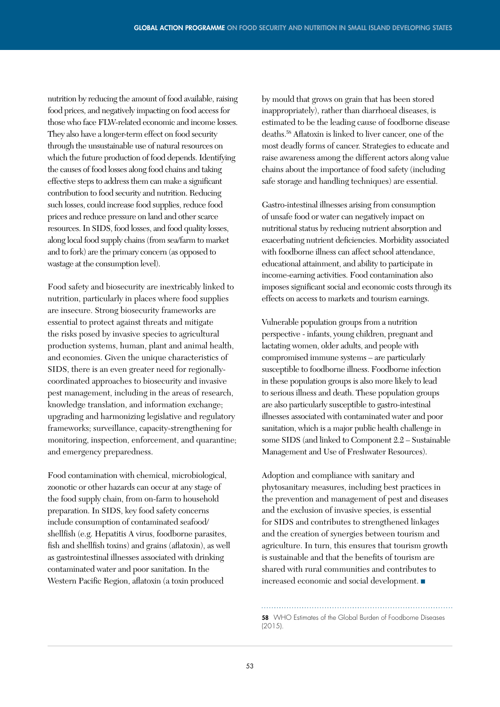nutrition by reducing the amount of food available, raising food prices, and negatively impacting on food access for those who face FLW-related economic and income losses. They also have a longer-term effect on food security through the unsustainable use of natural resources on which the future production of food depends. Identifying the causes of food losses along food chains and taking effective steps to address them can make a significant contribution to food security and nutrition. Reducing such losses, could increase food supplies, reduce food prices and reduce pressure on land and other scarce resources. In SIDS, food losses, and food quality losses, along local food supply chains (from sea/farm to market and to fork) are the primary concern (as opposed to wastage at the consumption level).

Food safety and biosecurity are inextricably linked to nutrition, particularly in places where food supplies are insecure. Strong biosecurity frameworks are essential to protect against threats and mitigate the risks posed by invasive species to agricultural production systems, human, plant and animal health, and economies. Given the unique characteristics of SIDS, there is an even greater need for regionallycoordinated approaches to biosecurity and invasive pest management, including in the areas of research, knowledge translation, and information exchange; upgrading and harmonizing legislative and regulatory frameworks; surveillance, capacity-strengthening for monitoring, inspection, enforcement, and quarantine; and emergency preparedness.

Food contamination with chemical, microbiological, zoonotic or other hazards can occur at any stage of the food supply chain, from on-farm to household preparation. In SIDS, key food safety concerns include consumption of contaminated seafood/ shellfish (e.g. Hepatitis A virus, foodborne parasites, fish and shellfish toxins) and grains (aflatoxin), as well as gastrointestinal illnesses associated with drinking contaminated water and poor sanitation. In the Western Pacific Region, aflatoxin (a toxin produced

by mould that grows on grain that has been stored inappropriately), rather than diarrhoeal diseases, is estimated to be the leading cause of foodborne disease deaths.58 Aflatoxin is linked to liver cancer, one of the most deadly forms of cancer. Strategies to educate and raise awareness among the different actors along value chains about the importance of food safety (including safe storage and handling techniques) are essential.

Gastro-intestinal illnesses arising from consumption of unsafe food or water can negatively impact on nutritional status by reducing nutrient absorption and exacerbating nutrient deficiencies. Morbidity associated with foodborne illness can affect school attendance, educational attainment, and ability to participate in income-earning activities. Food contamination also imposes significant social and economic costs through its effects on access to markets and tourism earnings.

Vulnerable population groups from a nutrition perspective - infants, young children, pregnant and lactating women, older adults, and people with compromised immune systems – are particularly susceptible to foodborne illness. Foodborne infection in these population groups is also more likely to lead to serious illness and death. These population groups are also particularly susceptible to gastro-intestinal illnesses associated with contaminated water and poor sanitation, which is a major public health challenge in some SIDS (and linked to Component 2.2 – Sustainable Management and Use of Freshwater Resources).

Adoption and compliance with sanitary and phytosanitary measures, including best practices in the prevention and management of pest and diseases and the exclusion of invasive species, is essential for SIDS and contributes to strengthened linkages and the creation of synergies between tourism and agriculture. In turn, this ensures that tourism growth is sustainable and that the benefits of tourism are shared with rural communities and contributes to increased economic and social development. ■

58 WHO Estimates of the Global Burden of Foodborne Diseases  $(2015)$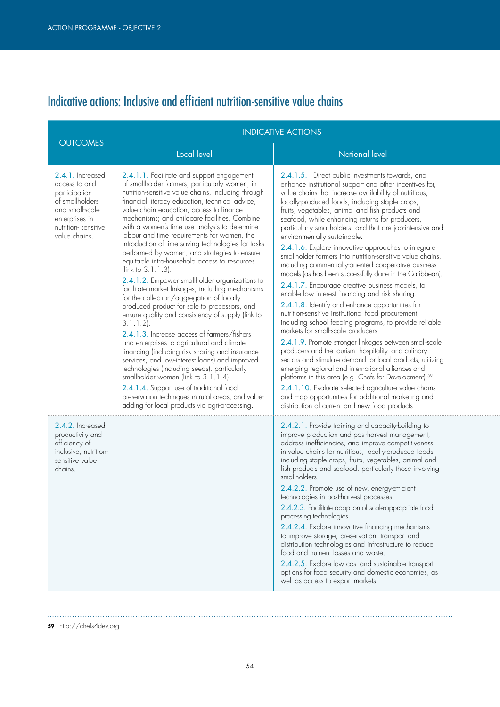# Indicative actions: Inclusive and efficient nutrition-sensitive value chains

|                                                                                                                                                    | <b>INDICATIVE ACTIONS</b>                                                                                                                                                                                                                                                                                                                                                                                                                                                                                                                                                                                                                                                                                                                                                                                                                                                                                                                                                                                                                                                                                                                                                                                                                                                                              |                                                                                                                                                                                                                                                                                                                                                                                                                                                                                                                                                                                                                                                                                                                                                                                                                                                                                                                                                                                                                                                                                                                                                                                                                                                                                                                                                                                                                                                                 |  |
|----------------------------------------------------------------------------------------------------------------------------------------------------|--------------------------------------------------------------------------------------------------------------------------------------------------------------------------------------------------------------------------------------------------------------------------------------------------------------------------------------------------------------------------------------------------------------------------------------------------------------------------------------------------------------------------------------------------------------------------------------------------------------------------------------------------------------------------------------------------------------------------------------------------------------------------------------------------------------------------------------------------------------------------------------------------------------------------------------------------------------------------------------------------------------------------------------------------------------------------------------------------------------------------------------------------------------------------------------------------------------------------------------------------------------------------------------------------------|-----------------------------------------------------------------------------------------------------------------------------------------------------------------------------------------------------------------------------------------------------------------------------------------------------------------------------------------------------------------------------------------------------------------------------------------------------------------------------------------------------------------------------------------------------------------------------------------------------------------------------------------------------------------------------------------------------------------------------------------------------------------------------------------------------------------------------------------------------------------------------------------------------------------------------------------------------------------------------------------------------------------------------------------------------------------------------------------------------------------------------------------------------------------------------------------------------------------------------------------------------------------------------------------------------------------------------------------------------------------------------------------------------------------------------------------------------------------|--|
| <b>OUTCOMES</b>                                                                                                                                    | Local level                                                                                                                                                                                                                                                                                                                                                                                                                                                                                                                                                                                                                                                                                                                                                                                                                                                                                                                                                                                                                                                                                                                                                                                                                                                                                            | <b>National level</b>                                                                                                                                                                                                                                                                                                                                                                                                                                                                                                                                                                                                                                                                                                                                                                                                                                                                                                                                                                                                                                                                                                                                                                                                                                                                                                                                                                                                                                           |  |
| 2.4.1. Increased<br>access to and<br>participation<br>of smallholders<br>and small-scale<br>enterprises in<br>nutrition-sensitive<br>value chains. | 2.4.1.1. Facilitate and support engagement<br>of smallholder farmers, particularly women, in<br>nutrition-sensitive value chains, including through<br>financial literacy education, technical advice,<br>value chain education, access to finance<br>mechanisms; and childcare facilities. Combine<br>with a women's time use analysis to determine<br>labour and time requirements for women, the<br>introduction of time saving technologies for tasks<br>performed by women, and strategies to ensure<br>equitable intra-household access to resources<br>(link to 3.1.1.3).<br>2.4.1.2. Empower smallholder organizations to<br>facilitate market linkages, including mechanisms<br>for the collection/aggregation of locally<br>produced product for sale to processors, and<br>ensure quality and consistency of supply (link to<br>$3.1.1.2$ ).<br>2.4.1.3. Increase access of farmers/fishers<br>and enterprises to agricultural and climate<br>financing (including risk sharing and insurance<br>services, and low-interest loans) and improved<br>technologies (including seeds), particularly<br>smallholder women (link to 3.1.1.4).<br>2.4.1.4. Support use of traditional food<br>preservation techniques in rural areas, and value-<br>adding for local products via agri-processing. | 2.4.1.5. Direct public investments towards, and<br>enhance institutional support and other incentives for,<br>value chains that increase availability of nutritious,<br>locally-produced foods, including staple crops,<br>fruits, vegetables, animal and fish products and<br>seafood, while enhancing returns for producers,<br>particularly smallholders, and that are job-intensive and<br>environmentally sustainable.<br>2.4.1.6. Explore innovative approaches to integrate<br>smallholder farmers into nutrition-sensitive value chains,<br>including commercially-oriented cooperative business<br>models (as has been successfully done in the Caribbean).<br>2.4.1.7. Encourage creative business models, to<br>enable low interest financing and risk sharing.<br>2.4.1.8. Identify and enhance opportunities for<br>nutrition-sensitive institutional food procurement,<br>including school feeding programs, to provide reliable<br>markets for small-scale producers.<br>2.4.1.9. Promote stronger linkages between small-scale<br>producers and the tourism, hospitality, and culinary<br>sectors and stimulate demand for local products, utilizing<br>emerging regional and international alliances and<br>platforms in this area (e.g. Chefs for Development). <sup>59</sup><br>2.4.1.10. Evaluate selected agriculture value chains<br>and map opportunities for additional marketing and<br>distribution of current and new food products. |  |
| 2.4.2. Increased<br>productivity and<br>efficiency of<br>inclusive, nutrition-<br>sensitive value<br>chains.                                       |                                                                                                                                                                                                                                                                                                                                                                                                                                                                                                                                                                                                                                                                                                                                                                                                                                                                                                                                                                                                                                                                                                                                                                                                                                                                                                        | 2.4.2.1. Provide training and capacity-building to<br>improve production and post-harvest management,<br>address inefficiencies, and improve competitiveness<br>in value chains for nutritious, locally-produced foods,<br>including staple crops, fruits, vegetables, animal and<br>fish products and seafood, particularly those involving<br>smallholders.<br>2.4.2.2. Promote use of new, energy-efficient<br>technologies in post-harvest processes.<br>2.4.2.3. Facilitate adoption of scale-appropriate food<br>processing technologies.<br>2.4.2.4. Explore innovative financing mechanisms<br>to improve storage, preservation, transport and<br>distribution technologies and infrastructure to reduce<br>food and nutrient losses and waste.<br>2.4.2.5. Explore low cost and sustainable transport<br>options for food security and domestic economies, as<br>well as access to export markets.                                                                                                                                                                                                                                                                                                                                                                                                                                                                                                                                                     |  |

59 http://chefs4dev.org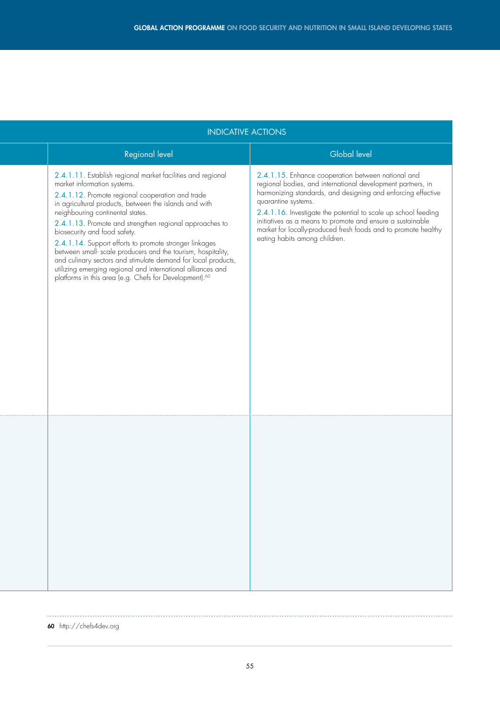|  | <b>INDICATIVE ACTIONS</b>                                                                                                                                                                                                                                                                                                                                                                                                                                                                                                                                                                                                                                               |                                                                                                                                                                                                                                                                                                                                                                                                                                             |  |
|--|-------------------------------------------------------------------------------------------------------------------------------------------------------------------------------------------------------------------------------------------------------------------------------------------------------------------------------------------------------------------------------------------------------------------------------------------------------------------------------------------------------------------------------------------------------------------------------------------------------------------------------------------------------------------------|---------------------------------------------------------------------------------------------------------------------------------------------------------------------------------------------------------------------------------------------------------------------------------------------------------------------------------------------------------------------------------------------------------------------------------------------|--|
|  | Regional level                                                                                                                                                                                                                                                                                                                                                                                                                                                                                                                                                                                                                                                          | <b>Global level</b>                                                                                                                                                                                                                                                                                                                                                                                                                         |  |
|  | 2.4.1.11. Establish regional market facilities and regional<br>market information systems.<br>2.4.1.12. Promote regional cooperation and trade<br>in agricultural products, between the islands and with<br>neighbouring continental states.<br>2.4.1.13. Promote and strengthen regional approaches to<br>biosecurity and food safety.<br>2.4.1.14. Support efforts to promote stronger linkages<br>between small- scale producers and the tourism, hospitality,<br>and culinary sectors and stimulate demand for local products,<br>utilizing emerging regional and international alliances and<br>platforms in this area (e.g. Chefs for Development). <sup>60</sup> | 2.4.1.15. Enhance cooperation between national and<br>regional bodies, and international development partners, in<br>harmonizing standards, and designing and enforcing effective<br>quarantine systems.<br>2.4.1.16. Investigate the potential to scale up school feeding<br>initiatives as a means to promote and ensure a sustainable<br>market for locally-produced fresh foods and to promote healthy<br>eating habits among children. |  |
|  |                                                                                                                                                                                                                                                                                                                                                                                                                                                                                                                                                                                                                                                                         |                                                                                                                                                                                                                                                                                                                                                                                                                                             |  |

60 http://chefs4dev.org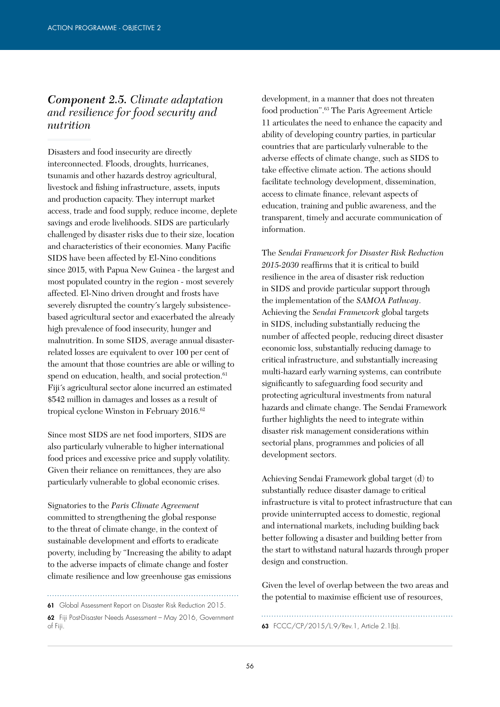#### *Component 2.5. Climate adaptation and resilience for food security and nutrition*

Disasters and food insecurity are directly interconnected. Floods, droughts, hurricanes, tsunamis and other hazards destroy agricultural, livestock and fishing infrastructure, assets, inputs and production capacity. They interrupt market access, trade and food supply, reduce income, deplete savings and erode livelihoods. SIDS are particularly challenged by disaster risks due to their size, location and characteristics of their economies. Many Pacific SIDS have been affected by El-Nino conditions since 2015, with Papua New Guinea - the largest and most populated country in the region - most severely affected. El-Nino driven drought and frosts have severely disrupted the country´s largely subsistencebased agricultural sector and exacerbated the already high prevalence of food insecurity, hunger and malnutrition. In some SIDS, average annual disasterrelated losses are equivalent to over 100 per cent of the amount that those countries are able or willing to spend on education, health, and social protection.<sup>61</sup> Fiji´s agricultural sector alone incurred an estimated \$542 million in damages and losses as a result of tropical cyclone Winston in February 2016.<sup>62</sup>

Since most SIDS are net food importers, SIDS are also particularly vulnerable to higher international food prices and excessive price and supply volatility. Given their reliance on remittances, they are also particularly vulnerable to global economic crises.

Signatories to the *Paris Climate Agreement* committed to strengthening the global response to the threat of climate change, in the context of sustainable development and efforts to eradicate poverty, including by "Increasing the ability to adapt to the adverse impacts of climate change and foster climate resilience and low greenhouse gas emissions

61 Global Assessment Report on Disaster Risk Reduction 2015.

62 Fiji Post-Disaster Needs Assessment – May 2016, Government of Fiji. 63 FCCC/CP/2015/L.9/Rev.1, Article 2.1(b).

development, in a manner that does not threaten food production".63 The Paris Agreement Article 11 articulates the need to enhance the capacity and ability of developing country parties, in particular countries that are particularly vulnerable to the adverse effects of climate change, such as SIDS to take effective climate action. The actions should facilitate technology development, dissemination, access to climate finance, relevant aspects of education, training and public awareness, and the transparent, timely and accurate communication of information.

The *Sendai Framework for Disaster Risk Reduction 2015-2030* reaffirms that it is critical to build resilience in the area of disaster risk reduction in SIDS and provide particular support through the implementation of the *SAMOA Pathway*. Achieving the *Sendai Framework* global targets in SIDS, including substantially reducing the number of affected people, reducing direct disaster economic loss, substantially reducing damage to critical infrastructure, and substantially increasing multi-hazard early warning systems, can contribute significantly to safeguarding food security and protecting agricultural investments from natural hazards and climate change. The Sendai Framework further highlights the need to integrate within disaster risk management considerations within sectorial plans, programmes and policies of all development sectors.

Achieving Sendai Framework global target (d) to substantially reduce disaster damage to critical infrastructure is vital to protect infrastructure that can provide uninterrupted access to domestic, regional and international markets, including building back better following a disaster and building better from the start to withstand natural hazards through proper design and construction.

Given the level of overlap between the two areas and the potential to maximise efficient use of resources,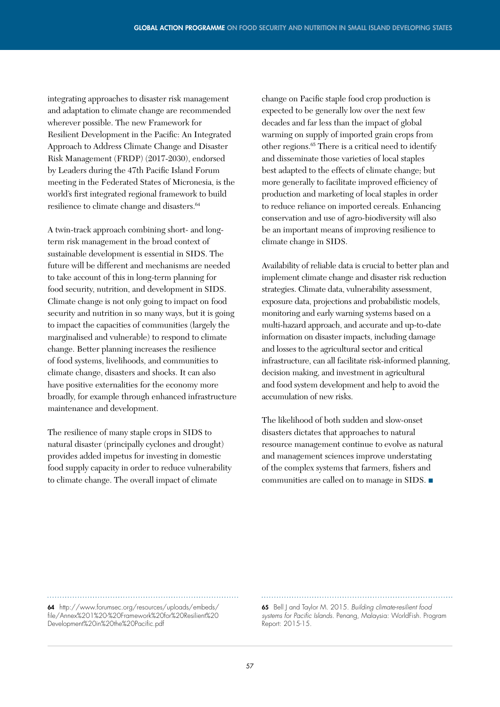integrating approaches to disaster risk management and adaptation to climate change are recommended wherever possible. The new Framework for Resilient Development in the Pacific: An Integrated Approach to Address Climate Change and Disaster Risk Management (FRDP) (2017-2030), endorsed by Leaders during the 47th Pacific Island Forum meeting in the Federated States of Micronesia, is the world's first integrated regional framework to build resilience to climate change and disasters.<sup>64</sup>

A twin-track approach combining short- and longterm risk management in the broad context of sustainable development is essential in SIDS. The future will be different and mechanisms are needed to take account of this in long-term planning for food security, nutrition, and development in SIDS. Climate change is not only going to impact on food security and nutrition in so many ways, but it is going to impact the capacities of communities (largely the marginalised and vulnerable) to respond to climate change. Better planning increases the resilience of food systems, livelihoods, and communities to climate change, disasters and shocks. It can also have positive externalities for the economy more broadly, for example through enhanced infrastructure maintenance and development.

The resilience of many staple crops in SIDS to natural disaster (principally cyclones and drought) provides added impetus for investing in domestic food supply capacity in order to reduce vulnerability to climate change. The overall impact of climate

change on Pacific staple food crop production is expected to be generally low over the next few decades and far less than the impact of global warming on supply of imported grain crops from other regions.65 There is a critical need to identify and disseminate those varieties of local staples best adapted to the effects of climate change; but more generally to facilitate improved efficiency of production and marketing of local staples in order to reduce reliance on imported cereals. Enhancing conservation and use of agro-biodiversity will also be an important means of improving resilience to climate change in SIDS.

Availability of reliable data is crucial to better plan and implement climate change and disaster risk reduction strategies. Climate data, vulnerability assessment, exposure data, projections and probabilistic models, monitoring and early warning systems based on a multi-hazard approach, and accurate and up-to-date information on disaster impacts, including damage and losses to the agricultural sector and critical infrastructure, can all facilitate risk-informed planning, decision making, and investment in agricultural and food system development and help to avoid the accumulation of new risks.

The likelihood of both sudden and slow-onset disasters dictates that approaches to natural resource management continue to evolve as natural and management sciences improve understating of the complex systems that farmers, fishers and communities are called on to manage in SIDS. ■

64 http://www.forumsec.org/resources/uploads/embeds/ file/Annex%201%20-%20Framework%20for%20Resilient%20 Development%20in%20the%20Pacific.pdf

65 Bell J and Taylor M. 2015. *Building climate-resilient food systems for Pacific Islands.* Penang, Malaysia: WorldFish. Program Report: 2015-15.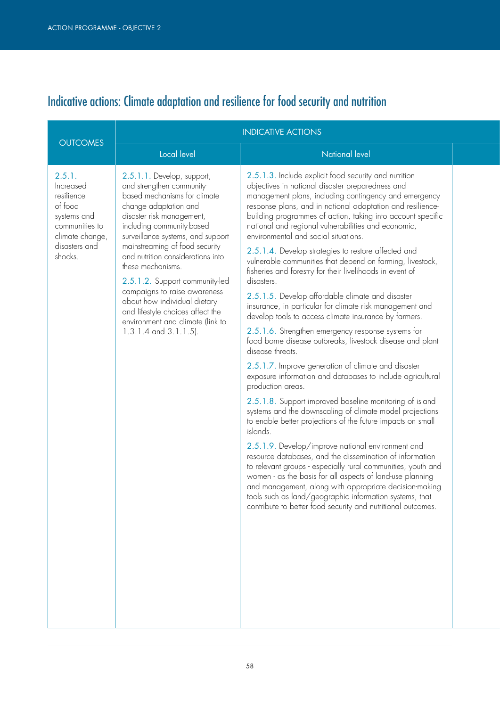# Indicative actions: Climate adaptation and resilience for food security and nutrition

|                                                                                                                              |                                                                                                                                                                                                                                                                                                                                                                                                                                                                                                                     | <b>INDICATIVE ACTIONS</b>                                                                                                                                                                                                                                                                                                                                                                                                                                                                                                                                                                                                                                                                                                                                                                                                                                                                                                                                                                                                                                                                                                                                                                                                                                                                                                                                                                                                                                                                                                                                                                                                                                                                   |
|------------------------------------------------------------------------------------------------------------------------------|---------------------------------------------------------------------------------------------------------------------------------------------------------------------------------------------------------------------------------------------------------------------------------------------------------------------------------------------------------------------------------------------------------------------------------------------------------------------------------------------------------------------|---------------------------------------------------------------------------------------------------------------------------------------------------------------------------------------------------------------------------------------------------------------------------------------------------------------------------------------------------------------------------------------------------------------------------------------------------------------------------------------------------------------------------------------------------------------------------------------------------------------------------------------------------------------------------------------------------------------------------------------------------------------------------------------------------------------------------------------------------------------------------------------------------------------------------------------------------------------------------------------------------------------------------------------------------------------------------------------------------------------------------------------------------------------------------------------------------------------------------------------------------------------------------------------------------------------------------------------------------------------------------------------------------------------------------------------------------------------------------------------------------------------------------------------------------------------------------------------------------------------------------------------------------------------------------------------------|
| <b>OUTCOMES</b>                                                                                                              | Local level                                                                                                                                                                                                                                                                                                                                                                                                                                                                                                         | <b>National level</b>                                                                                                                                                                                                                                                                                                                                                                                                                                                                                                                                                                                                                                                                                                                                                                                                                                                                                                                                                                                                                                                                                                                                                                                                                                                                                                                                                                                                                                                                                                                                                                                                                                                                       |
| 2.5.1.<br>Increased<br>resilience<br>of food<br>systems and<br>communities to<br>climate change,<br>disasters and<br>shocks. | 2.5.1.1. Develop, support,<br>and strengthen community-<br>based mechanisms for climate<br>change adaptation and<br>disaster risk management,<br>including community-based<br>surveillance systems, and support<br>mainstreaming of food security<br>and nutrition considerations into<br>these mechanisms.<br>2.5.1.2. Support community-led<br>campaigns to raise awareness<br>about how individual dietary<br>and lifestyle choices affect the<br>environment and climate (link to<br>$1.3.1.4$ and $3.1.1.5$ ). | 2.5.1.3. Include explicit food security and nutrition<br>objectives in national disaster preparedness and<br>management plans, including contingency and emergency<br>response plans, and in national adaptation and resilience-<br>building programmes of action, taking into account specific<br>national and regional vulnerabilities and economic,<br>environmental and social situations.<br>2.5.1.4. Develop strategies to restore affected and<br>vulnerable communities that depend on farming, livestock,<br>fisheries and forestry for their livelihoods in event of<br>disasters.<br>2.5.1.5. Develop affordable climate and disaster<br>insurance, in particular for climate risk management and<br>develop tools to access climate insurance by farmers.<br>2.5.1.6. Strengthen emergency response systems for<br>food borne disease outbreaks, livestock disease and plant<br>disease threats.<br>2.5.1.7. Improve generation of climate and disaster<br>exposure information and databases to include agricultural<br>production areas.<br>2.5.1.8. Support improved baseline monitoring of island<br>systems and the downscaling of climate model projections<br>to enable better projections of the future impacts on small<br>islands.<br>2.5.1.9. Develop/improve national environment and<br>resource databases, and the dissemination of information<br>to relevant groups - especially rural communities, youth and<br>women - as the basis for all aspects of land-use planning<br>and management, along with appropriate decision-making<br>tools such as land/geographic information systems, that<br>contribute to better food security and nutritional outcomes. |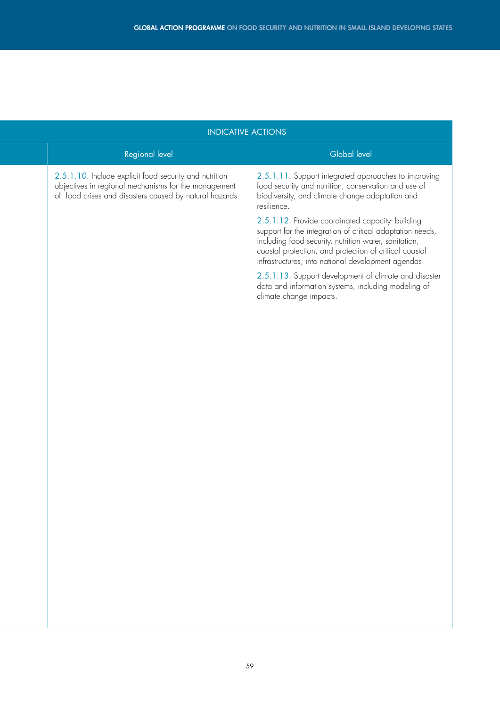| <b>INDICATIVE ACTIONS</b>                                                                                                                                                 |                                                                                                                                                                                                                                                                                        |  |
|---------------------------------------------------------------------------------------------------------------------------------------------------------------------------|----------------------------------------------------------------------------------------------------------------------------------------------------------------------------------------------------------------------------------------------------------------------------------------|--|
| Regional level                                                                                                                                                            | <b>Global level</b>                                                                                                                                                                                                                                                                    |  |
| 2.5.1.10. Include explicit food security and nutrition<br>objectives in regional mechanisms for the management<br>of food crises and disasters caused by natural hazards. | 2.5.1.11. Support integrated approaches to improving<br>food security and nutrition, conservation and use of<br>biodiversity, and climate change adaptation and<br>resilience.                                                                                                         |  |
|                                                                                                                                                                           | 2.5.1.12. Provide coordinated capacity building<br>support for the integration of critical adaptation needs,<br>including food security, nutrition water, sanitation,<br>coastal protection, and protection of critical coastal<br>infrastructures, into national development agendas. |  |
|                                                                                                                                                                           | 2.5.1.13. Support development of climate and disaster<br>data and information systems, including modeling of<br>climate change impacts.                                                                                                                                                |  |
|                                                                                                                                                                           |                                                                                                                                                                                                                                                                                        |  |
|                                                                                                                                                                           |                                                                                                                                                                                                                                                                                        |  |
|                                                                                                                                                                           |                                                                                                                                                                                                                                                                                        |  |
|                                                                                                                                                                           |                                                                                                                                                                                                                                                                                        |  |
|                                                                                                                                                                           |                                                                                                                                                                                                                                                                                        |  |
|                                                                                                                                                                           |                                                                                                                                                                                                                                                                                        |  |
|                                                                                                                                                                           |                                                                                                                                                                                                                                                                                        |  |
|                                                                                                                                                                           |                                                                                                                                                                                                                                                                                        |  |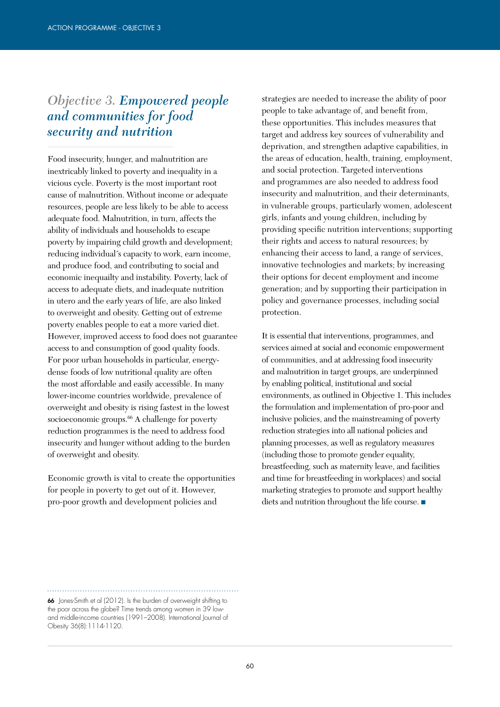### *Objective 3. Empowered people and communities for food security and nutrition*

Food insecurity, hunger, and malnutrition are inextricably linked to poverty and inequality in a vicious cycle. Poverty is the most important root cause of malnutrition. Without income or adequate resources, people are less likely to be able to access adequate food. Malnutrition, in turn, affects the ability of individuals and households to escape poverty by impairing child growth and development; reducing individual´s capacity to work, earn income, and produce food, and contributing to social and economic inequailty and instability. Poverty, lack of access to adequate diets, and inadequate nutrition in utero and the early years of life, are also linked to overweight and obesity. Getting out of extreme poverty enables people to eat a more varied diet. However, improved access to food does not guarantee access to and consumption of good quality foods. For poor urban households in particular, energydense foods of low nutritional quality are often the most affordable and easily accessible. In many lower-income countries worldwide, prevalence of overweight and obesity is rising fastest in the lowest socioeconomic groups.<sup>66</sup> A challenge for poverty reduction programmes is the need to address food insecurity and hunger without adding to the burden of overweight and obesity.

Economic growth is vital to create the opportunities for people in poverty to get out of it. However, pro-poor growth and development policies and

strategies are needed to increase the ability of poor people to take advantage of, and benefit from, these opportunities. This includes measures that target and address key sources of vulnerability and deprivation, and strengthen adaptive capabilities, in the areas of education, health, training, employment, and social protection. Targeted interventions and programmes are also needed to address food insecurity and malnutrition, and their determinants, in vulnerable groups, particularly women, adolescent girls, infants and young children, including by providing specific nutrition interventions; supporting their rights and access to natural resources; by enhancing their access to land, a range of services, innovative technologies and markets; by increasing their options for decent employment and income generation; and by supporting their participation in policy and governance processes, including social protection.

It is essential that interventions, programmes, and services aimed at social and economic empowerment of communities, and at addressing food insecurity and malnutrition in target groups, are underpinned by enabling political, institutional and social environments, as outlined in Objective 1. This includes the formulation and implementation of pro-poor and inclusive policies, and the mainstreaming of poverty reduction strategies into all national policies and planning processes, as well as regulatory measures (including those to promote gender equality, breastfeeding, such as maternity leave, and facilities and time for breastfeeding in workplaces) and social marketing strategies to promote and support healthy diets and nutrition throughout the life course. ■

<sup>66</sup> Jones-Smith et al (2012). Is the burden of overweight shifting to the poor across the globe? Time trends among women in 39 lowand middle-income countries (1991–2008). International Journal of Obesity 36(8):1114-1120.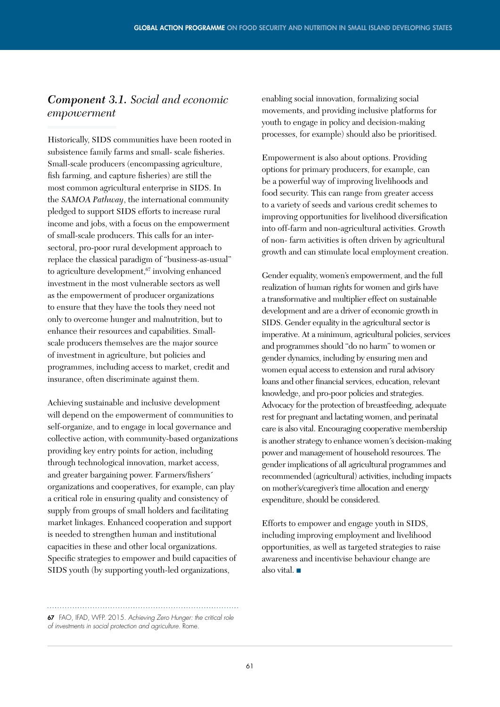### *Component 3.1. Social and economic empowerment*

Historically, SIDS communities have been rooted in subsistence family farms and small- scale fisheries. Small-scale producers (encompassing agriculture, fish farming, and capture fisheries) are still the most common agricultural enterprise in SIDS. In the *SAMOA Pathway*, the international community pledged to support SIDS efforts to increase rural income and jobs, with a focus on the empowerment of small-scale producers. This calls for an intersectoral, pro-poor rural development approach to replace the classical paradigm of "business-as-usual" to agriculture development,<sup>67</sup> involving enhanced investment in the most vulnerable sectors as well as the empowerment of producer organizations to ensure that they have the tools they need not only to overcome hunger and malnutrition, but to enhance their resources and capabilities. Smallscale producers themselves are the major source of investment in agriculture, but policies and programmes, including access to market, credit and insurance, often discriminate against them.

Achieving sustainable and inclusive development will depend on the empowerment of communities to self-organize, and to engage in local governance and collective action, with community-based organizations providing key entry points for action, including through technological innovation, market access, and greater bargaining power. Farmers/fishers´ organizations and cooperatives, for example, can play a critical role in ensuring quality and consistency of supply from groups of small holders and facilitating market linkages. Enhanced cooperation and support is needed to strengthen human and institutional capacities in these and other local organizations. Specific strategies to empower and build capacities of SIDS youth (by supporting youth-led organizations,

enabling social innovation, formalizing social movements, and providing inclusive platforms for youth to engage in policy and decision-making processes, for example) should also be prioritised.

Empowerment is also about options. Providing options for primary producers, for example, can be a powerful way of improving livelihoods and food security. This can range from greater access to a variety of seeds and various credit schemes to improving opportunities for livelihood diversification into off-farm and non-agricultural activities. Growth of non- farm activities is often driven by agricultural growth and can stimulate local employment creation.

Gender equality, women's empowerment, and the full realization of human rights for women and girls have a transformative and multiplier effect on sustainable development and are a driver of economic growth in SIDS. Gender equality in the agricultural sector is imperative. At a minimum, agricultural policies, services and programmes should "do no harm" to women or gender dynamics, including by ensuring men and women equal access to extension and rural advisory loans and other financial services, education, relevant knowledge, and pro-poor policies and strategies. Advocacy for the protection of breastfeeding, adequate rest for pregnant and lactating women, and perinatal care is also vital. Encouraging cooperative membership is another strategy to enhance women´s decision-making power and management of household resources. The gender implications of all agricultural programmes and recommended (agricultural) activities, including impacts on mother's/caregiver's time allocation and energy expenditure, should be considered.

Efforts to empower and engage youth in SIDS, including improving employment and livelihood opportunities, as well as targeted strategies to raise awareness and incentivise behaviour change are also vital. ■

#### 67 FAO, IFAD, WFP. 2015. *Achieving Zero Hunger: the critical role of investments in social protection and agriculture.* Rome.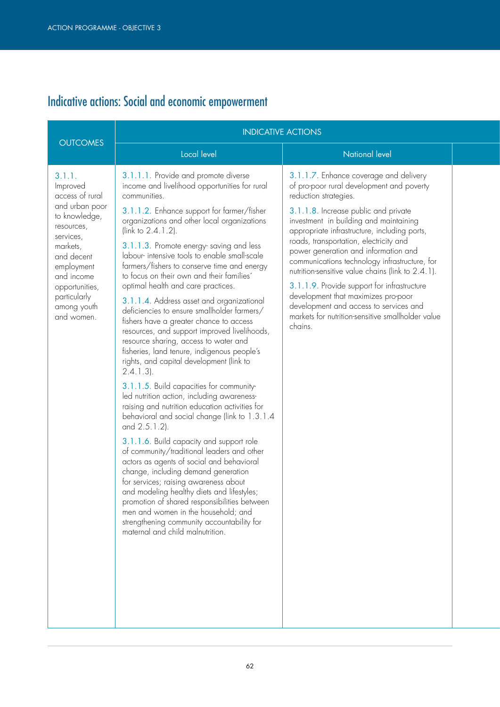# Indicative actions: Social and economic empowerment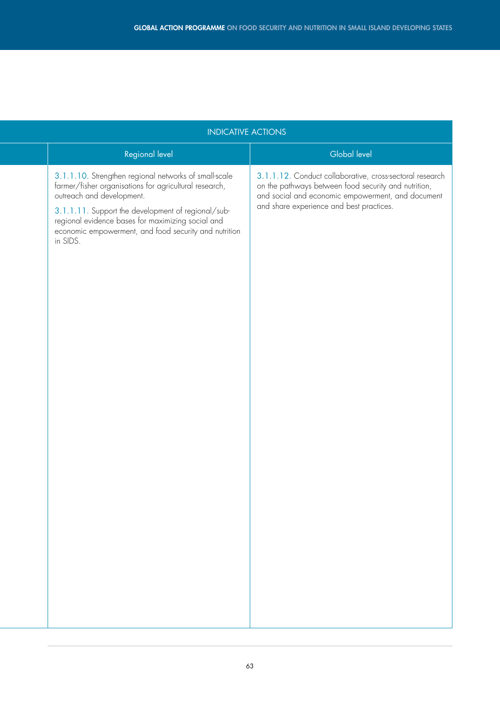| <b>INDICATIVE ACTIONS</b>                                                                                                                                                                                                                                                                                                    |                                                                                                                                                                                                                   |  |
|------------------------------------------------------------------------------------------------------------------------------------------------------------------------------------------------------------------------------------------------------------------------------------------------------------------------------|-------------------------------------------------------------------------------------------------------------------------------------------------------------------------------------------------------------------|--|
| Regional level                                                                                                                                                                                                                                                                                                               | Global level                                                                                                                                                                                                      |  |
| 3.1.1.10. Strengthen regional networks of small-scale<br>farmer/fisher organisations for agricultural research,<br>outreach and development.<br>3.1.1.11. Support the development of regional/sub-<br>regional evidence bases for maximizing social and<br>economic empowerment, and food security and nutrition<br>in SIDS. | 3.1.1.12. Conduct collaborative, cross-sectoral research<br>on the pathways between food security and nutrition,<br>and social and economic empowerment, and document<br>and share experience and best practices. |  |
|                                                                                                                                                                                                                                                                                                                              |                                                                                                                                                                                                                   |  |
|                                                                                                                                                                                                                                                                                                                              |                                                                                                                                                                                                                   |  |
|                                                                                                                                                                                                                                                                                                                              |                                                                                                                                                                                                                   |  |
|                                                                                                                                                                                                                                                                                                                              |                                                                                                                                                                                                                   |  |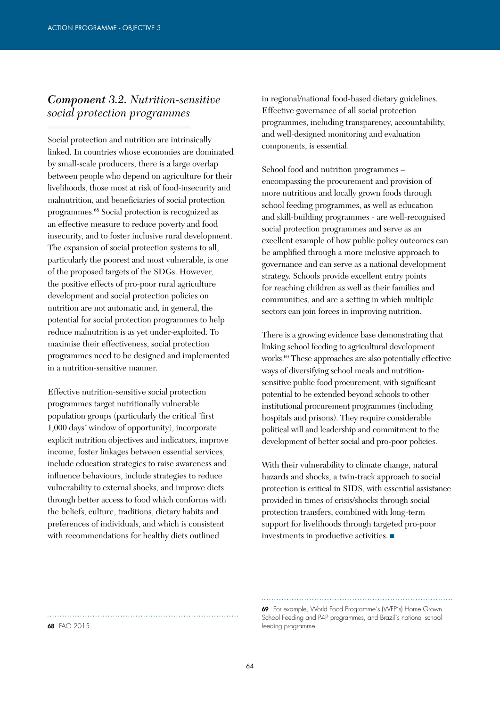#### *Component 3.2. Nutrition-sensitive social protection programmes*

Social protection and nutrition are intrinsically linked. In countries whose economies are dominated by small-scale producers, there is a large overlap between people who depend on agriculture for their livelihoods, those most at risk of food-insecurity and malnutrition, and beneficiaries of social protection programmes.68 Social protection is recognized as an effective measure to reduce poverty and food insecurity, and to foster inclusive rural development. The expansion of social protection systems to all, particularly the poorest and most vulnerable, is one of the proposed targets of the SDGs. However, the positive effects of pro-poor rural agriculture development and social protection policies on nutrition are not automatic and, in general, the potential for social protection programmes to help reduce malnutrition is as yet under-exploited. To maximise their effectiveness, social protection programmes need to be designed and implemented in a nutrition-sensitive manner.

Effective nutrition-sensitive social protection programmes target nutritionally vulnerable population groups (particularly the critical ´first 1,000 days´ window of opportunity), incorporate explicit nutrition objectives and indicators, improve income, foster linkages between essential services, include education strategies to raise awareness and influence behaviours, include strategies to reduce vulnerability to external shocks, and improve diets through better access to food which conforms with the beliefs, culture, traditions, dietary habits and preferences of individuals, and which is consistent with recommendations for healthy diets outlined

in regional/national food-based dietary guidelines. Effective governance of all social protection programmes, including transparency, accountability, and well-designed monitoring and evaluation components, is essential.

School food and nutrition programmes – encompassing the procurement and provision of more nutritious and locally grown foods through school feeding programmes, as well as education and skill-building programmes - are well-recognised social protection programmes and serve as an excellent example of how public policy outcomes can be amplified through a more inclusive approach to governance and can serve as a national development strategy. Schools provide excellent entry points for reaching children as well as their families and communities, and are a setting in which multiple sectors can join forces in improving nutrition.

There is a growing evidence base demonstrating that linking school feeding to agricultural development works.69 These approaches are also potentially effective ways of diversifying school meals and nutritionsensitive public food procurement, with significant potential to be extended beyond schools to other institutional procurement programmes (including hospitals and prisons). They require considerable political will and leadership and commitment to the development of better social and pro-poor policies.

With their vulnerability to climate change, natural hazards and shocks, a twin-track approach to social protection is critical in SIDS, with essential assistance provided in times of crisis/shocks through social protection transfers, combined with long-term support for livelihoods through targeted pro-poor investments in productive activities. ■

69 For example, World Food Programme´s (WFP´s) Home Grown School Feeding and P4P programmes, and Brazil´s national school 68 FAO 2015.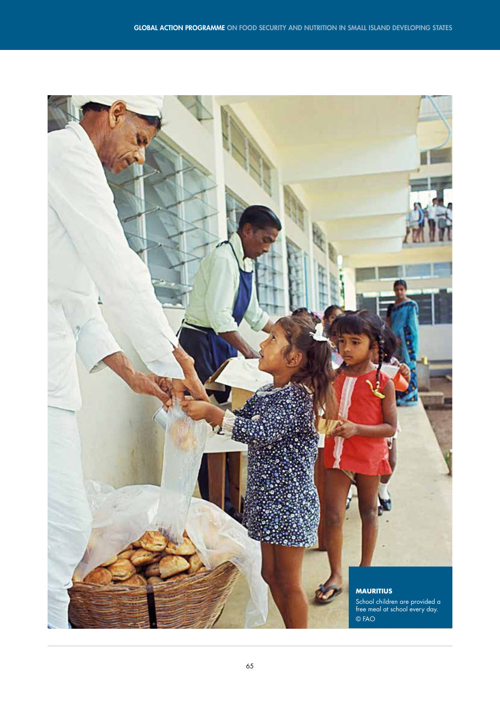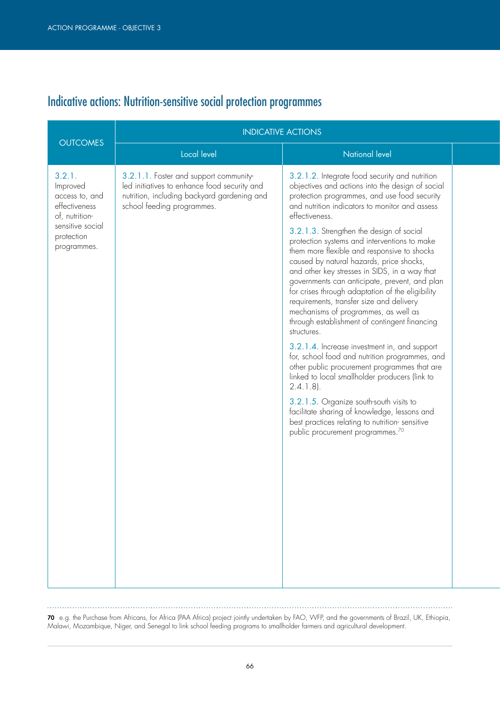. . . . . . . . . . . . .

# Indicative actions: Nutrition-sensitive social protection programmes

|                                                                                                                          | <b>INDICATIVE ACTIONS</b>                                                                                                                                           |                                                                                                                                                                                                                                                                                                                                                                                                                                                                                                                                                                                                                                                                                                                                                                                                                                                                                                                                                                                                                                                                                                                                          |  |
|--------------------------------------------------------------------------------------------------------------------------|---------------------------------------------------------------------------------------------------------------------------------------------------------------------|------------------------------------------------------------------------------------------------------------------------------------------------------------------------------------------------------------------------------------------------------------------------------------------------------------------------------------------------------------------------------------------------------------------------------------------------------------------------------------------------------------------------------------------------------------------------------------------------------------------------------------------------------------------------------------------------------------------------------------------------------------------------------------------------------------------------------------------------------------------------------------------------------------------------------------------------------------------------------------------------------------------------------------------------------------------------------------------------------------------------------------------|--|
| <b>OUTCOMES</b>                                                                                                          | Local level                                                                                                                                                         | National level                                                                                                                                                                                                                                                                                                                                                                                                                                                                                                                                                                                                                                                                                                                                                                                                                                                                                                                                                                                                                                                                                                                           |  |
| 3.2.1.<br>Improved<br>access to, and<br>effectiveness<br>of, nutrition-<br>sensitive social<br>protection<br>programmes. | 3.2.1.1. Foster and support community-<br>led initiatives to enhance food security and<br>nutrition, including backyard gardening and<br>school feeding programmes. | 3.2.1.2. Integrate food security and nutrition<br>objectives and actions into the design of social<br>protection programmes, and use food security<br>and nutrition indicators to monitor and assess<br>effectiveness.<br>3.2.1.3. Strengthen the design of social<br>protection systems and interventions to make<br>them more flexible and responsive to shocks<br>caused by natural hazards, price shocks,<br>and other key stresses in SIDS, in a way that<br>governments can anticipate, prevent, and plan<br>for crises through adaptation of the eligibility<br>requirements, transfer size and delivery<br>mechanisms of programmes, as well as<br>through establishment of contingent financing<br>structures.<br>3.2.1.4. Increase investment in, and support<br>for, school food and nutrition programmes, and<br>other public procurement programmes that are<br>linked to local smallholder producers (link to<br>$2.4.1.8$ ).<br>3.2.1.5. Organize south-south visits to<br>facilitate sharing of knowledge, lessons and<br>best practices relating to nutrition-sensitive<br>public procurement programmes. <sup>70</sup> |  |

70 e.g. the Purchase from Africans, for Africa (PAA Africa) project jointly undertaken by FAO, WFP, and the governments of Brazil, UK, Ethiopia, Malawi, Mozambique, Niger, and Senegal to link school feeding programs to smallholder farmers and agricultural development.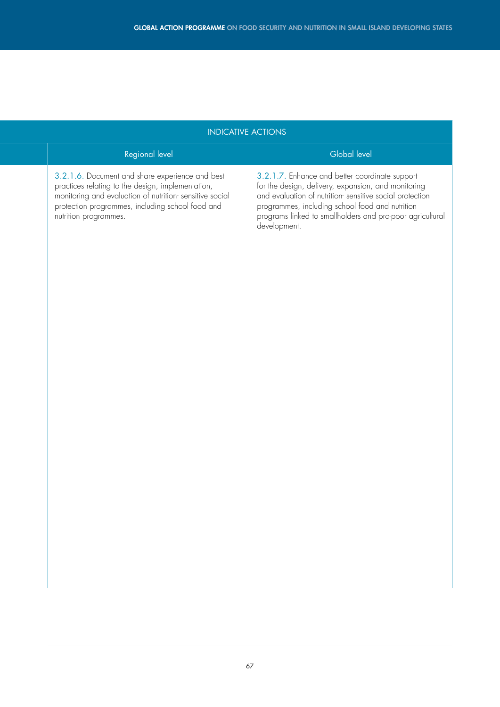| <b>INDICATIVE ACTIONS</b> |                                                                                                                                                                                                                                              |                                                                                                                                                                                                                                                                                                  |  |  |  |  |  |
|---------------------------|----------------------------------------------------------------------------------------------------------------------------------------------------------------------------------------------------------------------------------------------|--------------------------------------------------------------------------------------------------------------------------------------------------------------------------------------------------------------------------------------------------------------------------------------------------|--|--|--|--|--|
|                           | Regional level                                                                                                                                                                                                                               | Global level                                                                                                                                                                                                                                                                                     |  |  |  |  |  |
|                           | 3.2.1.6. Document and share experience and best<br>practices relating to the design, implementation,<br>monitoring and evaluation of nutrition-sensitive social<br>protection programmes, including school food and<br>nutrition programmes. | 3.2.1.7. Enhance and better coordinate support<br>for the design, delivery, expansion, and monitoring<br>and evaluation of nutrition-sensitive social protection<br>programmes, including school food and nutrition<br>programs linked to smallholders and pro-poor agricultural<br>development. |  |  |  |  |  |
|                           |                                                                                                                                                                                                                                              |                                                                                                                                                                                                                                                                                                  |  |  |  |  |  |
|                           |                                                                                                                                                                                                                                              |                                                                                                                                                                                                                                                                                                  |  |  |  |  |  |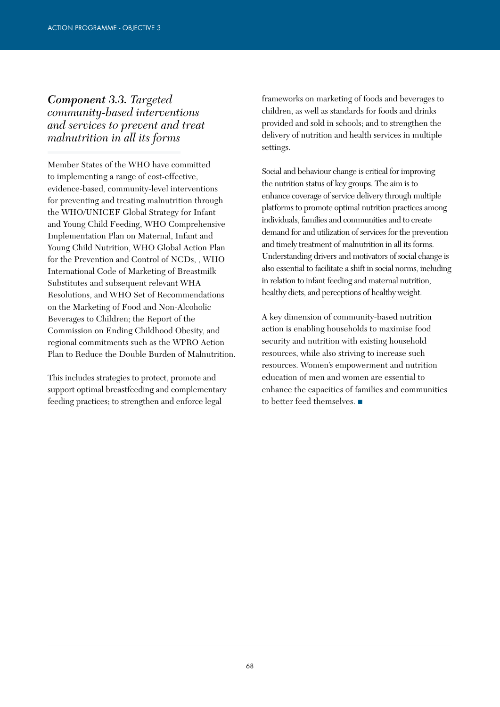### *Component 3.3. Targeted community-based interventions and services to prevent and treat malnutrition in all its forms*

Member States of the WHO have committed to implementing a range of cost-effective, evidence-based, community-level interventions for preventing and treating malnutrition through the WHO/UNICEF Global Strategy for Infant and Young Child Feeding, WHO Comprehensive Implementation Plan on Maternal, Infant and Young Child Nutrition, WHO Global Action Plan for the Prevention and Control of NCDs, , WHO International Code of Marketing of Breastmilk Substitutes and subsequent relevant WHA Resolutions, and WHO Set of Recommendations on the Marketing of Food and Non-Alcoholic Beverages to Children; the Report of the Commission on Ending Childhood Obesity, and regional commitments such as the WPRO Action Plan to Reduce the Double Burden of Malnutrition.

This includes strategies to protect, promote and support optimal breastfeeding and complementary feeding practices; to strengthen and enforce legal

frameworks on marketing of foods and beverages to children, as well as standards for foods and drinks provided and sold in schools; and to strengthen the delivery of nutrition and health services in multiple settings.

Social and behaviour change is critical for improving the nutrition status of key groups. The aim is to enhance coverage of service delivery through multiple platforms to promote optimal nutrition practices among individuals, families and communities and to create demand for and utilization of services for the prevention and timely treatment of malnutrition in all its forms. Understanding drivers and motivators of social change is also essential to facilitate a shift in social norms, including in relation to infant feeding and maternal nutrition, healthy diets, and perceptions of healthy weight.

A key dimension of community-based nutrition action is enabling households to maximise food security and nutrition with existing household resources, while also striving to increase such resources. Women's empowerment and nutrition education of men and women are essential to enhance the capacities of families and communities to better feed themselves. ■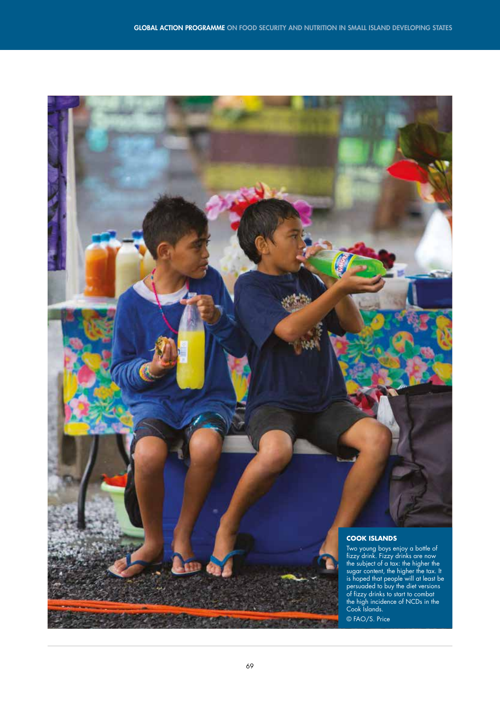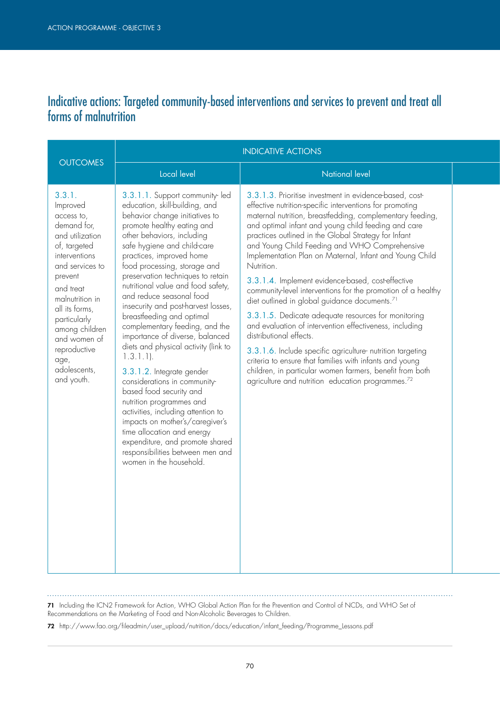### Indicative actions: Targeted community-based interventions and services to prevent and treat all forms of malnutrition

| <b>OUTCOMES</b>                                                                                                                                                                                                                                                                             | <b>INDICATIVE ACTIONS</b>                                                                                                                                                                                                                                                                                                                                                                                                                                                                                                                                                                                                                                                                                                                                                                                                                                                                      |                                                                                                                                                                                                                                                                                                                                                                                                                                                                                                                                                                                                                                                                                                                                                                                                                                                                                                                                                                                                                |  |
|---------------------------------------------------------------------------------------------------------------------------------------------------------------------------------------------------------------------------------------------------------------------------------------------|------------------------------------------------------------------------------------------------------------------------------------------------------------------------------------------------------------------------------------------------------------------------------------------------------------------------------------------------------------------------------------------------------------------------------------------------------------------------------------------------------------------------------------------------------------------------------------------------------------------------------------------------------------------------------------------------------------------------------------------------------------------------------------------------------------------------------------------------------------------------------------------------|----------------------------------------------------------------------------------------------------------------------------------------------------------------------------------------------------------------------------------------------------------------------------------------------------------------------------------------------------------------------------------------------------------------------------------------------------------------------------------------------------------------------------------------------------------------------------------------------------------------------------------------------------------------------------------------------------------------------------------------------------------------------------------------------------------------------------------------------------------------------------------------------------------------------------------------------------------------------------------------------------------------|--|
|                                                                                                                                                                                                                                                                                             | Local level                                                                                                                                                                                                                                                                                                                                                                                                                                                                                                                                                                                                                                                                                                                                                                                                                                                                                    | <b>National level</b>                                                                                                                                                                                                                                                                                                                                                                                                                                                                                                                                                                                                                                                                                                                                                                                                                                                                                                                                                                                          |  |
| 3.3.1.<br>Improved<br>access to,<br>demand for,<br>and utilization<br>of, targeted<br>interventions<br>and services to<br>prevent<br>and treat<br>malnutrition in<br>all its forms,<br>particularly<br>among children<br>and women of<br>reproductive<br>age,<br>adolescents,<br>and youth. | 3.3.1.1. Support community-led<br>education, skill-building, and<br>behavior change initiatives to<br>promote healthy eating and<br>other behaviors, including<br>safe hygiene and child-care<br>practices, improved home<br>food processing, storage and<br>preservation techniques to retain<br>nutritional value and food safety,<br>and reduce seasonal food<br>insecurity and post-harvest losses,<br>breastfeeding and optimal<br>complementary feeding, and the<br>importance of diverse, balanced<br>diets and physical activity (link to<br>$1.3.1.1$ ).<br>3.3.1.2. Integrate gender<br>considerations in community-<br>based food security and<br>nutrition programmes and<br>activities, including attention to<br>impacts on mother's/caregiver's<br>time allocation and energy<br>expenditure, and promote shared<br>responsibilities between men and<br>women in the household. | 3.3.1.3. Prioritise investment in evidence-based, cost-<br>effective nutrition-specific interventions for promoting<br>maternal nutrition, breastfedding, complementary feeding,<br>and optimal infant and young child feeding and care<br>practices outlined in the Global Strategy for Infant<br>and Young Child Feeding and WHO Comprehensive<br>Implementation Plan on Maternal, Infant and Young Child<br>Nutrition.<br>3.3.1.4. Implement evidence-based, cost-effective<br>community-level interventions for the promotion of a healthy<br>diet outlined in global guidance documents. <sup>71</sup><br>3.3.1.5. Dedicate adequate resources for monitoring<br>and evaluation of intervention effectiveness, including<br>distributional effects.<br>3.3.1.6. Include specific agriculture- nutrition targeting<br>criteria to ensure that families with infants and young<br>children, in particular women farmers, benefit from both<br>agriculture and nutrition education programmes. <sup>72</sup> |  |

71 Including the ICN2 Framework for Action, WHO Global Action Plan for the Prevention and Control of NCDs, and WHO Set of Recommendations on the Marketing of Food and Non-Alcoholic Beverages to Children.

72 http://www.fao.org/fileadmin/user\_upload/nutrition/docs/education/infant\_feeding/Programme\_Lessons.pdf

 $\mathbf{1}$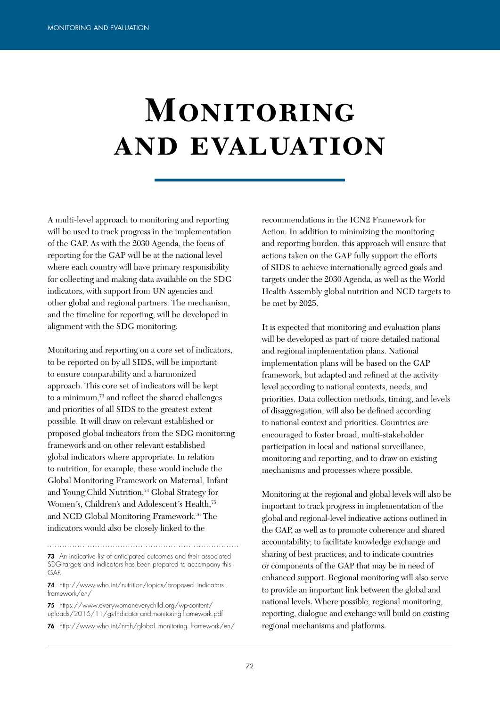# **MONITORING and evaluation**

A multi-level approach to monitoring and reporting will be used to track progress in the implementation of the GAP. As with the 2030 Agenda, the focus of reporting for the GAP will be at the national level where each country will have primary responsibility for collecting and making data available on the SDG indicators, with support from UN agencies and other global and regional partners. The mechanism, and the timeline for reporting, will be developed in alignment with the SDG monitoring.

Monitoring and reporting on a core set of indicators, to be reported on by all SIDS, will be important to ensure comparability and a harmonized approach. This core set of indicators will be kept to a minimum,73 and reflect the shared challenges and priorities of all SIDS to the greatest extent possible. It will draw on relevant established or proposed global indicators from the SDG monitoring framework and on other relevant established global indicators where appropriate. In relation to nutrition, for example, these would include the Global Monitoring Framework on Maternal, Infant and Young Child Nutrition,<sup>74</sup> Global Strategy for Women's, Children's and Adolescent's Health,<sup>75</sup> and NCD Global Monitoring Framework.76 The indicators would also be closely linked to the

73 An indicative list of anticipated outcomes and their associated SDG targets and indicators has been prepared to accompany this GAP.

74 http://www.who.int/nutrition/topics/proposed\_indicators framework/en/

75 https://www.everywomaneverychild.org/wp-content/ uploads/2016/11/gs-Indicator-and-monitoring-framework.pdf 76 http://www.who.int/nmh/global\_monitoring\_framework/en/ recommendations in the ICN2 Framework for Action. In addition to minimizing the monitoring and reporting burden, this approach will ensure that actions taken on the GAP fully support the efforts of SIDS to achieve internationally agreed goals and targets under the 2030 Agenda, as well as the World Health Assembly global nutrition and NCD targets to be met by 2025.

It is expected that monitoring and evaluation plans will be developed as part of more detailed national and regional implementation plans. National implementation plans will be based on the GAP framework, but adapted and refined at the activity level according to national contexts, needs, and priorities. Data collection methods, timing, and levels of disaggregation, will also be defined according to national context and priorities. Countries are encouraged to foster broad, multi-stakeholder participation in local and national surveillance, monitoring and reporting, and to draw on existing mechanisms and processes where possible.

Monitoring at the regional and global levels will also be important to track progress in implementation of the global and regional-level indicative actions outlined in the GAP, as well as to promote coherence and shared accountability; to facilitate knowledge exchange and sharing of best practices; and to indicate countries or components of the GAP that may be in need of enhanced support. Regional monitoring will also serve to provide an important link between the global and national levels. Where possible, regional monitoring, reporting, dialogue and exchange will build on existing regional mechanisms and platforms.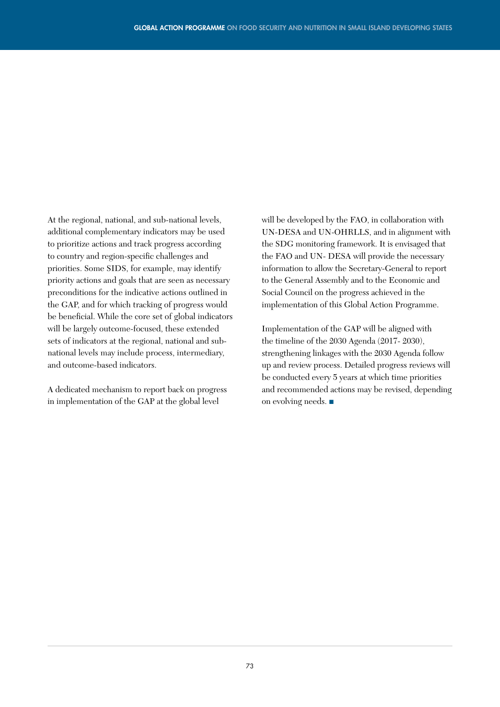At the regional, national, and sub-national levels, additional complementary indicators may be used to prioritize actions and track progress according to country and region-specific challenges and priorities. Some SIDS, for example, may identify priority actions and goals that are seen as necessary preconditions for the indicative actions outlined in the GAP, and for which tracking of progress would be beneficial. While the core set of global indicators will be largely outcome-focused, these extended sets of indicators at the regional, national and subnational levels may include process, intermediary, and outcome-based indicators.

A dedicated mechanism to report back on progress in implementation of the GAP at the global level

will be developed by the FAO, in collaboration with UN-DESA and UN-OHRLLS, and in alignment with the SDG monitoring framework. It is envisaged that the FAO and UN- DESA will provide the necessary information to allow the Secretary-General to report to the General Assembly and to the Economic and Social Council on the progress achieved in the implementation of this Global Action Programme.

Implementation of the GAP will be aligned with the timeline of the 2030 Agenda (2017- 2030), strengthening linkages with the 2030 Agenda follow up and review process. Detailed progress reviews will be conducted every 5 years at which time priorities and recommended actions may be revised, depending on evolving needs. ■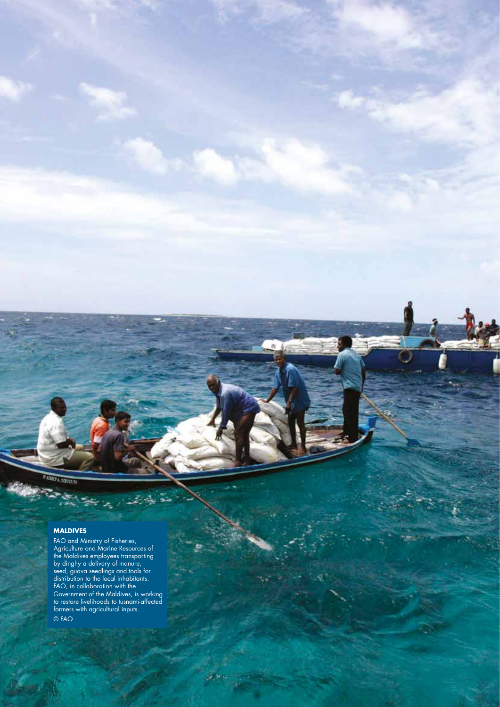24101450

## **MALDIVES**

FAO and Ministry of Fisheries, Agriculture and Marine Resources of the Maldives employees transporting by dinghy a delivery of manure, seed, guava seedlings and tools for distribution to the local inhabitants. FAO, in collaboration with the Government of the Maldives, is working to restore livelihoods to tusnami-affected farmers with agricultural inputs. © FAO

÷. ŝ.